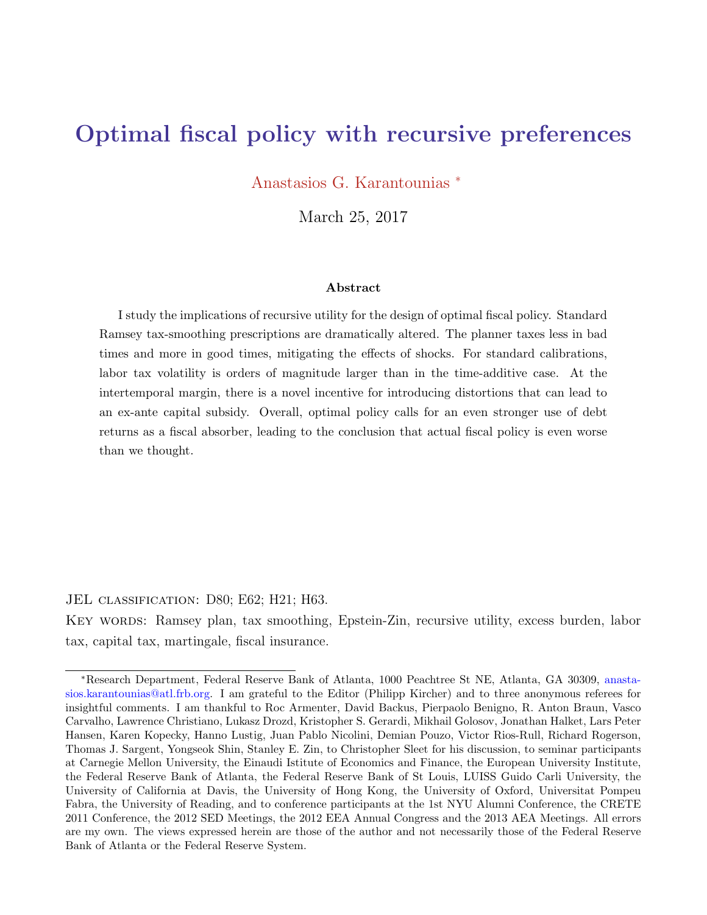# <span id="page-0-0"></span>Optimal fiscal policy with recursive preferences

Anastasios G. Karantounias <sup>∗</sup>

March 25, 2017

#### Abstract

I study the implications of recursive utility for the design of optimal fiscal policy. Standard Ramsey tax-smoothing prescriptions are dramatically altered. The planner taxes less in bad times and more in good times, mitigating the effects of shocks. For standard calibrations, labor tax volatility is orders of magnitude larger than in the time-additive case. At the intertemporal margin, there is a novel incentive for introducing distortions that can lead to an ex-ante capital subsidy. Overall, optimal policy calls for an even stronger use of debt returns as a fiscal absorber, leading to the conclusion that actual fiscal policy is even worse than we thought.

JEL classification: D80; E62; H21; H63. Key words: Ramsey plan, tax smoothing, Epstein-Zin, recursive utility, excess burden, labor tax, capital tax, martingale, fiscal insurance.

<sup>∗</sup>Research Department, Federal Reserve Bank of Atlanta, 1000 Peachtree St NE, Atlanta, GA 30309, anastasios.karantounias@atl.frb.org. I am grateful to the Editor (Philipp Kircher) and to three anonymous referees for insightful comments. I am thankful to Roc Armenter, David Backus, Pierpaolo Benigno, R. Anton Braun, Vasco Carvalho, Lawrence Christiano, Lukasz Drozd, Kristopher S. Gerardi, Mikhail Golosov, Jonathan Halket, Lars Peter Hansen, Karen Kopecky, Hanno Lustig, Juan Pablo Nicolini, Demian Pouzo, Victor Rios-Rull, Richard Rogerson, Thomas J. Sargent, Yongseok Shin, Stanley E. Zin, to Christopher Sleet for his discussion, to seminar participants at Carnegie Mellon University, the Einaudi Istitute of Economics and Finance, the European University Institute, the Federal Reserve Bank of Atlanta, the Federal Reserve Bank of St Louis, LUISS Guido Carli University, the University of California at Davis, the University of Hong Kong, the University of Oxford, Universitat Pompeu Fabra, the University of Reading, and to conference participants at the 1st NYU Alumni Conference, the CRETE 2011 Conference, the 2012 SED Meetings, the 2012 EEA Annual Congress and the 2013 AEA Meetings. All errors are my own. The views expressed herein are those of the author and not necessarily those of the Federal Reserve Bank of Atlanta or the Federal Reserve System.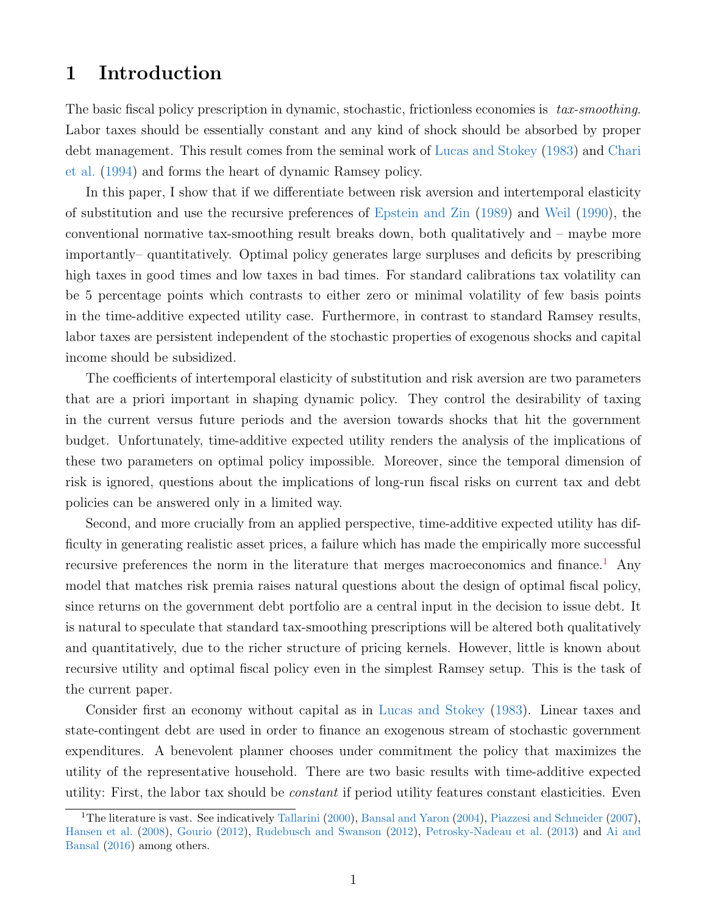## 1 Introduction

The basic fiscal policy prescription in dynamic, stochastic, frictionless economies is tax-smoothing. Labor taxes should be essentially constant and any kind of shock should be absorbed by proper debt management. This result comes from the seminal work of [Lucas and Stokey](#page-40-0) [\(1983\)](#page-40-0) and [Chari](#page-39-0) [et al.](#page-39-0) [\(1994\)](#page-39-0) and forms the heart of dynamic Ramsey policy.

In this paper, I show that if we differentiate between risk aversion and intertemporal elasticity of substitution and use the recursive preferences of [Epstein and Zin](#page-39-1) [\(1989\)](#page-39-1) and [Weil](#page-41-0) [\(1990\)](#page-41-0), the conventional normative tax-smoothing result breaks down, both qualitatively and – maybe more importantly– quantitatively. Optimal policy generates large surpluses and deficits by prescribing high taxes in good times and low taxes in bad times. For standard calibrations tax volatility can be 5 percentage points which contrasts to either zero or minimal volatility of few basis points in the time-additive expected utility case. Furthermore, in contrast to standard Ramsey results, labor taxes are persistent independent of the stochastic properties of exogenous shocks and capital income should be subsidized.

The coefficients of intertemporal elasticity of substitution and risk aversion are two parameters that are a priori important in shaping dynamic policy. They control the desirability of taxing in the current versus future periods and the aversion towards shocks that hit the government budget. Unfortunately, time-additive expected utility renders the analysis of the implications of these two parameters on optimal policy impossible. Moreover, since the temporal dimension of risk is ignored, questions about the implications of long-run fiscal risks on current tax and debt policies can be answered only in a limited way.

Second, and more crucially from an applied perspective, time-additive expected utility has difficulty in generating realistic asset prices, a failure which has made the empirically more successful recursive preferences the norm in the literature that merges macroeconomics and finance.<sup>[1](#page-1-0)</sup> Any model that matches risk premia raises natural questions about the design of optimal fiscal policy, since returns on the government debt portfolio are a central input in the decision to issue debt. It is natural to speculate that standard tax-smoothing prescriptions will be altered both qualitatively and quantitatively, due to the richer structure of pricing kernels. However, little is known about recursive utility and optimal fiscal policy even in the simplest Ramsey setup. This is the task of the current paper.

Consider first an economy without capital as in [Lucas and Stokey](#page-40-0) [\(1983\)](#page-40-0). Linear taxes and state-contingent debt are used in order to finance an exogenous stream of stochastic government expenditures. A benevolent planner chooses under commitment the policy that maximizes the utility of the representative household. There are two basic results with time-additive expected utility: First, the labor tax should be constant if period utility features constant elasticities. Even

<span id="page-1-0"></span><sup>&</sup>lt;sup>1</sup>The literature is vast. See indicatively [Tallarini](#page-41-1) [\(2000\)](#page-41-1), [Bansal and Yaron](#page-39-2) [\(2004\)](#page-39-2), [Piazzesi and Schneider](#page-41-2) [\(2007\)](#page-41-2), [Hansen et al.](#page-40-1) [\(2008\)](#page-40-1), [Gourio](#page-40-2) [\(2012\)](#page-40-2), [Rudebusch and Swanson](#page-41-3) [\(2012\)](#page-41-3), [Petrosky-Nadeau et al.](#page-41-4) [\(2013\)](#page-41-4) and [Ai and](#page-39-3) [Bansal](#page-39-3) [\(2016\)](#page-39-3) among others.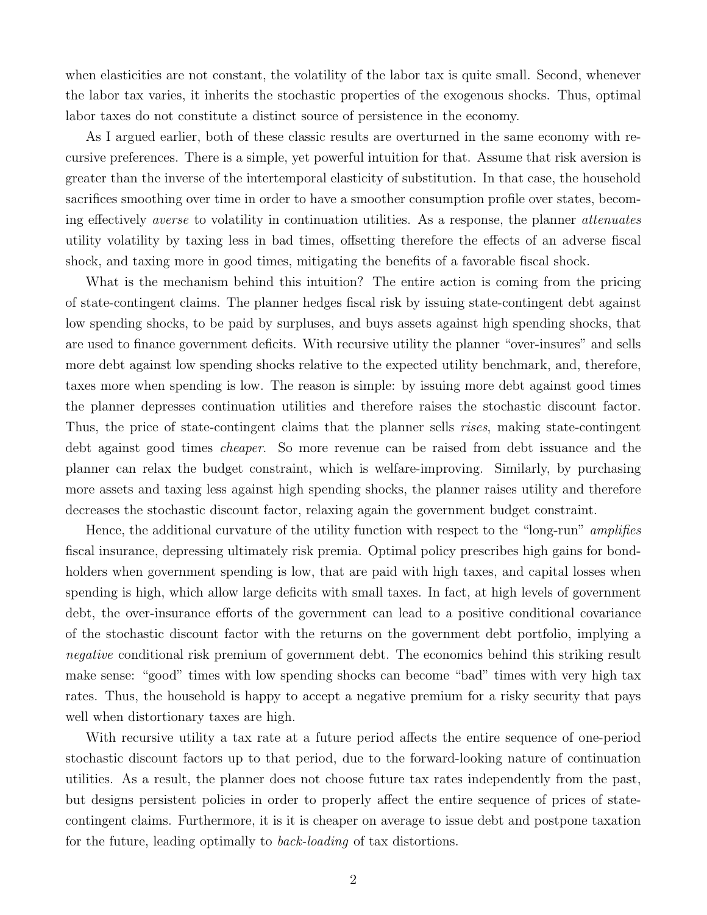when elasticities are not constant, the volatility of the labor tax is quite small. Second, whenever the labor tax varies, it inherits the stochastic properties of the exogenous shocks. Thus, optimal labor taxes do not constitute a distinct source of persistence in the economy.

As I argued earlier, both of these classic results are overturned in the same economy with recursive preferences. There is a simple, yet powerful intuition for that. Assume that risk aversion is greater than the inverse of the intertemporal elasticity of substitution. In that case, the household sacrifices smoothing over time in order to have a smoother consumption profile over states, becoming effectively averse to volatility in continuation utilities. As a response, the planner attenuates utility volatility by taxing less in bad times, offsetting therefore the effects of an adverse fiscal shock, and taxing more in good times, mitigating the benefits of a favorable fiscal shock.

What is the mechanism behind this intuition? The entire action is coming from the pricing of state-contingent claims. The planner hedges fiscal risk by issuing state-contingent debt against low spending shocks, to be paid by surpluses, and buys assets against high spending shocks, that are used to finance government deficits. With recursive utility the planner "over-insures" and sells more debt against low spending shocks relative to the expected utility benchmark, and, therefore, taxes more when spending is low. The reason is simple: by issuing more debt against good times the planner depresses continuation utilities and therefore raises the stochastic discount factor. Thus, the price of state-contingent claims that the planner sells rises, making state-contingent debt against good times cheaper. So more revenue can be raised from debt issuance and the planner can relax the budget constraint, which is welfare-improving. Similarly, by purchasing more assets and taxing less against high spending shocks, the planner raises utility and therefore decreases the stochastic discount factor, relaxing again the government budget constraint.

Hence, the additional curvature of the utility function with respect to the "long-run" amplifies fiscal insurance, depressing ultimately risk premia. Optimal policy prescribes high gains for bondholders when government spending is low, that are paid with high taxes, and capital losses when spending is high, which allow large deficits with small taxes. In fact, at high levels of government debt, the over-insurance efforts of the government can lead to a positive conditional covariance of the stochastic discount factor with the returns on the government debt portfolio, implying a negative conditional risk premium of government debt. The economics behind this striking result make sense: "good" times with low spending shocks can become "bad" times with very high tax rates. Thus, the household is happy to accept a negative premium for a risky security that pays well when distortionary taxes are high.

With recursive utility a tax rate at a future period affects the entire sequence of one-period stochastic discount factors up to that period, due to the forward-looking nature of continuation utilities. As a result, the planner does not choose future tax rates independently from the past, but designs persistent policies in order to properly affect the entire sequence of prices of statecontingent claims. Furthermore, it is it is cheaper on average to issue debt and postpone taxation for the future, leading optimally to back-loading of tax distortions.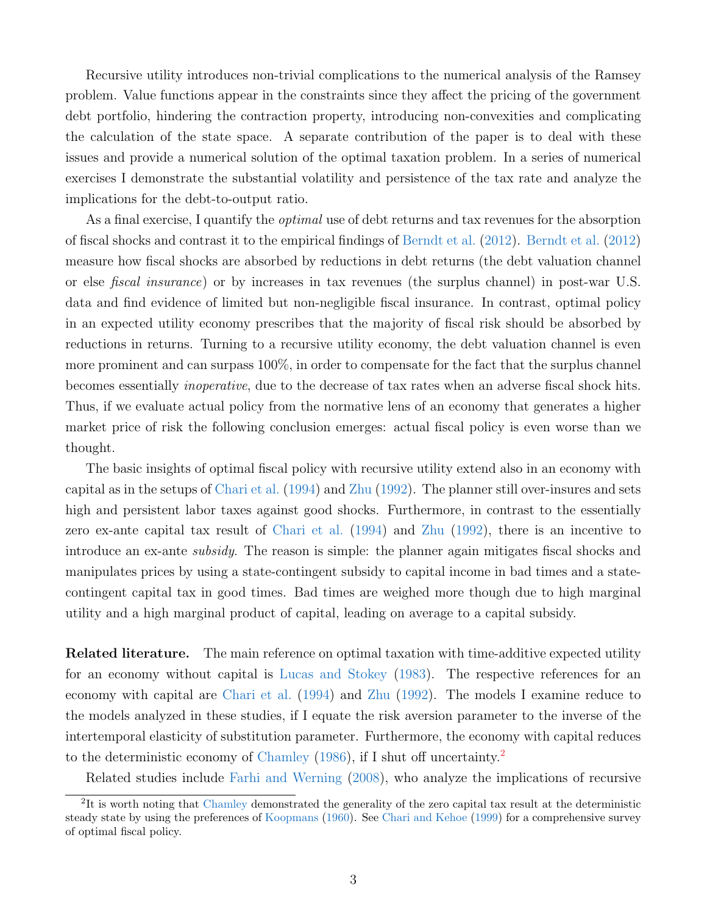Recursive utility introduces non-trivial complications to the numerical analysis of the Ramsey problem. Value functions appear in the constraints since they affect the pricing of the government debt portfolio, hindering the contraction property, introducing non-convexities and complicating the calculation of the state space. A separate contribution of the paper is to deal with these issues and provide a numerical solution of the optimal taxation problem. In a series of numerical exercises I demonstrate the substantial volatility and persistence of the tax rate and analyze the implications for the debt-to-output ratio.

As a final exercise, I quantify the *optimal* use of debt returns and tax revenues for the absorption of fiscal shocks and contrast it to the empirical findings of [Berndt et al.](#page-39-4) [\(2012\)](#page-39-4). [Berndt et al.](#page-39-4) [\(2012\)](#page-39-4) measure how fiscal shocks are absorbed by reductions in debt returns (the debt valuation channel or else fiscal insurance) or by increases in tax revenues (the surplus channel) in post-war U.S. data and find evidence of limited but non-negligible fiscal insurance. In contrast, optimal policy in an expected utility economy prescribes that the majority of fiscal risk should be absorbed by reductions in returns. Turning to a recursive utility economy, the debt valuation channel is even more prominent and can surpass 100%, in order to compensate for the fact that the surplus channel becomes essentially inoperative, due to the decrease of tax rates when an adverse fiscal shock hits. Thus, if we evaluate actual policy from the normative lens of an economy that generates a higher market price of risk the following conclusion emerges: actual fiscal policy is even worse than we thought.

The basic insights of optimal fiscal policy with recursive utility extend also in an economy with capital as in the setups of [Chari et al.](#page-39-0) [\(1994\)](#page-39-0) and [Zhu](#page-41-5) [\(1992\)](#page-41-5). The planner still over-insures and sets high and persistent labor taxes against good shocks. Furthermore, in contrast to the essentially zero ex-ante capital tax result of [Chari et al.](#page-39-0) [\(1994\)](#page-39-0) and [Zhu](#page-41-5) [\(1992\)](#page-41-5), there is an incentive to introduce an ex-ante subsidy. The reason is simple: the planner again mitigates fiscal shocks and manipulates prices by using a state-contingent subsidy to capital income in bad times and a statecontingent capital tax in good times. Bad times are weighed more though due to high marginal utility and a high marginal product of capital, leading on average to a capital subsidy.

Related literature. The main reference on optimal taxation with time-additive expected utility for an economy without capital is [Lucas and Stokey](#page-40-0) [\(1983\)](#page-40-0). The respective references for an economy with capital are [Chari et al.](#page-39-0) [\(1994\)](#page-39-0) and [Zhu](#page-41-5) [\(1992\)](#page-41-5). The models I examine reduce to the models analyzed in these studies, if I equate the risk aversion parameter to the inverse of the intertemporal elasticity of substitution parameter. Furthermore, the economy with capital reduces to the deterministic economy of [Chamley](#page-39-5) [\(1986\)](#page-39-5), if I shut off uncertainty.[2](#page-3-0)

<span id="page-3-0"></span>Related studies include [Farhi and Werning](#page-40-3) [\(2008\)](#page-40-3), who analyze the implications of recursive

<sup>&</sup>lt;sup>2</sup>It is worth noting that [Chamley](#page-39-5) demonstrated the generality of the zero capital tax result at the deterministic steady state by using the preferences of [Koopmans](#page-40-4) [\(1960\)](#page-40-4). See [Chari and Kehoe](#page-39-6) [\(1999\)](#page-39-6) for a comprehensive survey of optimal fiscal policy.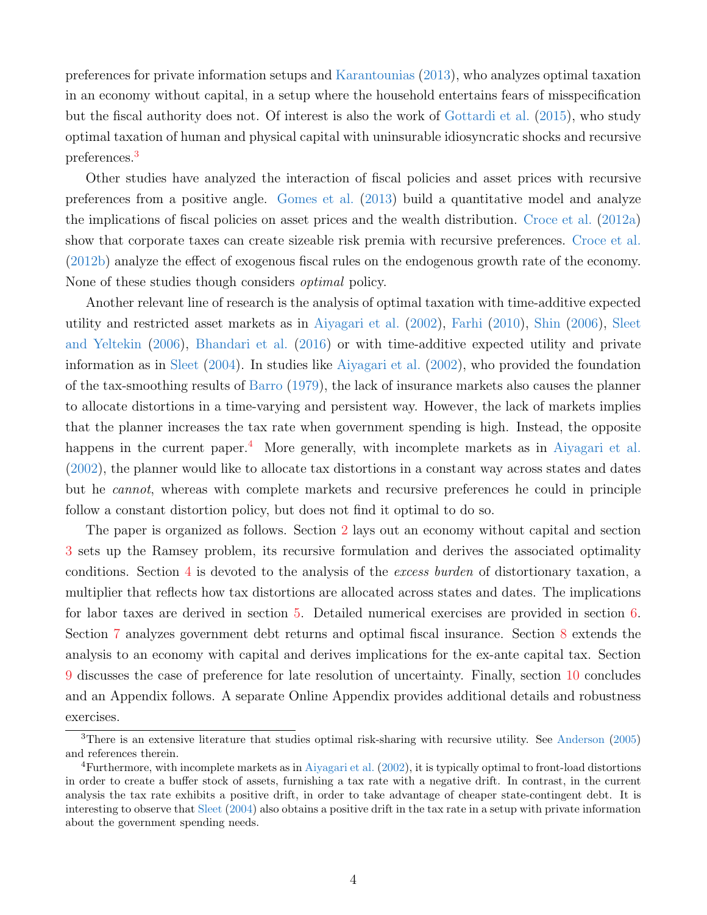preferences for private information setups and [Karantounias](#page-40-5) [\(2013\)](#page-40-5), who analyzes optimal taxation in an economy without capital, in a setup where the household entertains fears of misspecification but the fiscal authority does not. Of interest is also the work of [Gottardi et al.](#page-40-6) [\(2015\)](#page-40-6), who study optimal taxation of human and physical capital with uninsurable idiosyncratic shocks and recursive preferences.[3](#page-4-0)

Other studies have analyzed the interaction of fiscal policies and asset prices with recursive preferences from a positive angle. [Gomes et al.](#page-40-7) [\(2013\)](#page-40-7) build a quantitative model and analyze the implications of fiscal policies on asset prices and the wealth distribution. [Croce et al.](#page-39-7) [\(2012a\)](#page-39-7) show that corporate taxes can create sizeable risk premia with recursive preferences. [Croce et al.](#page-39-8) [\(2012b\)](#page-39-8) analyze the effect of exogenous fiscal rules on the endogenous growth rate of the economy. None of these studies though considers optimal policy.

Another relevant line of research is the analysis of optimal taxation with time-additive expected utility and restricted asset markets as in [Aiyagari et al.](#page-39-9) [\(2002\)](#page-39-9), [Farhi](#page-40-8) [\(2010\)](#page-40-8), [Shin](#page-41-6) [\(2006\)](#page-41-6), [Sleet](#page-41-7) [and Yeltekin](#page-41-7) [\(2006\)](#page-41-7), [Bhandari et al.](#page-39-10) [\(2016\)](#page-39-10) or with time-additive expected utility and private information as in [Sleet](#page-41-8) [\(2004\)](#page-41-8). In studies like [Aiyagari et al.](#page-39-9) [\(2002\)](#page-39-9), who provided the foundation of the tax-smoothing results of [Barro](#page-39-11) [\(1979\)](#page-39-11), the lack of insurance markets also causes the planner to allocate distortions in a time-varying and persistent way. However, the lack of markets implies that the planner increases the tax rate when government spending is high. Instead, the opposite happens in the current paper.<sup>[4](#page-4-1)</sup> More generally, with incomplete markets as in [Aiyagari et al.](#page-39-9) [\(2002\)](#page-39-9), the planner would like to allocate tax distortions in a constant way across states and dates but he cannot, whereas with complete markets and recursive preferences he could in principle follow a constant distortion policy, but does not find it optimal to do so.

The paper is organized as follows. Section [2](#page-5-0) lays out an economy without capital and section [3](#page-8-0) sets up the Ramsey problem, its recursive formulation and derives the associated optimality conditions. Section [4](#page-11-0) is devoted to the analysis of the excess burden of distortionary taxation, a multiplier that reflects how tax distortions are allocated across states and dates. The implications for labor taxes are derived in section [5.](#page-16-0) Detailed numerical exercises are provided in section [6.](#page-18-0) Section [7](#page-24-0) analyzes government debt returns and optimal fiscal insurance. Section [8](#page-29-0) extends the analysis to an economy with capital and derives implications for the ex-ante capital tax. Section [9](#page-34-0) discusses the case of preference for late resolution of uncertainty. Finally, section [10](#page-35-0) concludes and an Appendix follows. A separate Online Appendix provides additional details and robustness exercises.

<span id="page-4-0"></span><sup>3</sup>There is an extensive literature that studies optimal risk-sharing with recursive utility. See [Anderson](#page-39-12) ([2005\)](#page-39-12) and references therein.

<span id="page-4-1"></span> ${}^{4}$ Furthermore, with incomplete markets as in [Aiyagari et al.](#page-39-9) [\(2002\)](#page-39-9), it is typically optimal to front-load distortions in order to create a buffer stock of assets, furnishing a tax rate with a negative drift. In contrast, in the current analysis the tax rate exhibits a positive drift, in order to take advantage of cheaper state-contingent debt. It is interesting to observe that [Sleet](#page-41-8) [\(2004\)](#page-41-8) also obtains a positive drift in the tax rate in a setup with private information about the government spending needs.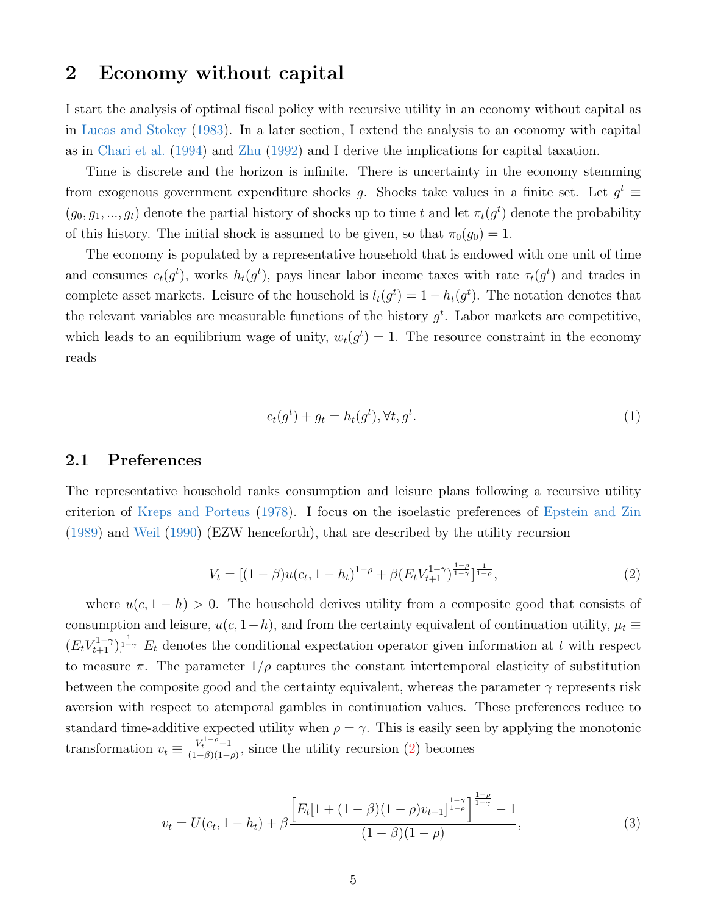## <span id="page-5-0"></span>2 Economy without capital

I start the analysis of optimal fiscal policy with recursive utility in an economy without capital as in [Lucas and Stokey](#page-40-0) [\(1983\)](#page-40-0). In a later section, I extend the analysis to an economy with capital as in [Chari et al.](#page-39-0) [\(1994\)](#page-39-0) and [Zhu](#page-41-5) [\(1992\)](#page-41-5) and I derive the implications for capital taxation.

Time is discrete and the horizon is infinite. There is uncertainty in the economy stemming from exogenous government expenditure shocks g. Shocks take values in a finite set. Let  $g^t \equiv$  $(g_0, g_1, ..., g_t)$  denote the partial history of shocks up to time t and let  $\pi_t(g^t)$  denote the probability of this history. The initial shock is assumed to be given, so that  $\pi_0(g_0) = 1$ .

The economy is populated by a representative household that is endowed with one unit of time and consumes  $c_t(g^t)$ , works  $h_t(g^t)$ , pays linear labor income taxes with rate  $\tau_t(g^t)$  and trades in complete asset markets. Leisure of the household is  $l_t(g^t) = 1 - h_t(g^t)$ . The notation denotes that the relevant variables are measurable functions of the history  $g^t$ . Labor markets are competitive, which leads to an equilibrium wage of unity,  $w_t(g^t) = 1$ . The resource constraint in the economy reads

<span id="page-5-3"></span>
$$
c_t(g^t) + g_t = h_t(g^t), \forall t, g^t.
$$
\n<sup>(1)</sup>

### 2.1 Preferences

The representative household ranks consumption and leisure plans following a recursive utility criterion of [Kreps and Porteus](#page-40-9) [\(1978\)](#page-40-9). I focus on the isoelastic preferences of [Epstein and Zin](#page-39-1) [\(1989\)](#page-39-1) and [Weil](#page-41-0) [\(1990\)](#page-41-0) (EZW henceforth), that are described by the utility recursion

<span id="page-5-1"></span>
$$
V_t = \left[ (1 - \beta) u(c_t, 1 - h_t)^{1 - \rho} + \beta (E_t V_{t+1}^{1 - \gamma})^{\frac{1 - \rho}{1 - \gamma}} \right]_{\frac{1}{1 - \rho}},\tag{2}
$$

where  $u(c, 1 - h) > 0$ . The household derives utility from a composite good that consists of consumption and leisure,  $u(c, 1-h)$ , and from the certainty equivalent of continuation utility,  $\mu_t \equiv$  $(E_t V_{t+1}^{1-\gamma})$ <sup>1</sup> $\to$   $E_t$  denotes the conditional expectation operator given information at t with respect to measure  $\pi$ . The parameter  $1/\rho$  captures the constant intertemporal elasticity of substitution between the composite good and the certainty equivalent, whereas the parameter  $\gamma$  represents risk aversion with respect to atemporal gambles in continuation values. These preferences reduce to standard time-additive expected utility when  $\rho = \gamma$ . This is easily seen by applying the monotonic transformation  $v_t \equiv \frac{V_t^{1-\rho}-1}{(1-\beta)(1-\rho)}$  $\frac{V_t}{(1-\beta)(1-\rho)}$ , since the utility recursion [\(2\)](#page-5-1) becomes

<span id="page-5-2"></span>
$$
v_t = U(c_t, 1 - h_t) + \beta \frac{\left[E_t[1 + (1 - \beta)(1 - \rho)v_{t+1}\right]^{\frac{1 - \gamma}{1 - \rho}}\right]^{\frac{1 - \rho}{1 - \gamma}} - 1}{(1 - \beta)(1 - \rho)},
$$
\n(3)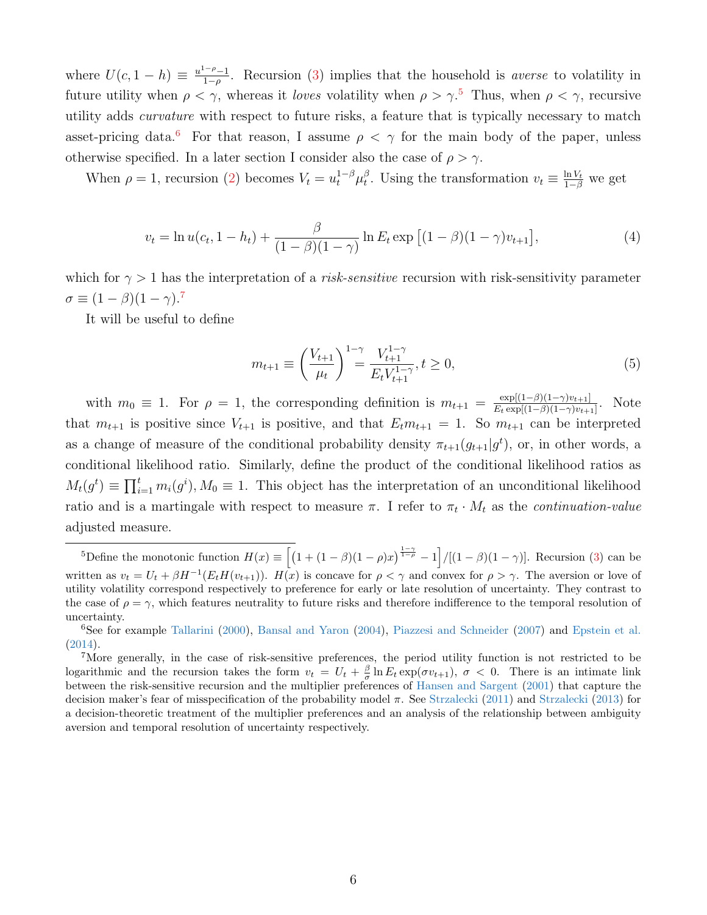where  $U(c, 1-h) \equiv \frac{u^{1-\rho}-1}{1-\rho}$  $\frac{1-p}{1-p}$ . Recursion [\(3\)](#page-5-2) implies that the household is *averse* to volatility in future utility when  $\rho < \gamma$ , whereas it loves volatility when  $\rho > \gamma$ .<sup>[5](#page-6-0)</sup> Thus, when  $\rho < \gamma$ , recursive utility adds curvature with respect to future risks, a feature that is typically necessary to match asset-pricing data.<sup>[6](#page-6-1)</sup> For that reason, I assume  $\rho < \gamma$  for the main body of the paper, unless otherwise specified. In a later section I consider also the case of  $\rho > \gamma$ .

When  $\rho = 1$ , recursion [\(2\)](#page-5-1) becomes  $V_t = u_t^{1-\beta} \mu_t^{\beta}$ <sup>β</sup>. Using the transformation  $v_t \equiv \frac{\ln V_t}{1-\beta}$  we get

$$
v_t = \ln u(c_t, 1 - h_t) + \frac{\beta}{(1 - \beta)(1 - \gamma)} \ln E_t \exp [(1 - \beta)(1 - \gamma)v_{t+1}], \tag{4}
$$

which for  $\gamma > 1$  has the interpretation of a *risk-sensitive* recursion with risk-sensitivity parameter  $\sigma \equiv (1-\beta)(1-\gamma).7$  $\sigma \equiv (1-\beta)(1-\gamma).7$ 

It will be useful to define

<span id="page-6-3"></span>
$$
m_{t+1} \equiv \left(\frac{V_{t+1}}{\mu_t}\right)^{1-\gamma} = \frac{V_{t+1}^{1-\gamma}}{E_t V_{t+1}^{1-\gamma}}, t \ge 0,
$$
\n(5)

with  $m_0 \equiv 1$ . For  $\rho = 1$ , the corresponding definition is  $m_{t+1} = \frac{\exp[(1-\beta)(1-\gamma)v_{t+1}]}{F_t \exp[(1-\beta)(1-\gamma)v_{t+1}]}$  $\frac{\exp[(1-\beta)(1-\gamma)v_{t+1}]}{E_t \exp[(1-\beta)(1-\gamma)v_{t+1}]}$ . Note that  $m_{t+1}$  is positive since  $V_{t+1}$  is positive, and that  $E_t m_{t+1} = 1$ . So  $m_{t+1}$  can be interpreted as a change of measure of the conditional probability density  $\pi_{t+1}(g_{t+1}|g^t)$ , or, in other words, a conditional likelihood ratio. Similarly, define the product of the conditional likelihood ratios as  $M_t(g^t) \equiv \prod_{i=1}^t m_i(g^i), M_0 \equiv 1$ . This object has the interpretation of an unconditional likelihood ratio and is a martingale with respect to measure  $\pi$ . I refer to  $\pi_t \cdot M_t$  as the *continuation-value* adjusted measure.

<span id="page-6-0"></span><sup>&</sup>lt;sup>5</sup>Define the monotonic function  $H(x) \equiv \left[ (1 + (1 - \beta)(1 - \rho)x)^{\frac{1 - \gamma}{1 - \rho}} - 1 \right] / [(1 - \beta)(1 - \gamma)].$  Recursion [\(3\)](#page-5-2) can be written as  $v_t = U_t + \beta H^{-1}(E_t H(v_{t+1}))$ .  $H(x)$  is concave for  $\rho < \gamma$  and convex for  $\rho > \gamma$ . The aversion or love of utility volatility correspond respectively to preference for early or late resolution of uncertainty. They contrast to the case of  $\rho = \gamma$ , which features neutrality to future risks and therefore indifference to the temporal resolution of uncertainty.

<span id="page-6-1"></span><sup>6</sup>See for example [Tallarini](#page-41-1) [\(2000\)](#page-41-1), [Bansal and Yaron](#page-39-2) [\(2004\)](#page-39-2), [Piazzesi and Schneider](#page-41-2) [\(2007\)](#page-41-2) and [Epstein et al.](#page-39-13) [\(2014\)](#page-39-13).

<span id="page-6-2"></span><sup>7</sup>More generally, in the case of risk-sensitive preferences, the period utility function is not restricted to be logarithmic and the recursion takes the form  $v_t = U_t + \frac{\beta}{\sigma} \ln E_t \exp(\sigma v_{t+1}), \sigma < 0$ . There is an intimate link between the risk-sensitive recursion and the multiplier preferences of [Hansen and Sargent](#page-40-10) [\(2001\)](#page-40-10) that capture the decision maker's fear of misspecification of the probability model π. See [Strzalecki](#page-41-9) [\(2011\)](#page-41-9) and [Strzalecki](#page-41-10) [\(2013\)](#page-41-10) for a decision-theoretic treatment of the multiplier preferences and an analysis of the relationship between ambiguity aversion and temporal resolution of uncertainty respectively.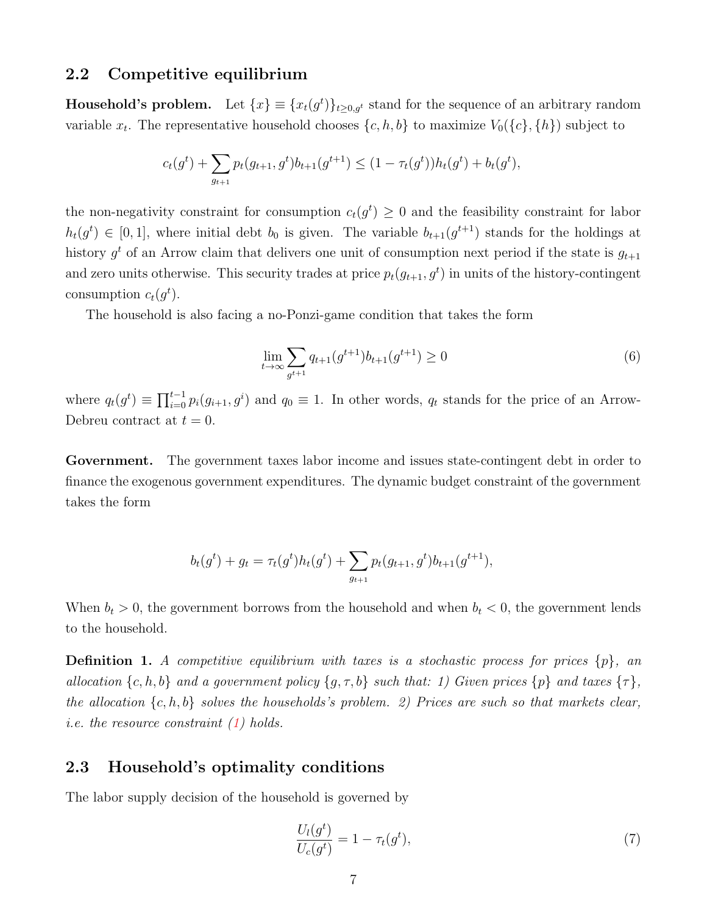### 2.2 Competitive equilibrium

**Household's problem.** Let  $\{x\} \equiv \{x_t(g^t)\}_{t \geq 0, g^t}$  stand for the sequence of an arbitrary random variable  $x_t$ . The representative household chooses  $\{c, h, b\}$  to maximize  $V_0(\{c\}, \{h\})$  subject to

$$
c_t(g^t) + \sum_{g_{t+1}} p_t(g_{t+1}, g^t) b_{t+1}(g^{t+1}) \le (1 - \tau_t(g^t)) h_t(g^t) + b_t(g^t),
$$

the non-negativity constraint for consumption  $c_t(g^t) \geq 0$  and the feasibility constraint for labor  $h_t(g^t) \in [0,1],$  where initial debt  $b_0$  is given. The variable  $b_{t+1}(g^{t+1})$  stands for the holdings at history  $g^t$  of an Arrow claim that delivers one unit of consumption next period if the state is  $g_{t+1}$ and zero units otherwise. This security trades at price  $p_t(g_{t+1}, g^t)$  in units of the history-contingent consumption  $c_t(g^t)$ .

The household is also facing a no-Ponzi-game condition that takes the form

$$
\lim_{t \to \infty} \sum_{g^{t+1}} q_{t+1}(g^{t+1}) b_{t+1}(g^{t+1}) \ge 0
$$
\n(6)

where  $q_t(g^t) \equiv \prod_{i=0}^{t-1} p_i(g_{i+1}, g^i)$  and  $q_0 \equiv 1$ . In other words,  $q_t$  stands for the price of an Arrow-Debreu contract at  $t = 0$ .

Government. The government taxes labor income and issues state-contingent debt in order to finance the exogenous government expenditures. The dynamic budget constraint of the government takes the form

$$
b_t(g^t) + g_t = \tau_t(g^t)h_t(g^t) + \sum_{g_{t+1}} p_t(g_{t+1}, g^t)b_{t+1}(g^{t+1}),
$$

When  $b_t > 0$ , the government borrows from the household and when  $b_t < 0$ , the government lends to the household.

**Definition 1.** A competitive equilibrium with taxes is a stochastic process for prices  $\{p\}$ , an allocation  $\{c, h, b\}$  and a government policy  $\{g, \tau, b\}$  such that: 1) Given prices  $\{p\}$  and taxes  $\{\tau\},$ the allocation  $\{c, h, b\}$  solves the households's problem. 2) Prices are such so that markets clear, i.e. the resource constraint [\(1\)](#page-5-3) holds.

## 2.3 Household's optimality conditions

The labor supply decision of the household is governed by

<span id="page-7-0"></span>
$$
\frac{U_l(g^t)}{U_c(g^t)} = 1 - \tau_t(g^t),\tag{7}
$$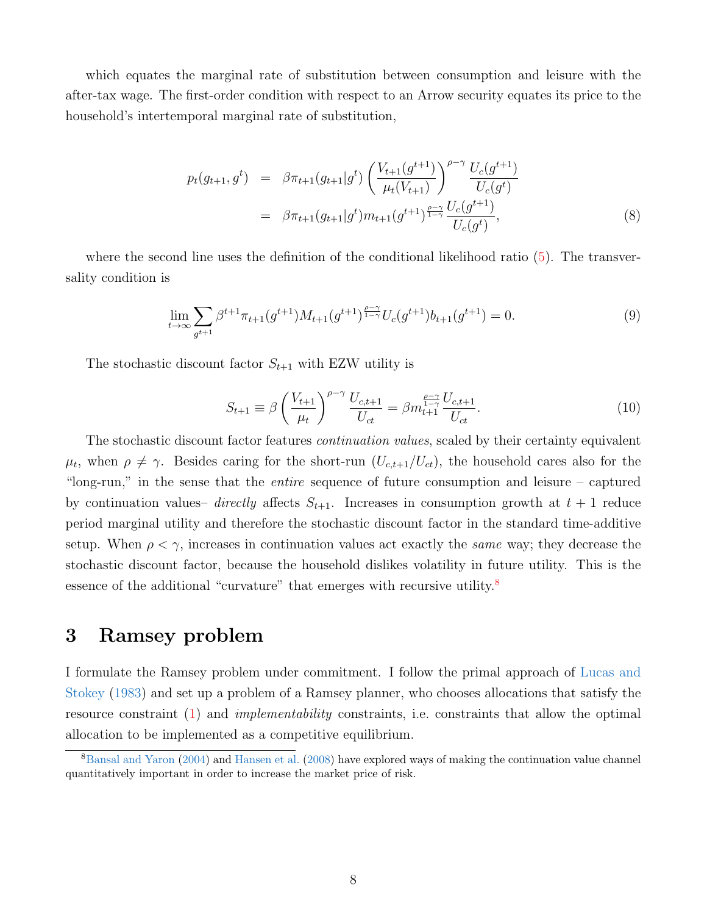which equates the marginal rate of substitution between consumption and leisure with the after-tax wage. The first-order condition with respect to an Arrow security equates its price to the household's intertemporal marginal rate of substitution,

<span id="page-8-2"></span>
$$
p_t(g_{t+1}, g^t) = \beta \pi_{t+1}(g_{t+1}|g^t) \left(\frac{V_{t+1}(g^{t+1})}{\mu_t(V_{t+1})}\right)^{\rho-\gamma} \frac{U_c(g^{t+1})}{U_c(g^t)}
$$
  

$$
= \beta \pi_{t+1}(g_{t+1}|g^t) m_{t+1}(g^{t+1})^{\frac{\rho-\gamma}{1-\gamma}} \frac{U_c(g^{t+1})}{U_c(g^t)},
$$
 (8)

where the second line uses the definition of the conditional likelihood ratio  $(5)$ . The transversality condition is

<span id="page-8-3"></span>
$$
\lim_{t \to \infty} \sum_{g^{t+1}} \beta^{t+1} \pi_{t+1}(g^{t+1}) M_{t+1}(g^{t+1})^{\frac{\rho - \gamma}{1 - \gamma}} U_c(g^{t+1}) b_{t+1}(g^{t+1}) = 0.
$$
\n(9)

The stochastic discount factor  $S_{t+1}$  with EZW utility is

$$
S_{t+1} \equiv \beta \left(\frac{V_{t+1}}{\mu_t}\right)^{\rho-\gamma} \frac{U_{c,t+1}}{U_{ct}} = \beta m_{t+1}^{\frac{\rho-\gamma}{1-\gamma}} \frac{U_{c,t+1}}{U_{ct}}.
$$
 (10)

The stochastic discount factor features *continuation values*, scaled by their certainty equivalent  $\mu_t$ , when  $\rho \neq \gamma$ . Besides caring for the short-run  $(U_{c,t+1}/U_{ct})$ , the household cares also for the "long-run," in the sense that the entire sequence of future consumption and leisure – captured by continuation values– directly affects  $S_{t+1}$ . Increases in consumption growth at  $t+1$  reduce period marginal utility and therefore the stochastic discount factor in the standard time-additive setup. When  $\rho < \gamma$ , increases in continuation values act exactly the *same* way; they decrease the stochastic discount factor, because the household dislikes volatility in future utility. This is the essence of the additional "curvature" that emerges with recursive utility. $8$ 

## <span id="page-8-0"></span>3 Ramsey problem

I formulate the Ramsey problem under commitment. I follow the primal approach of [Lucas and](#page-40-0) [Stokey](#page-40-0) [\(1983\)](#page-40-0) and set up a problem of a Ramsey planner, who chooses allocations that satisfy the resource constraint [\(1\)](#page-5-3) and implementability constraints, i.e. constraints that allow the optimal allocation to be implemented as a competitive equilibrium.

<span id="page-8-1"></span><sup>8</sup>[Bansal and Yaron](#page-39-2) [\(2004\)](#page-39-2) and [Hansen et al.](#page-40-1) [\(2008\)](#page-40-1) have explored ways of making the continuation value channel quantitatively important in order to increase the market price of risk.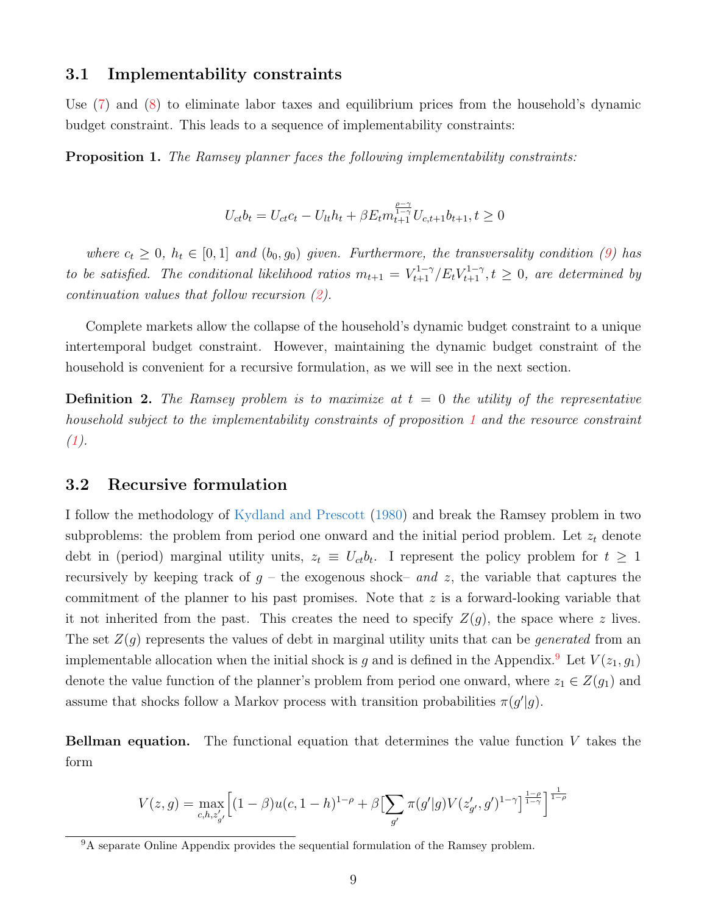### 3.1 Implementability constraints

Use [\(7\)](#page-7-0) and [\(8\)](#page-8-2) to eliminate labor taxes and equilibrium prices from the household's dynamic budget constraint. This leads to a sequence of implementability constraints:

<span id="page-9-0"></span>Proposition 1. The Ramsey planner faces the following implementability constraints:

$$
U_{ct}b_t = U_{ct}c_t - U_{lt}h_t + \beta E_t m_{t+1}^{\frac{\rho-\gamma}{1-\gamma}} U_{c,t+1}b_{t+1}, t \ge 0
$$

where  $c_t \geq 0$ ,  $h_t \in [0,1]$  and  $(b_0, g_0)$  given. Furthermore, the transversality condition [\(9\)](#page-8-3) has to be satisfied. The conditional likelihood ratios  $m_{t+1} = V_{t+1}^{1-\gamma}/E_t V_{t+1}^{1-\gamma}, t \ge 0$ , are determined by continuation values that follow recursion [\(2\)](#page-5-1).

Complete markets allow the collapse of the household's dynamic budget constraint to a unique intertemporal budget constraint. However, maintaining the dynamic budget constraint of the household is convenient for a recursive formulation, as we will see in the next section.

**Definition 2.** The Ramsey problem is to maximize at  $t = 0$  the utility of the representative household subject to the implementability constraints of proposition [1](#page-9-0) and the resource constraint  $(1).$  $(1).$ 

### 3.2 Recursive formulation

I follow the methodology of [Kydland and Prescott](#page-40-11) [\(1980\)](#page-40-11) and break the Ramsey problem in two subproblems: the problem from period one onward and the initial period problem. Let  $z_t$  denote debt in (period) marginal utility units,  $z_t \equiv U_{ct}b_t$ . I represent the policy problem for  $t \geq 1$ recursively by keeping track of  $g$  – the exogenous shock– and z, the variable that captures the commitment of the planner to his past promises. Note that  $z$  is a forward-looking variable that it not inherited from the past. This creates the need to specify  $Z(g)$ , the space where z lives. The set  $Z(g)$  represents the values of debt in marginal utility units that can be *generated* from an implementable allocation when the initial shock is g and is defined in the Appendix.<sup>[9](#page-9-1)</sup> Let  $V(z_1, g_1)$ denote the value function of the planner's problem from period one onward, where  $z_1 \in Z(g_1)$  and assume that shocks follow a Markov process with transition probabilities  $\pi(g'|g)$ .

**Bellman equation.** The functional equation that determines the value function  $V$  takes the form

$$
V(z,g) = \max_{c,h,z'_{g'}} \Big[ (1-\beta) u(c,1-h)^{1-\rho} + \beta \Big[ \sum_{g'} \pi(g'|g) V(z'_{g'},g')^{1-\gamma} \Big]^{\frac{1-\rho}{1-\gamma}} \Big]^{\frac{1}{1-\rho}}
$$

<span id="page-9-1"></span><sup>&</sup>lt;sup>9</sup>A separate Online Appendix provides the sequential formulation of the Ramsey problem.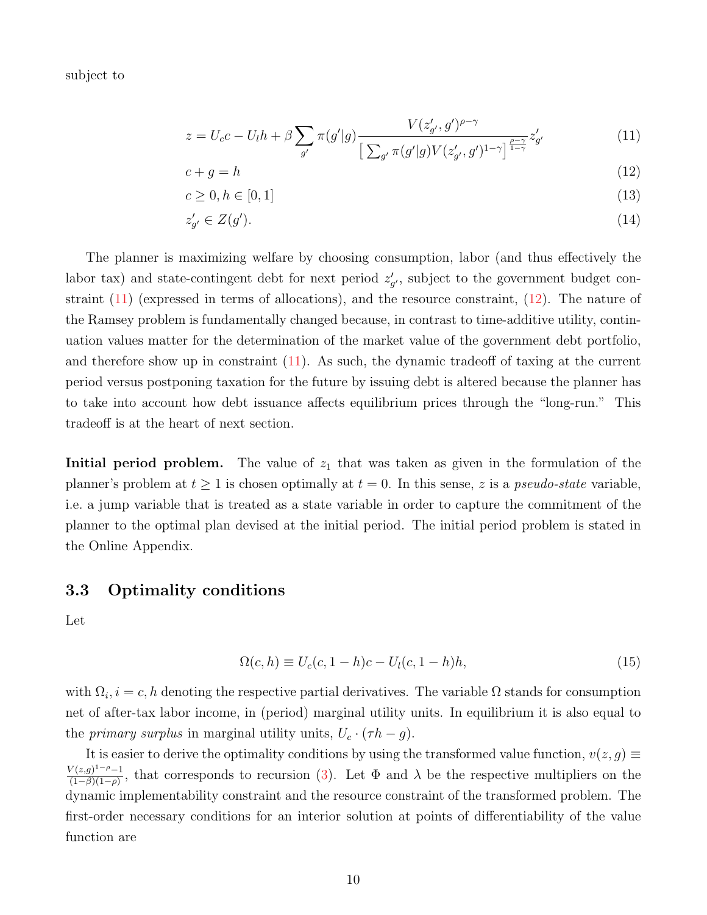subject to

<span id="page-10-0"></span>
$$
z = U_c c - U_l h + \beta \sum_{g'} \pi(g'|g) \frac{V(z'_{g'}, g')^{\rho - \gamma}}{\left[\sum_{g'} \pi(g'|g) V(z'_{g'}, g')^{1 - \gamma}\right]^{\frac{\rho - \gamma}{1 - \gamma}} z'_{g'}}
$$
(11)

$$
c + g = h \tag{12}
$$

$$
c \ge 0, h \in [0, 1] \tag{13}
$$

$$
z'_{g'} \in Z(g'). \tag{14}
$$

The planner is maximizing welfare by choosing consumption, labor (and thus effectively the labor tax) and state-contingent debt for next period  $z'_{g'}$ , subject to the government budget constraint [\(11\)](#page-10-0) (expressed in terms of allocations), and the resource constraint, [\(12\)](#page-10-0). The nature of the Ramsey problem is fundamentally changed because, in contrast to time-additive utility, continuation values matter for the determination of the market value of the government debt portfolio, and therefore show up in constraint [\(11\)](#page-10-0). As such, the dynamic tradeoff of taxing at the current period versus postponing taxation for the future by issuing debt is altered because the planner has to take into account how debt issuance affects equilibrium prices through the "long-run." This tradeoff is at the heart of next section.

**Initial period problem.** The value of  $z_1$  that was taken as given in the formulation of the planner's problem at  $t \geq 1$  is chosen optimally at  $t = 0$ . In this sense, z is a *pseudo-state* variable, i.e. a jump variable that is treated as a state variable in order to capture the commitment of the planner to the optimal plan devised at the initial period. The initial period problem is stated in the Online Appendix.

## 3.3 Optimality conditions

Let

$$
\Omega(c, h) \equiv U_c(c, 1 - h)c - U_l(c, 1 - h)h,
$$
\n(15)

with  $\Omega_i, i = c, h$  denoting the respective partial derivatives. The variable  $\Omega$  stands for consumption net of after-tax labor income, in (period) marginal utility units. In equilibrium it is also equal to the *primary surplus* in marginal utility units,  $U_c \cdot (\tau h - g)$ .

It is easier to derive the optimality conditions by using the transformed value function,  $v(z, g) \equiv$  $V(z,g)^{1-\rho}-1$  $\frac{\sqrt{(z,g)^2 - \rho-1}}{(1-\beta)(1-\rho)}$ , that corresponds to recursion [\(3\)](#page-5-2). Let  $\Phi$  and  $\lambda$  be the respective multipliers on the dynamic implementability constraint and the resource constraint of the transformed problem. The first-order necessary conditions for an interior solution at points of differentiability of the value function are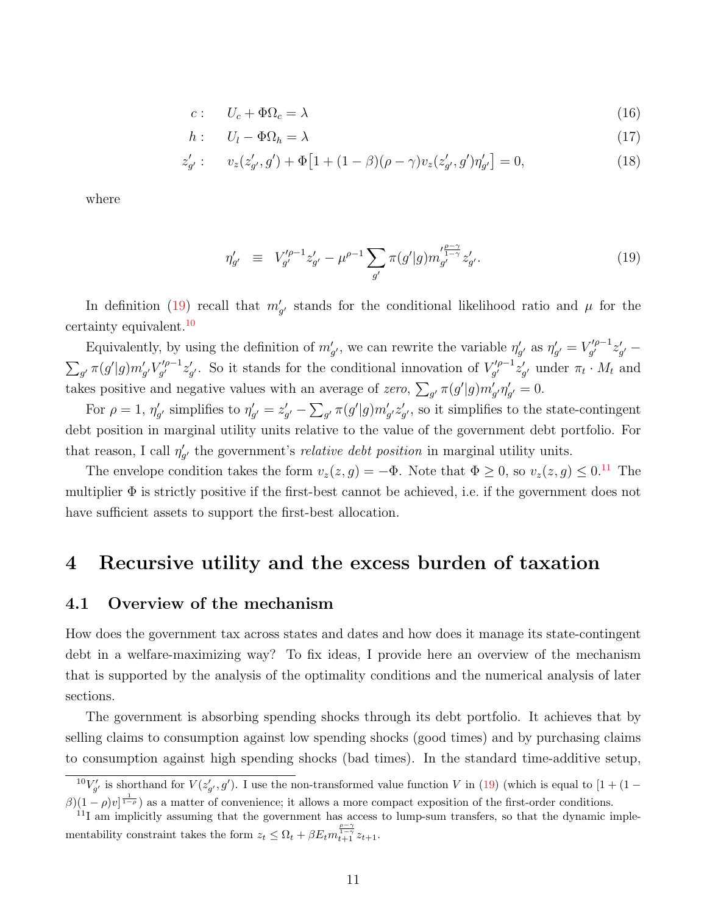<span id="page-11-4"></span>
$$
c: \tU_c + \Phi \Omega_c = \lambda \t(16)
$$

$$
h: \t U_l - \Phi \Omega_h = \lambda \t (17)
$$

$$
z'_{g'}: \qquad v_z(z'_{g'}, g') + \Phi \left[ 1 + (1 - \beta)(\rho - \gamma)v_z(z'_{g'}, g')\eta'_{g'} \right] = 0,\tag{18}
$$

where

<span id="page-11-1"></span>
$$
\eta'_{g'} \equiv V'^{\rho-1}_{g'} z'_{g'} - \mu^{\rho-1} \sum_{g'} \pi(g'|g) m'^{\frac{\rho-\gamma}{1-\gamma}}_{g'} z'_{g'}.
$$
\n(19)

In definition [\(19\)](#page-11-1) recall that  $m'_{g'}$  stands for the conditional likelihood ratio and  $\mu$  for the certainty equivalent.<sup>[10](#page-11-2)</sup>

Equivalently, by using the definition of  $m'_{g'}$ , we can rewrite the variable  $\eta'_{g'}$  as  $\eta'_{g'} = V'^{\rho-1}_{g'}$  $\tilde{g}^{\prime \rho -1}_{g^{\prime}}z_{g^{\prime}}^{\prime} =% \tilde{g}^{\prime \prime}z^{\prime \prime}_{g^{\prime}}-\tilde{g}^{\prime \prime \prime}$  $\sum_{g'} \pi(g'|g) m'_{g'} V'^{\rho-1}_{g'}$  $\int_{g'}^{f\rho-1} z'_{g'}$ . So it stands for the conditional innovation of  $V'^{\rho-1}_{g'}$  $\int_{g'}^{\prime \rho -1} z'_{g'}$  under  $\pi_t \cdot M_t$  and takes positive and negative values with an average of zero,  $\sum_{g'} \pi(g'|g) m'_{g'} \eta'_{g'} = 0$ .

For  $\rho = 1$ ,  $\eta'_{g'}$  simplifies to  $\eta'_{g'} = z'_{g'} - \sum_{g'} \pi(g'|g) m'_{g'} z'_{g'}$ , so it simplifies to the state-contingent debt position in marginal utility units relative to the value of the government debt portfolio. For that reason, I call  $\eta'_{g'}$  the government's *relative debt position* in marginal utility units.

The envelope condition takes the form  $v_z(z, g) = -\Phi$ . Note that  $\Phi \geq 0$ , so  $v_z(z, g) \leq 0.11$  $v_z(z, g) \leq 0.11$  The multiplier  $\Phi$  is strictly positive if the first-best cannot be achieved, i.e. if the government does not have sufficient assets to support the first-best allocation.

## <span id="page-11-0"></span>4 Recursive utility and the excess burden of taxation

### 4.1 Overview of the mechanism

How does the government tax across states and dates and how does it manage its state-contingent debt in a welfare-maximizing way? To fix ideas, I provide here an overview of the mechanism that is supported by the analysis of the optimality conditions and the numerical analysis of later sections.

The government is absorbing spending shocks through its debt portfolio. It achieves that by selling claims to consumption against low spending shocks (good times) and by purchasing claims to consumption against high spending shocks (bad times). In the standard time-additive setup,

<span id="page-11-2"></span> $^{10}V'_{g'}$  is shorthand for  $V(z'_{g'}, g')$ . I use the non-transformed value function V in [\(19\)](#page-11-1) (which is equal to [1 + (1 –  $\beta(1-\rho)v^{\frac{1}{1-\rho}}$  as a matter of convenience; it allows a more compact exposition of the first-order conditions.

<span id="page-11-3"></span> $11$ I am implicitly assuming that the government has access to lump-sum transfers, so that the dynamic implementability constraint takes the form  $z_t \leq \Omega_t + \beta E_t m_{t+1}^{\frac{\beta-\gamma}{1-\gamma}} z_{t+1}$ .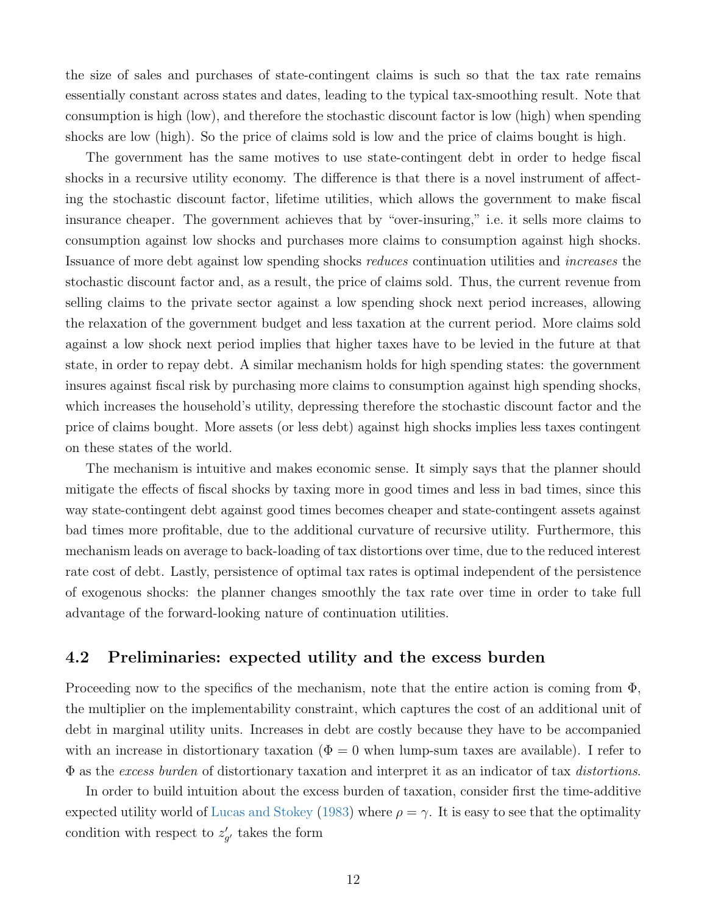the size of sales and purchases of state-contingent claims is such so that the tax rate remains essentially constant across states and dates, leading to the typical tax-smoothing result. Note that consumption is high (low), and therefore the stochastic discount factor is low (high) when spending shocks are low (high). So the price of claims sold is low and the price of claims bought is high.

The government has the same motives to use state-contingent debt in order to hedge fiscal shocks in a recursive utility economy. The difference is that there is a novel instrument of affecting the stochastic discount factor, lifetime utilities, which allows the government to make fiscal insurance cheaper. The government achieves that by "over-insuring," i.e. it sells more claims to consumption against low shocks and purchases more claims to consumption against high shocks. Issuance of more debt against low spending shocks reduces continuation utilities and increases the stochastic discount factor and, as a result, the price of claims sold. Thus, the current revenue from selling claims to the private sector against a low spending shock next period increases, allowing the relaxation of the government budget and less taxation at the current period. More claims sold against a low shock next period implies that higher taxes have to be levied in the future at that state, in order to repay debt. A similar mechanism holds for high spending states: the government insures against fiscal risk by purchasing more claims to consumption against high spending shocks, which increases the household's utility, depressing therefore the stochastic discount factor and the price of claims bought. More assets (or less debt) against high shocks implies less taxes contingent on these states of the world.

The mechanism is intuitive and makes economic sense. It simply says that the planner should mitigate the effects of fiscal shocks by taxing more in good times and less in bad times, since this way state-contingent debt against good times becomes cheaper and state-contingent assets against bad times more profitable, due to the additional curvature of recursive utility. Furthermore, this mechanism leads on average to back-loading of tax distortions over time, due to the reduced interest rate cost of debt. Lastly, persistence of optimal tax rates is optimal independent of the persistence of exogenous shocks: the planner changes smoothly the tax rate over time in order to take full advantage of the forward-looking nature of continuation utilities.

## 4.2 Preliminaries: expected utility and the excess burden

Proceeding now to the specifics of the mechanism, note that the entire action is coming from  $\Phi$ , the multiplier on the implementability constraint, which captures the cost of an additional unit of debt in marginal utility units. Increases in debt are costly because they have to be accompanied with an increase in distortionary taxation ( $\Phi = 0$  when lump-sum taxes are available). I refer to  $\Phi$  as the excess burden of distortionary taxation and interpret it as an indicator of tax distortions.

In order to build intuition about the excess burden of taxation, consider first the time-additive expected utility world of [Lucas and Stokey](#page-40-0) [\(1983\)](#page-40-0) where  $\rho = \gamma$ . It is easy to see that the optimality condition with respect to  $z'_{g'}$  takes the form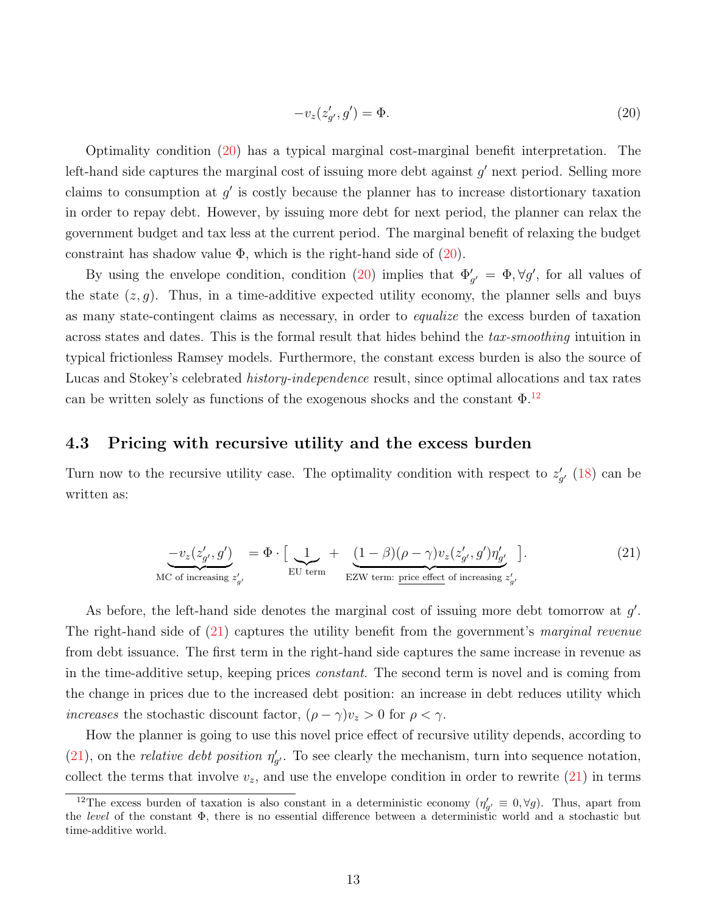<span id="page-13-0"></span>
$$
-v_z(z'_{g'}, g') = \Phi.
$$
\n<sup>(20)</sup>

Optimality condition [\(20\)](#page-13-0) has a typical marginal cost-marginal benefit interpretation. The left-hand side captures the marginal cost of issuing more debt against  $g'$  next period. Selling more claims to consumption at  $g'$  is costly because the planner has to increase distortionary taxation in order to repay debt. However, by issuing more debt for next period, the planner can relax the government budget and tax less at the current period. The marginal benefit of relaxing the budget constraint has shadow value  $\Phi$ , which is the right-hand side of  $(20)$ .

By using the envelope condition, condition [\(20\)](#page-13-0) implies that  $\Phi'_{g'} = \Phi, \forall g'$ , for all values of the state  $(z, g)$ . Thus, in a time-additive expected utility economy, the planner sells and buys as many state-contingent claims as necessary, in order to equalize the excess burden of taxation across states and dates. This is the formal result that hides behind the tax-smoothing intuition in typical frictionless Ramsey models. Furthermore, the constant excess burden is also the source of Lucas and Stokey's celebrated *history-independence* result, since optimal allocations and tax rates can be written solely as functions of the exogenous shocks and the constant  $\Phi$ .<sup>[12](#page-13-1)</sup>

### 4.3 Pricing with recursive utility and the excess burden

Turn now to the recursive utility case. The optimality condition with respect to  $z'_{g'}$  [\(18\)](#page-11-4) can be written as:

<span id="page-13-2"></span>
$$
\underbrace{-v_z(z'_{g'}, g')}_{\text{MC of increasing } z'_{g'}} = \Phi \cdot \left[ \underbrace{1}_{\text{EU term}} + \underbrace{(1 - \beta)(\rho - \gamma)v_z(z'_{g'}, g')\eta'_{g'}}_{\text{EZW term: price effect of increasing } z'_{g'}} \right].
$$
\n(21)

As before, the left-hand side denotes the marginal cost of issuing more debt tomorrow at  $g'$ . The right-hand side of [\(21\)](#page-13-2) captures the utility benefit from the government's marginal revenue from debt issuance. The first term in the right-hand side captures the same increase in revenue as in the time-additive setup, keeping prices *constant*. The second term is novel and is coming from the change in prices due to the increased debt position: an increase in debt reduces utility which *increases* the stochastic discount factor,  $(\rho - \gamma)v_z > 0$  for  $\rho < \gamma$ .

How the planner is going to use this novel price effect of recursive utility depends, according to [\(21\)](#page-13-2), on the *relative debt position*  $\eta'_{g'}$ . To see clearly the mechanism, turn into sequence notation, collect the terms that involve  $v_z$ , and use the envelope condition in order to rewrite  $(21)$  in terms

<span id="page-13-1"></span><sup>&</sup>lt;sup>12</sup>The excess burden of taxation is also constant in a deterministic economy  $(\eta'_{g'} \equiv 0, \forall g)$ . Thus, apart from the level of the constant  $\Phi$ , there is no essential difference between a deterministic world and a stochastic but time-additive world.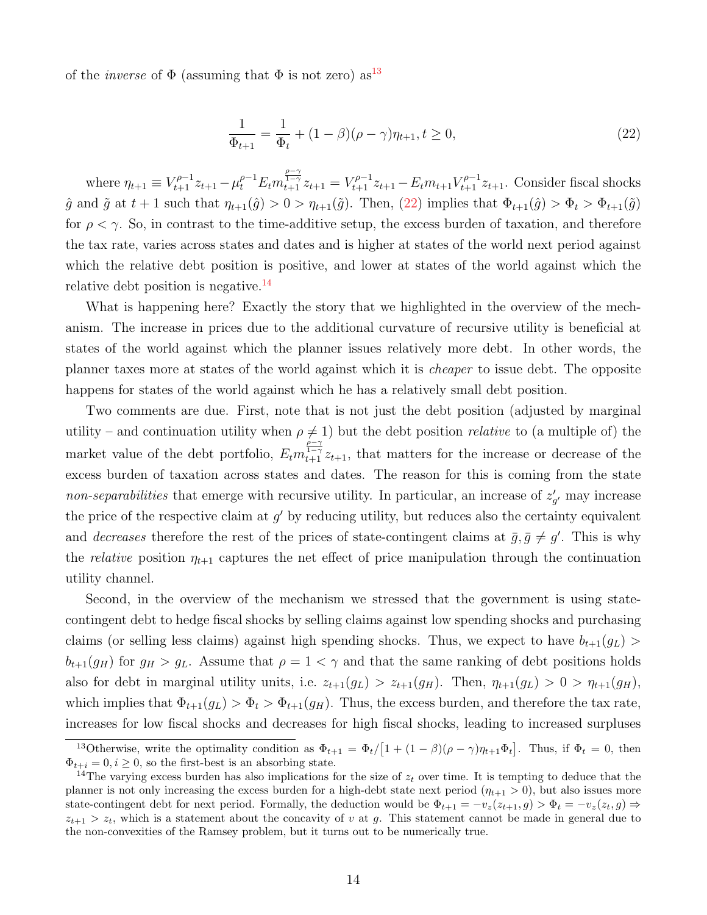of the *inverse* of  $\Phi$  (assuming that  $\Phi$  is not zero) as<sup>[13](#page-14-0)</sup>

<span id="page-14-1"></span>
$$
\frac{1}{\Phi_{t+1}} = \frac{1}{\Phi_t} + (1 - \beta)(\rho - \gamma)\eta_{t+1}, t \ge 0,
$$
\n(22)

where  $\eta_{t+1} \equiv V_{t+1}^{\rho-1} z_{t+1} - \mu_t^{\rho-1} E_t m_{t+1}^{\frac{\rho-\gamma}{1-\gamma}} z_{t+1} = V_{t+1}^{\rho-1} z_{t+1} - E_t m_{t+1} V_{t+1}^{\rho-1} z_{t+1}$ . Consider fiscal shocks  $\hat{g}$  and  $\tilde{g}$  at  $t + 1$  such that  $\eta_{t+1}(\hat{g}) > 0 > \eta_{t+1}(\tilde{g})$ . Then,  $(22)$  implies that  $\Phi_{t+1}(\hat{g}) > \Phi_t > \Phi_{t+1}(\tilde{g})$ for  $\rho < \gamma$ . So, in contrast to the time-additive setup, the excess burden of taxation, and therefore the tax rate, varies across states and dates and is higher at states of the world next period against which the relative debt position is positive, and lower at states of the world against which the relative debt position is negative. $^{14}$  $^{14}$  $^{14}$ 

What is happening here? Exactly the story that we highlighted in the overview of the mechanism. The increase in prices due to the additional curvature of recursive utility is beneficial at states of the world against which the planner issues relatively more debt. In other words, the planner taxes more at states of the world against which it is cheaper to issue debt. The opposite happens for states of the world against which he has a relatively small debt position.

Two comments are due. First, note that is not just the debt position (adjusted by marginal utility – and continuation utility when  $\rho \neq 1$ ) but the debt position *relative* to (a multiple of) the market value of the debt portfolio,  $E_t m_{t+1}^{\frac{\rho-\gamma}{1-\gamma}} z_{t+1}$ , that matters for the increase or decrease of the excess burden of taxation across states and dates. The reason for this is coming from the state non-separabilities that emerge with recursive utility. In particular, an increase of  $z'_{g'}$  may increase the price of the respective claim at  $g'$  by reducing utility, but reduces also the certainty equivalent and *decreases* therefore the rest of the prices of state-contingent claims at  $\bar{g}, \bar{g} \neq g'$ . This is why the *relative* position  $\eta_{t+1}$  captures the net effect of price manipulation through the continuation utility channel.

Second, in the overview of the mechanism we stressed that the government is using statecontingent debt to hedge fiscal shocks by selling claims against low spending shocks and purchasing claims (or selling less claims) against high spending shocks. Thus, we expect to have  $b_{t+1}(g_L)$  $b_{t+1}(g_H)$  for  $g_H > g_L$ . Assume that  $\rho = 1 < \gamma$  and that the same ranking of debt positions holds also for debt in marginal utility units, i.e.  $z_{t+1}(g_L) > z_{t+1}(g_H)$ . Then,  $\eta_{t+1}(g_L) > 0 > \eta_{t+1}(g_H)$ , which implies that  $\Phi_{t+1}(g_L) > \Phi_t > \Phi_{t+1}(g_H)$ . Thus, the excess burden, and therefore the tax rate, increases for low fiscal shocks and decreases for high fiscal shocks, leading to increased surpluses

<span id="page-14-0"></span><sup>&</sup>lt;sup>13</sup>Otherwise, write the optimality condition as  $\Phi_{t+1} = \Phi_t/[1 + (1 - \beta)(\rho - \gamma)\eta_{t+1}\Phi_t]$ . Thus, if  $\Phi_t = 0$ , then  $\Phi_{t+i} = 0, i \geq 0$ , so the first-best is an absorbing state.

<span id="page-14-2"></span><sup>&</sup>lt;sup>14</sup>The varying excess burden has also implications for the size of  $z_t$  over time. It is tempting to deduce that the planner is not only increasing the excess burden for a high-debt state next period  $(\eta_{t+1} > 0)$ , but also issues more state-contingent debt for next period. Formally, the deduction would be  $\Phi_{t+1} = -v_z(z_{t+1}, g) > \Phi_t = -v_z(z_t, g) \Rightarrow$  $z_{t+1} > z_t$ , which is a statement about the concavity of v at g. This statement cannot be made in general due to the non-convexities of the Ramsey problem, but it turns out to be numerically true.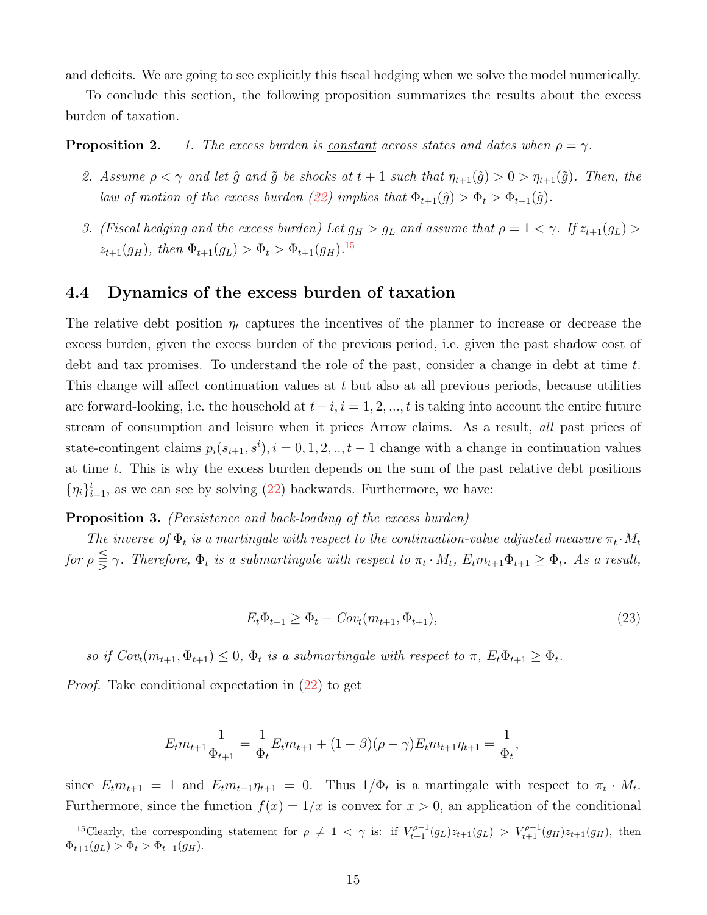and deficits. We are going to see explicitly this fiscal hedging when we solve the model numerically.

To conclude this section, the following proposition summarizes the results about the excess burden of taxation.

**Proposition 2.** 1. The excess burden is <u>constant</u> across states and dates when  $\rho = \gamma$ .

- 2. Assume  $\rho < \gamma$  and let  $\hat{g}$  and  $\tilde{g}$  be shocks at  $t + 1$  such that  $\eta_{t+1}(\hat{g}) > 0 > \eta_{t+1}(\tilde{g})$ . Then, the law of motion of the excess burden [\(22\)](#page-14-1) implies that  $\Phi_{t+1}(\hat{g}) > \Phi_t > \Phi_{t+1}(\tilde{g})$ .
- 3. (Fiscal hedging and the excess burden) Let  $g_H > g_L$  and assume that  $\rho = 1 < \gamma$ . If  $z_{t+1}(g_L) >$  $z_{t+1}(g_H)$ , then  $\Phi_{t+1}(g_L) > \Phi_t > \Phi_{t+1}(g_H)$ .<sup>[15](#page-15-0)</sup>

### 4.4 Dynamics of the excess burden of taxation

The relative debt position  $\eta_t$  captures the incentives of the planner to increase or decrease the excess burden, given the excess burden of the previous period, i.e. given the past shadow cost of debt and tax promises. To understand the role of the past, consider a change in debt at time  $t$ . This change will affect continuation values at t but also at all previous periods, because utilities are forward-looking, i.e. the household at  $t-i$ ,  $i = 1, 2, ..., t$  is taking into account the entire future stream of consumption and leisure when it prices Arrow claims. As a result, all past prices of state-contingent claims  $p_i(s_{i+1}, s^i), i = 0, 1, 2, ..., t-1$  change with a change in continuation values at time t. This is why the excess burden depends on the sum of the past relative debt positions  $\{\eta_i\}_{i=1}^t$ , as we can see by solving [\(22\)](#page-14-1) backwards. Furthermore, we have:

#### <span id="page-15-2"></span>**Proposition 3.** (Persistence and back-loading of the excess burden)

The inverse of  $\Phi_t$  is a martingale with respect to the continuation-value adjusted measure  $\pi_t \cdot M_t$ for  $\rho \leqq \gamma$ . Therefore,  $\Phi_t$  is a submartingale with respect to  $\pi_t \cdot M_t$ ,  $E_t m_{t+1} \Phi_{t+1} \geq \Phi_t$ . As a result,

<span id="page-15-1"></span>
$$
E_t \Phi_{t+1} \ge \Phi_t - Cov_t(m_{t+1}, \Phi_{t+1}),
$$
\n(23)

so if  $Cov_t(m_{t+1}, \Phi_{t+1}) \leq 0$ ,  $\Phi_t$  is a submartingale with respect to  $\pi$ ,  $E_t\Phi_{t+1} \geq \Phi_t$ .

Proof. Take conditional expectation in [\(22\)](#page-14-1) to get

$$
E_t m_{t+1} \frac{1}{\Phi_{t+1}} = \frac{1}{\Phi_t} E_t m_{t+1} + (1 - \beta)(\rho - \gamma) E_t m_{t+1} \eta_{t+1} = \frac{1}{\Phi_t},
$$

since  $E_t m_{t+1} = 1$  and  $E_t m_{t+1} \eta_{t+1} = 0$ . Thus  $1/\Phi_t$  is a martingale with respect to  $\pi_t \cdot M_t$ . Furthermore, since the function  $f(x) = 1/x$  is convex for  $x > 0$ , an application of the conditional

<span id="page-15-0"></span><sup>&</sup>lt;sup>15</sup>Clearly, the corresponding statement for  $\rho \neq 1 < \gamma$  is: if  $V_{t+1}^{\rho-1}(g_L)z_{t+1}(g_L) > V_{t+1}^{\rho-1}(g_H)z_{t+1}(g_H)$ , then  $\Phi_{t+1}(g_L) > \Phi_t > \Phi_{t+1}(g_H).$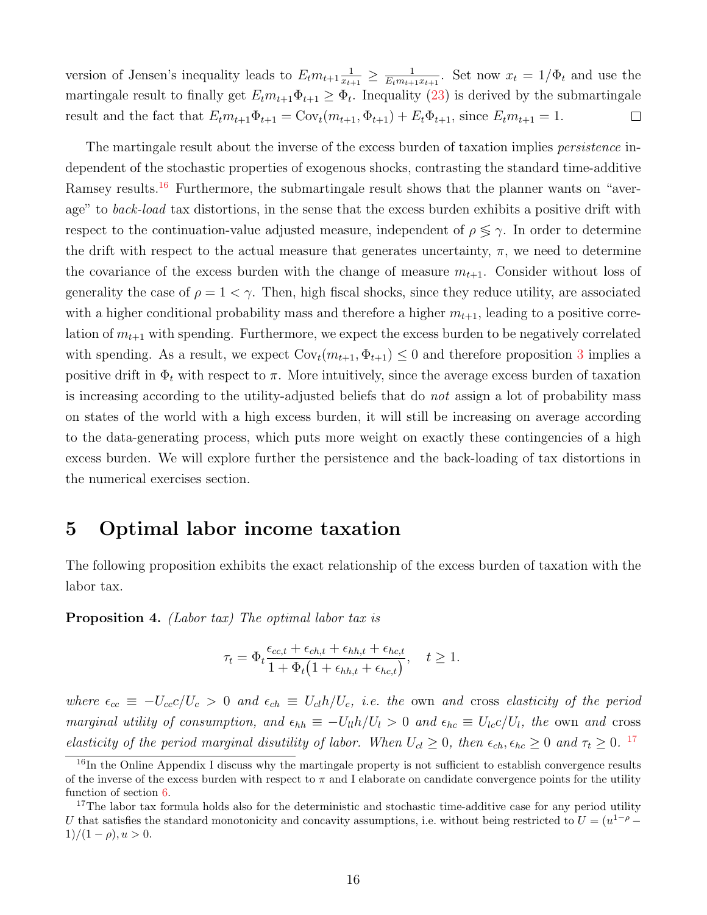version of Jensen's inequality leads to  $E_t m_{t+1} \frac{1}{x_t}$  $\frac{1}{x_{t+1}} \geq \frac{1}{E_t m_{t+1}}$  $\frac{1}{E_t m_{t+1}x_{t+1}}$ . Set now  $x_t = 1/\Phi_t$  and use the martingale result to finally get  $E_t m_{t+1} \Phi_{t+1} \ge \Phi_t$ . Inequality [\(23\)](#page-15-1) is derived by the submartingale result and the fact that  $E_t m_{t+1} \Phi_{t+1} = \text{Cov}_t(m_{t+1}, \Phi_{t+1}) + E_t \Phi_{t+1}$ , since  $E_t m_{t+1} = 1$ .  $\Box$ 

The martingale result about the inverse of the excess burden of taxation implies *persistence* independent of the stochastic properties of exogenous shocks, contrasting the standard time-additive Ramsey results.<sup>[16](#page-16-1)</sup> Furthermore, the submartingale result shows that the planner wants on "average" to back-load tax distortions, in the sense that the excess burden exhibits a positive drift with respect to the continuation-value adjusted measure, independent of  $\rho \leq \gamma$ . In order to determine the drift with respect to the actual measure that generates uncertainty,  $\pi$ , we need to determine the covariance of the excess burden with the change of measure  $m_{t+1}$ . Consider without loss of generality the case of  $\rho = 1 < \gamma$ . Then, high fiscal shocks, since they reduce utility, are associated with a higher conditional probability mass and therefore a higher  $m_{t+1}$ , leading to a positive correlation of  $m_{t+1}$  with spending. Furthermore, we expect the excess burden to be negatively correlated with spending. As a result, we expect  $Cov_t(m_{t+1}, \Phi_{t+1}) \leq 0$  and therefore proposition [3](#page-15-2) implies a positive drift in  $\Phi_t$  with respect to  $\pi$ . More intuitively, since the average excess burden of taxation is increasing according to the utility-adjusted beliefs that do not assign a lot of probability mass on states of the world with a high excess burden, it will still be increasing on average according to the data-generating process, which puts more weight on exactly these contingencies of a high excess burden. We will explore further the persistence and the back-loading of tax distortions in the numerical exercises section.

## <span id="page-16-0"></span>5 Optimal labor income taxation

The following proposition exhibits the exact relationship of the excess burden of taxation with the labor tax.

<span id="page-16-3"></span>Proposition 4. (Labor tax) The optimal labor tax is

$$
\tau_t = \Phi_t \frac{\epsilon_{cc,t} + \epsilon_{ch,t} + \epsilon_{hh,t} + \epsilon_{hc,t}}{1 + \Phi_t \left(1 + \epsilon_{hh,t} + \epsilon_{hc,t}\right)}, \quad t \ge 1.
$$

where  $\epsilon_{cc} \equiv -U_{cc}c/U_c > 0$  and  $\epsilon_{ch} \equiv U_{cl}h/U_c$ , i.e. the own and cross elasticity of the period marginal utility of consumption, and  $\epsilon_{hh} \equiv -U_{ll}h/U_l > 0$  and  $\epsilon_{hc} \equiv U_{lc}c/U_l$ , the own and cross elasticity of the period marginal disutility of labor. When  $U_{cl} \geq 0$ , then  $\epsilon_{ch}$ ,  $\epsilon_{hc} \geq 0$  and  $\tau_t \geq 0$ . <sup>[17](#page-16-2)</sup>

<span id="page-16-1"></span> $16$ In the Online Appendix I discuss why the martingale property is not sufficient to establish convergence results of the inverse of the excess burden with respect to  $\pi$  and I elaborate on candidate convergence points for the utility function of section [6.](#page-18-0)

<span id="page-16-2"></span> $17$ The labor tax formula holds also for the deterministic and stochastic time-additive case for any period utility U that satisfies the standard monotonicity and concavity assumptions, i.e. without being restricted to  $U = (u^{1-\rho} 1)/(1 - \rho)$ ,  $u > 0$ .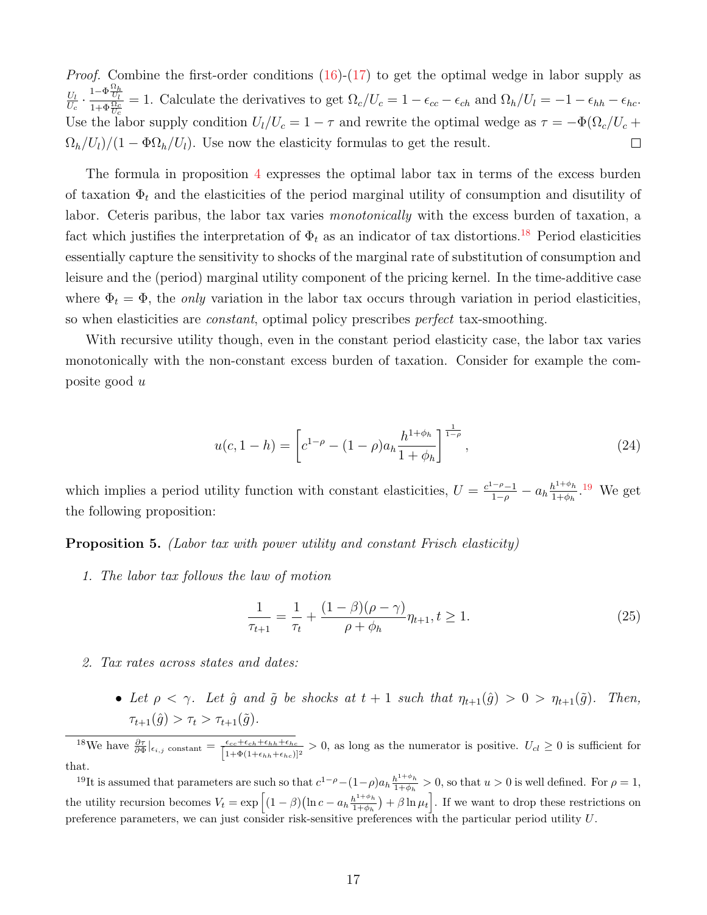*Proof.* Combine the first-order conditions  $(16)-(17)$  $(16)-(17)$  $(16)-(17)$  to get the optimal wedge in labor supply as  $\frac{U_l}{U_c} \cdot \frac{1-\Phi\frac{\Omega_h}{U_l}}{1+\Phi\frac{\Omega_c}{U_c}} = 1.$  Calculate the derivatives to get  $\Omega_c/U_c = 1 - \epsilon_{cc} - \epsilon_{ch}$  and  $\Omega_h/U_l = -1 - \epsilon_{hh} - \epsilon_{hc}$ .  $U_l$ Use the labor supply condition  $U_l/U_c = 1 - \tau$  and rewrite the optimal wedge as  $\tau = -\Phi(\Omega_c/U_c + \tau)$  $\Omega_h/U_l$ )/(1 –  $\Phi \Omega_h/U_l$ ). Use now the elasticity formulas to get the result.  $\Box$ 

The formula in proposition [4](#page-16-3) expresses the optimal labor tax in terms of the excess burden of taxation  $\Phi_t$  and the elasticities of the period marginal utility of consumption and disutility of labor. Ceteris paribus, the labor tax varies *monotonically* with the excess burden of taxation, a fact which justifies the interpretation of  $\Phi_t$  as an indicator of tax distortions.<sup>[18](#page-17-0)</sup> Period elasticities essentially capture the sensitivity to shocks of the marginal rate of substitution of consumption and leisure and the (period) marginal utility component of the pricing kernel. In the time-additive case where  $\Phi_t = \Phi$ , the *only* variation in the labor tax occurs through variation in period elasticities, so when elasticities are constant, optimal policy prescribes perfect tax-smoothing.

With recursive utility though, even in the constant period elasticity case, the labor tax varies monotonically with the non-constant excess burden of taxation. Consider for example the composite good u

$$
u(c, 1-h) = \left[c^{1-\rho} - (1-\rho)a_h \frac{h^{1+\phi_h}}{1+\phi_h}\right]^{\frac{1}{1-\rho}},
$$
\n(24)

which implies a period utility function with constant elasticities,  $U = \frac{c^{1-\rho}-1}{1-\rho} - a_h \frac{h^{1+\phi_h}}{1+\phi_h}$  $\frac{h^{1+\phi_h}}{1+\phi_h}$ .<sup>[19](#page-17-1)</sup> We get the following proposition:

<span id="page-17-3"></span>Proposition 5. (Labor tax with power utility and constant Frisch elasticity)

1. The labor tax follows the law of motion

<span id="page-17-2"></span>
$$
\frac{1}{\tau_{t+1}} = \frac{1}{\tau_t} + \frac{(1-\beta)(\rho-\gamma)}{\rho+\phi_h} \eta_{t+1}, t \ge 1.
$$
\n(25)

- 2. Tax rates across states and dates:
	- Let  $\rho < \gamma$ . Let  $\hat{g}$  and  $\tilde{g}$  be shocks at  $t + 1$  such that  $\eta_{t+1}(\hat{g}) > 0 > \eta_{t+1}(\tilde{g})$ . Then,  $\tau_{t+1}(\hat{g}) > \tau_t > \tau_{t+1}(\tilde{g}).$

<span id="page-17-0"></span><sup>18</sup>We have  $\frac{\partial \tau}{\partial \Phi}|_{\epsilon_{i,j}}$  constant =  $\frac{\epsilon_{cc}+\epsilon_{ch}+\epsilon_{hh}+\epsilon_{hc}}{[1+\Phi(1+\epsilon_{hh}+\epsilon_{hc})]}$  $\frac{\epsilon_{cc}+\epsilon_{ch}+\epsilon_{hh}+\epsilon_{hc}}{1+\Phi(1+\epsilon_{hh}+\epsilon_{hc})]^2} > 0$ , as long as the numerator is positive.  $U_{cl} \geq 0$  is sufficient for that.

<span id="page-17-1"></span><sup>19</sup>It is assumed that parameters are such so that  $c^{1-\rho}-(1-\rho)a_h\frac{h^{1+\phi_h}}{1+\phi_h}$  $\frac{h^{1+\varphi}h}{1+\varphi_h} > 0$ , so that  $u > 0$  is well defined. For  $\rho = 1$ , the utility recursion becomes  $V_t = \exp \left[ (1 - \beta) (\ln c - a_h \frac{h^{1+\phi_h}}{1+\phi_h}) \right]$  $\frac{h^{1+\phi_h}}{1+\phi_h}$  +  $\beta \ln \mu_t$ . If we want to drop these restrictions on preference parameters, we can just consider risk-sensitive preferences with the particular period utility U.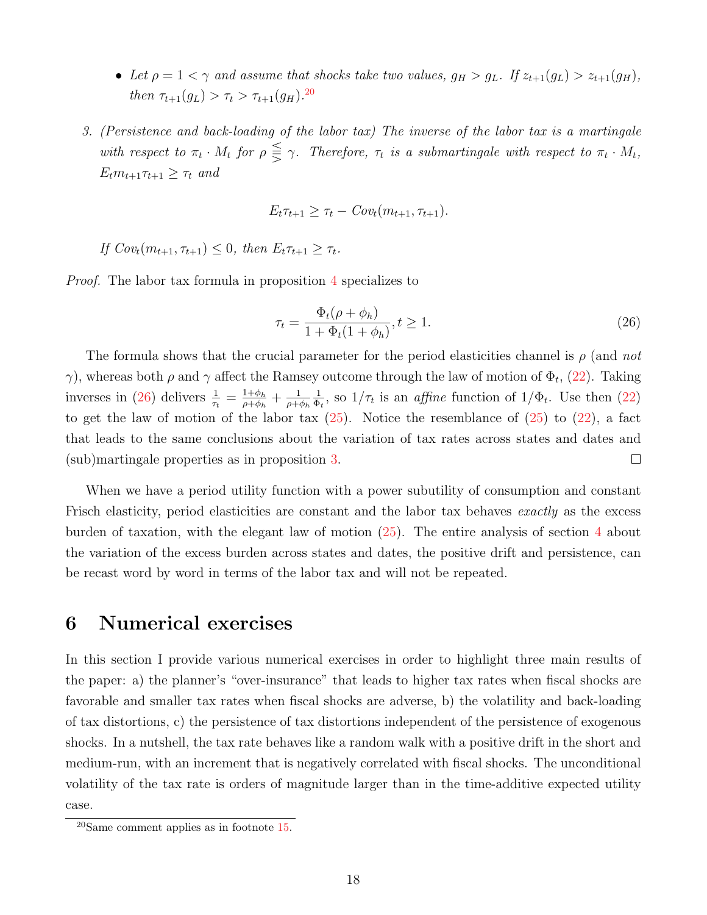- Let  $\rho = 1 < \gamma$  and assume that shocks take two values,  $g_H > g_L$ . If  $z_{t+1}(g_L) > z_{t+1}(g_H)$ , then  $\tau_{t+1}(g_L) > \tau_t > \tau_{t+1}(g_H)$ .<sup>[20](#page-18-1)</sup>
- 3. (Persistence and back-loading of the labor tax) The inverse of the labor tax is a martingale with respect to  $\pi_t \cdot M_t$  for  $\rho \leq \gamma$ . Therefore,  $\tau_t$  is a submartingale with respect to  $\pi_t \cdot M_t$ ,  $E_t m_{t+1} \tau_{t+1} \geq \tau_t$  and

$$
E_t \tau_{t+1} \geq \tau_t - Cov_t(m_{t+1}, \tau_{t+1}).
$$

If  $Cov_t(m_{t+1}, \tau_{t+1}) \leq 0$ , then  $E_t \tau_{t+1} \geq \tau_t$ .

Proof. The labor tax formula in proposition [4](#page-16-3) specializes to

<span id="page-18-2"></span>
$$
\tau_t = \frac{\Phi_t(\rho + \phi_h)}{1 + \Phi_t(1 + \phi_h)}, t \ge 1.
$$
\n
$$
(26)
$$

The formula shows that the crucial parameter for the period elasticities channel is  $\rho$  (and not  $\gamma$ ), whereas both  $\rho$  and  $\gamma$  affect the Ramsey outcome through the law of motion of  $\Phi_t$ , [\(22\)](#page-14-1). Taking inverses in [\(26\)](#page-18-2) delivers  $\frac{1}{\tau_t} = \frac{1+\phi_h}{\rho+\phi_h}$  $\frac{1+\phi_h}{\rho+\phi_h}+\frac{1}{\rho+\alpha}$ 1  $\frac{1}{\Phi_t}$ , so  $1/\tau_t$  is an *affine* function of  $1/\Phi_t$ . Use then [\(22\)](#page-14-1)  $\rho + \phi_h$ to get the law of motion of the labor tax  $(25)$ . Notice the resemblance of  $(25)$  to  $(22)$ , a fact that leads to the same conclusions about the variation of tax rates across states and dates and (sub)martingale properties as in proposition [3.](#page-15-2)  $\Box$ 

When we have a period utility function with a power subutility of consumption and constant Frisch elasticity, period elasticities are constant and the labor tax behaves *exactly* as the excess burden of taxation, with the elegant law of motion [\(25\)](#page-17-2). The entire analysis of section [4](#page-11-0) about the variation of the excess burden across states and dates, the positive drift and persistence, can be recast word by word in terms of the labor tax and will not be repeated.

## <span id="page-18-0"></span>6 Numerical exercises

In this section I provide various numerical exercises in order to highlight three main results of the paper: a) the planner's "over-insurance" that leads to higher tax rates when fiscal shocks are favorable and smaller tax rates when fiscal shocks are adverse, b) the volatility and back-loading of tax distortions, c) the persistence of tax distortions independent of the persistence of exogenous shocks. In a nutshell, the tax rate behaves like a random walk with a positive drift in the short and medium-run, with an increment that is negatively correlated with fiscal shocks. The unconditional volatility of the tax rate is orders of magnitude larger than in the time-additive expected utility case.

<span id="page-18-1"></span><sup>20</sup>Same comment applies as in footnote [15.](#page-15-0)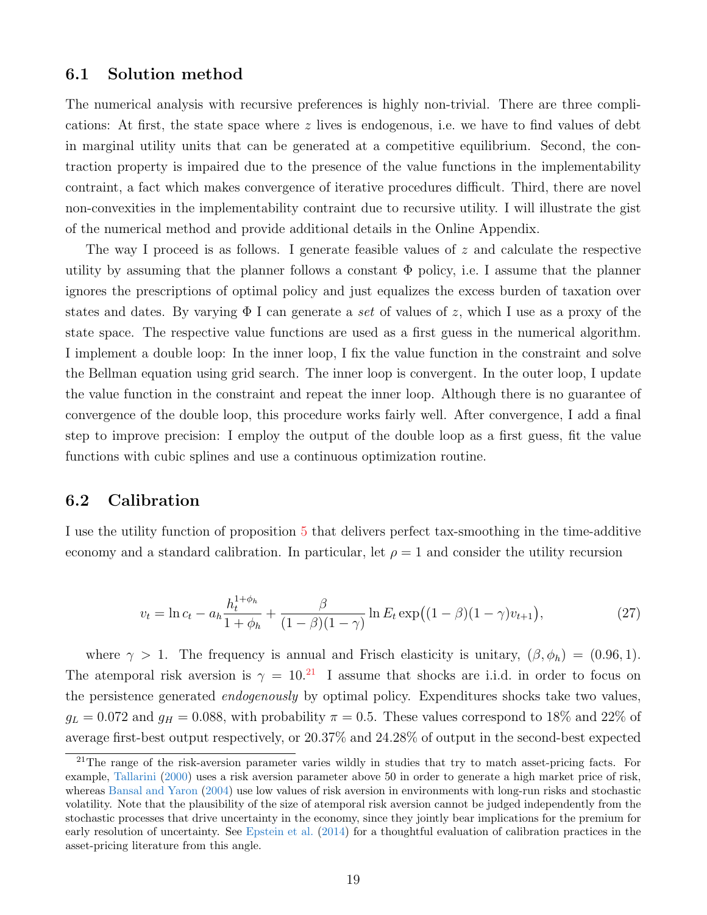### 6.1 Solution method

The numerical analysis with recursive preferences is highly non-trivial. There are three complications: At first, the state space where  $z$  lives is endogenous, i.e. we have to find values of debt in marginal utility units that can be generated at a competitive equilibrium. Second, the contraction property is impaired due to the presence of the value functions in the implementability contraint, a fact which makes convergence of iterative procedures difficult. Third, there are novel non-convexities in the implementability contraint due to recursive utility. I will illustrate the gist of the numerical method and provide additional details in the Online Appendix.

The way I proceed is as follows. I generate feasible values of  $z$  and calculate the respective utility by assuming that the planner follows a constant  $\Phi$  policy, i.e. I assume that the planner ignores the prescriptions of optimal policy and just equalizes the excess burden of taxation over states and dates. By varying  $\Phi$  I can generate a set of values of z, which I use as a proxy of the state space. The respective value functions are used as a first guess in the numerical algorithm. I implement a double loop: In the inner loop, I fix the value function in the constraint and solve the Bellman equation using grid search. The inner loop is convergent. In the outer loop, I update the value function in the constraint and repeat the inner loop. Although there is no guarantee of convergence of the double loop, this procedure works fairly well. After convergence, I add a final step to improve precision: I employ the output of the double loop as a first guess, fit the value functions with cubic splines and use a continuous optimization routine.

### 6.2 Calibration

I use the utility function of proposition [5](#page-17-3) that delivers perfect tax-smoothing in the time-additive economy and a standard calibration. In particular, let  $\rho = 1$  and consider the utility recursion

<span id="page-19-1"></span>
$$
v_t = \ln c_t - a_h \frac{h_t^{1+\phi_h}}{1+\phi_h} + \frac{\beta}{(1-\beta)(1-\gamma)} \ln E_t \exp\bigl((1-\beta)(1-\gamma)v_{t+1}\bigr),\tag{27}
$$

where  $\gamma > 1$ . The frequency is annual and Frisch elasticity is unitary,  $(\beta, \phi_h) = (0.96, 1)$ . The atemporal risk aversion is  $\gamma = 10^{21}$  $\gamma = 10^{21}$  $\gamma = 10^{21}$  I assume that shocks are i.i.d. in order to focus on the persistence generated *endogenously* by optimal policy. Expenditures shocks take two values,  $g_L = 0.072$  and  $g_H = 0.088$ , with probability  $\pi = 0.5$ . These values correspond to 18% and 22% of average first-best output respectively, or 20.37% and 24.28% of output in the second-best expected

<span id="page-19-0"></span><sup>&</sup>lt;sup>21</sup>The range of the risk-aversion parameter varies wildly in studies that try to match asset-pricing facts. For example, [Tallarini](#page-41-1) [\(2000\)](#page-41-1) uses a risk aversion parameter above 50 in order to generate a high market price of risk, whereas [Bansal and Yaron](#page-39-2) [\(2004\)](#page-39-2) use low values of risk aversion in environments with long-run risks and stochastic volatility. Note that the plausibility of the size of atemporal risk aversion cannot be judged independently from the stochastic processes that drive uncertainty in the economy, since they jointly bear implications for the premium for early resolution of uncertainty. See [Epstein et al.](#page-39-13) [\(2014\)](#page-39-13) for a thoughtful evaluation of calibration practices in the asset-pricing literature from this angle.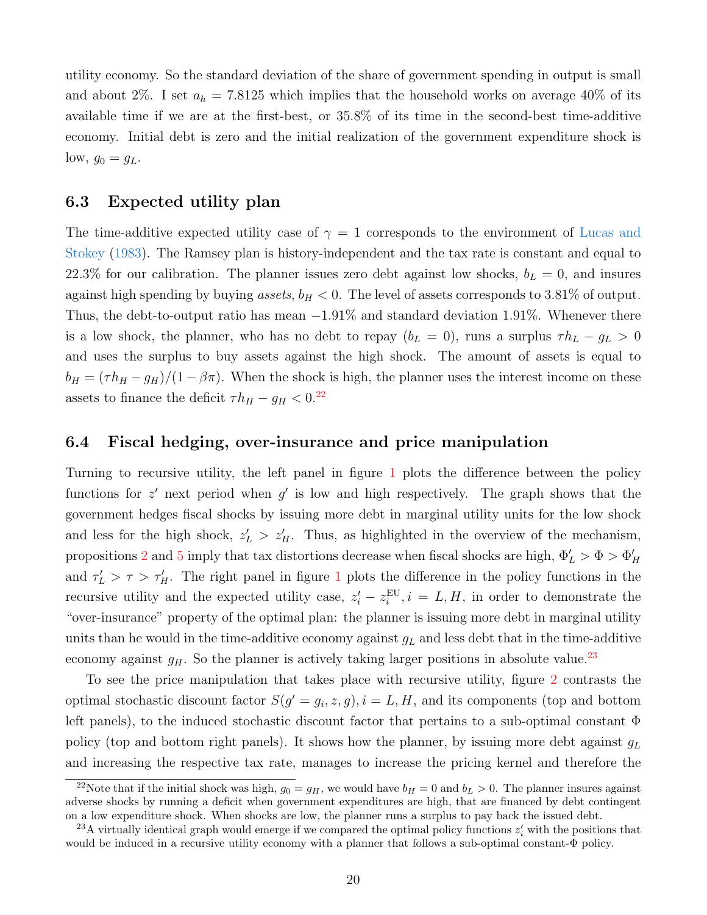utility economy. So the standard deviation of the share of government spending in output is small and about 2%. I set  $a_h = 7.8125$  which implies that the household works on average 40% of its available time if we are at the first-best, or 35.8% of its time in the second-best time-additive economy. Initial debt is zero and the initial realization of the government expenditure shock is  $\text{low}, g_0 = g_L.$ 

## 6.3 Expected utility plan

The time-additive expected utility case of  $\gamma = 1$  corresponds to the environment of [Lucas and](#page-40-0) [Stokey](#page-40-0) [\(1983\)](#page-40-0). The Ramsey plan is history-independent and the tax rate is constant and equal to 22.3% for our calibration. The planner issues zero debt against low shocks,  $b<sub>L</sub> = 0$ , and insures against high spending by buying assets,  $b_H < 0$ . The level of assets corresponds to 3.81% of output. Thus, the debt-to-output ratio has mean −1.91% and standard deviation 1.91%. Whenever there is a low shock, the planner, who has no debt to repay  $(b_L = 0)$ , runs a surplus  $\tau h_L - g_L > 0$ and uses the surplus to buy assets against the high shock. The amount of assets is equal to  $b_H = (\tau h_H - g_H)/(1 - \beta \pi)$ . When the shock is high, the planner uses the interest income on these assets to finance the deficit  $\tau h_H - g_H < 0.^{22}$  $\tau h_H - g_H < 0.^{22}$  $\tau h_H - g_H < 0.^{22}$ 

### 6.4 Fiscal hedging, over-insurance and price manipulation

Turning to recursive utility, the left panel in figure [1](#page-21-0) plots the difference between the policy functions for  $z'$  next period when  $g'$  is low and high respectively. The graph shows that the government hedges fiscal shocks by issuing more debt in marginal utility units for the low shock and less for the high shock,  $z'_L > z'_H$ . Thus, as highlighted in the overview of the mechanism, propositions [2](#page-0-0) and [5](#page-17-3) imply that tax distortions decrease when fiscal shocks are high,  $\Phi'_L > \Phi > \Phi'_H$ and  $\tau_L' > \tau > \tau_H'$ . The right panel in figure [1](#page-21-0) plots the difference in the policy functions in the recursive utility and the expected utility case,  $z_i' - z_i^{EU}$ ,  $i = L, H$ , in order to demonstrate the "over-insurance" property of the optimal plan: the planner is issuing more debt in marginal utility units than he would in the time-additive economy against  $q_L$  and less debt that in the time-additive economy against  $g_H$ . So the planner is actively taking larger positions in absolute value.<sup>[23](#page-20-1)</sup>

To see the price manipulation that takes place with recursive utility, figure [2](#page-22-0) contrasts the optimal stochastic discount factor  $S(g' = g_i, z, g)$ ,  $i = L, H$ , and its components (top and bottom left panels), to the induced stochastic discount factor that pertains to a sub-optimal constant Φ policy (top and bottom right panels). It shows how the planner, by issuing more debt against  $g_L$ and increasing the respective tax rate, manages to increase the pricing kernel and therefore the

<span id="page-20-0"></span><sup>&</sup>lt;sup>22</sup>Note that if the initial shock was high,  $g_0 = g_H$ , we would have  $b_H = 0$  and  $b_L > 0$ . The planner insures against adverse shocks by running a deficit when government expenditures are high, that are financed by debt contingent on a low expenditure shock. When shocks are low, the planner runs a surplus to pay back the issued debt.

<span id="page-20-1"></span><sup>&</sup>lt;sup>23</sup>A virtually identical graph would emerge if we compared the optimal policy functions  $z_i'$  with the positions that would be induced in a recursive utility economy with a planner that follows a sub-optimal constant-Φ policy.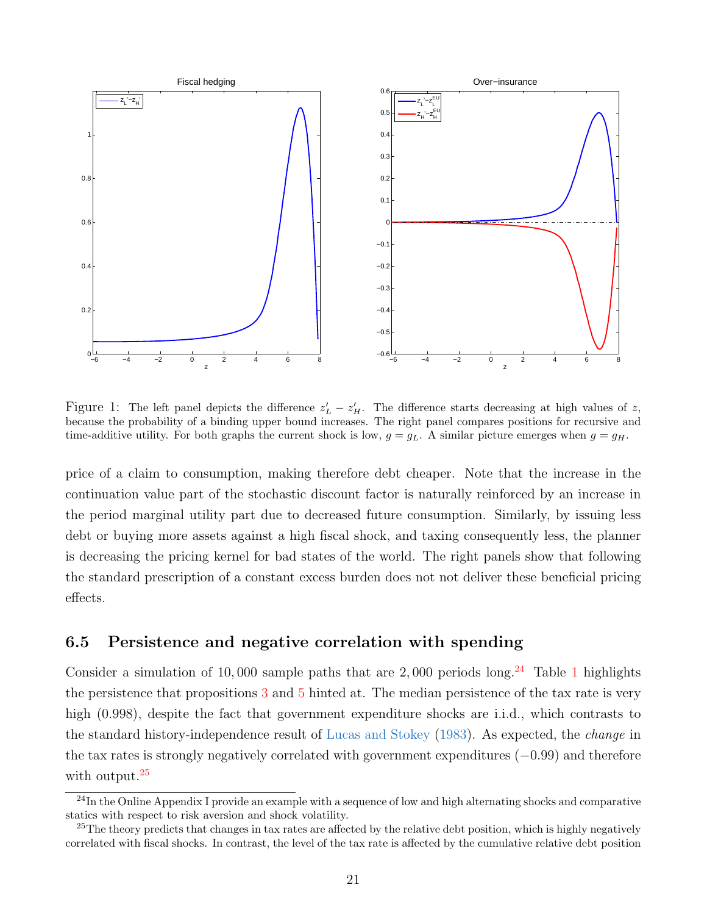

<span id="page-21-0"></span>Figure 1: The left panel depicts the difference  $z'_L - z'_H$ . The difference starts decreasing at high values of z, because the probability of a binding upper bound increases. The right panel compares positions for recursive and time-additive utility. For both graphs the current shock is low,  $g = g<sub>L</sub>$ . A similar picture emerges when  $g = g<sub>H</sub>$ .

price of a claim to consumption, making therefore debt cheaper. Note that the increase in the continuation value part of the stochastic discount factor is naturally reinforced by an increase in the period marginal utility part due to decreased future consumption. Similarly, by issuing less debt or buying more assets against a high fiscal shock, and taxing consequently less, the planner is decreasing the pricing kernel for bad states of the world. The right panels show that following the standard prescription of a constant excess burden does not not deliver these beneficial pricing effects.

## 6.5 Persistence and negative correlation with spending

Consider a simulation of 10,000 sample paths that are 2,000 periods long.<sup>[24](#page-21-1)</sup> Table [1](#page-22-1) highlights the persistence that propositions [3](#page-15-2) and [5](#page-17-3) hinted at. The median persistence of the tax rate is very high (0.998), despite the fact that government expenditure shocks are i.i.d., which contrasts to the standard history-independence result of [Lucas and Stokey](#page-40-0) [\(1983\)](#page-40-0). As expected, the *change* in the tax rates is strongly negatively correlated with government expenditures (−0.99) and therefore with output.<sup>[25](#page-21-2)</sup>

<span id="page-21-1"></span> $^{24}$ In the Online Appendix I provide an example with a sequence of low and high alternating shocks and comparative statics with respect to risk aversion and shock volatility.

<span id="page-21-2"></span><sup>&</sup>lt;sup>25</sup>The theory predicts that changes in tax rates are affected by the relative debt position, which is highly negatively correlated with fiscal shocks. In contrast, the level of the tax rate is affected by the cumulative relative debt position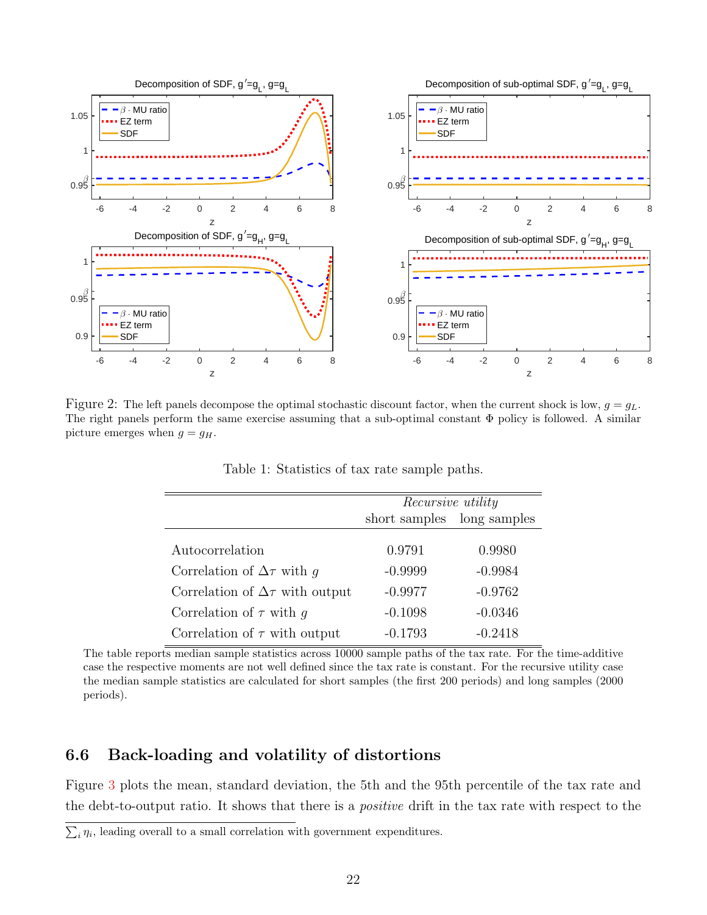

<span id="page-22-0"></span>Figure 2: The left panels decompose the optimal stochastic discount factor, when the current shock is low,  $g = g<sub>L</sub>$ . The right panels perform the same exercise assuming that a sub-optimal constant Φ policy is followed. A similar picture emerges when  $g = g_H$ .

|                                          | Recursive utility |              |  |
|------------------------------------------|-------------------|--------------|--|
|                                          | short samples     | long samples |  |
|                                          |                   |              |  |
|                                          | 0.9791            | 0.9980       |  |
| Correlation of $\Delta \tau$ with q      | $-0.9999$         | $-0.9984$    |  |
| Correlation of $\Delta \tau$ with output | $-0.9977$         | $-0.9762$    |  |
| Correlation of $\tau$ with g             | $-0.1098$         | $-0.0346$    |  |
| Correlation of $\tau$ with output        | $-0.1793$         | $-0.2418$    |  |
| Autocorrelation                          |                   |              |  |

<span id="page-22-1"></span>Table 1: Statistics of tax rate sample paths.

The table reports median sample statistics across 10000 sample paths of the tax rate. For the time-additive case the respective moments are not well defined since the tax rate is constant. For the recursive utility case the median sample statistics are calculated for short samples (the first 200 periods) and long samples (2000 periods).

## 6.6 Back-loading and volatility of distortions

Figure [3](#page-23-0) plots the mean, standard deviation, the 5th and the 95th percentile of the tax rate and the debt-to-output ratio. It shows that there is a positive drift in the tax rate with respect to the

 $\sum_i \eta_i$ , leading overall to a small correlation with government expenditures.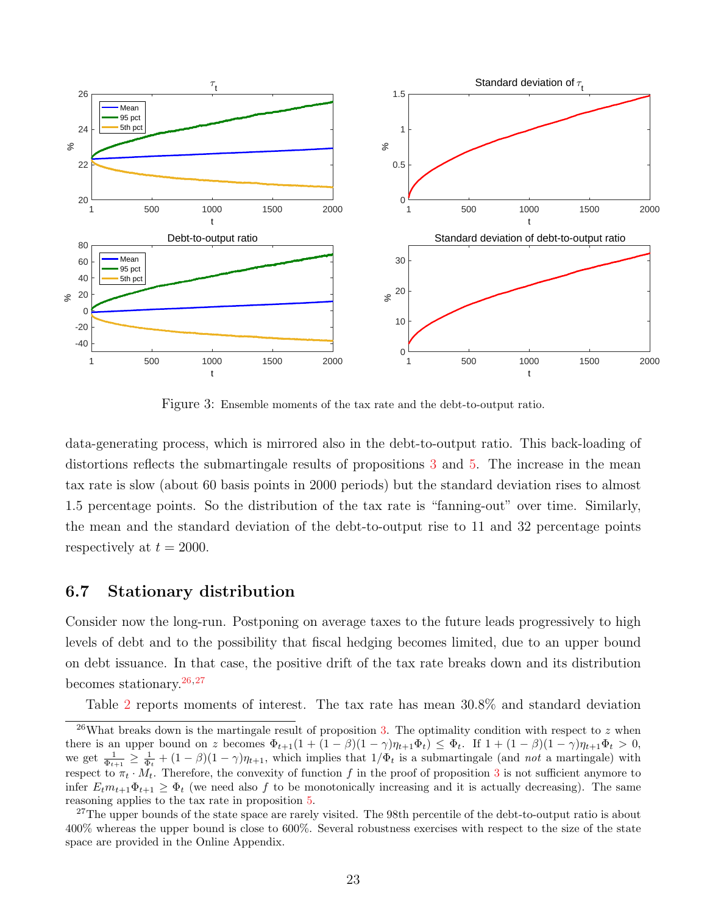

<span id="page-23-0"></span>Figure 3: Ensemble moments of the tax rate and the debt-to-output ratio.

data-generating process, which is mirrored also in the debt-to-output ratio. This back-loading of distortions reflects the submartingale results of propositions [3](#page-15-2) and [5.](#page-17-3) The increase in the mean tax rate is slow (about 60 basis points in 2000 periods) but the standard deviation rises to almost 1.5 percentage points. So the distribution of the tax rate is "fanning-out" over time. Similarly, the mean and the standard deviation of the debt-to-output rise to 11 and 32 percentage points respectively at  $t = 2000$ .

## 6.7 Stationary distribution

Consider now the long-run. Postponing on average taxes to the future leads progressively to high levels of debt and to the possibility that fiscal hedging becomes limited, due to an upper bound on debt issuance. In that case, the positive drift of the tax rate breaks down and its distribution becomes stationary.  $26,27$  $26,27$ 

<span id="page-23-1"></span>Table [2](#page-24-1) reports moments of interest. The tax rate has mean 30.8% and standard deviation

<sup>&</sup>lt;sup>26</sup>What breaks down is the martingale result of proposition [3.](#page-15-2) The optimality condition with respect to z when there is an upper bound on z becomes  $\Phi_{t+1}(1 + (1 - \beta)(1 - \gamma)\eta_{t+1}\Phi_t) \leq \Phi_t$ . If  $1 + (1 - \beta)(1 - \gamma)\eta_{t+1}\Phi_t > 0$ , we get  $\frac{1}{\Phi_{t+1}} \geq \frac{1}{\Phi_t} + (1-\beta)(1-\gamma)\eta_{t+1}$ , which implies that  $1/\Phi_t$  is a submartingale (and not a martingale) with respect to  $\pi_t \cdot M_t$ . Therefore, the convexity of function f in the proof of proposition [3](#page-15-2) is not sufficient anymore to infer  $E_t m_{t+1} \Phi_{t+1} \geq \Phi_t$  (we need also f to be monotonically increasing and it is actually decreasing). The same reasoning applies to the tax rate in proposition [5.](#page-17-3)

<span id="page-23-2"></span><sup>&</sup>lt;sup>27</sup>The upper bounds of the state space are rarely visited. The 98th percentile of the debt-to-output ratio is about 400% whereas the upper bound is close to 600%. Several robustness exercises with respect to the size of the state space are provided in the Online Appendix.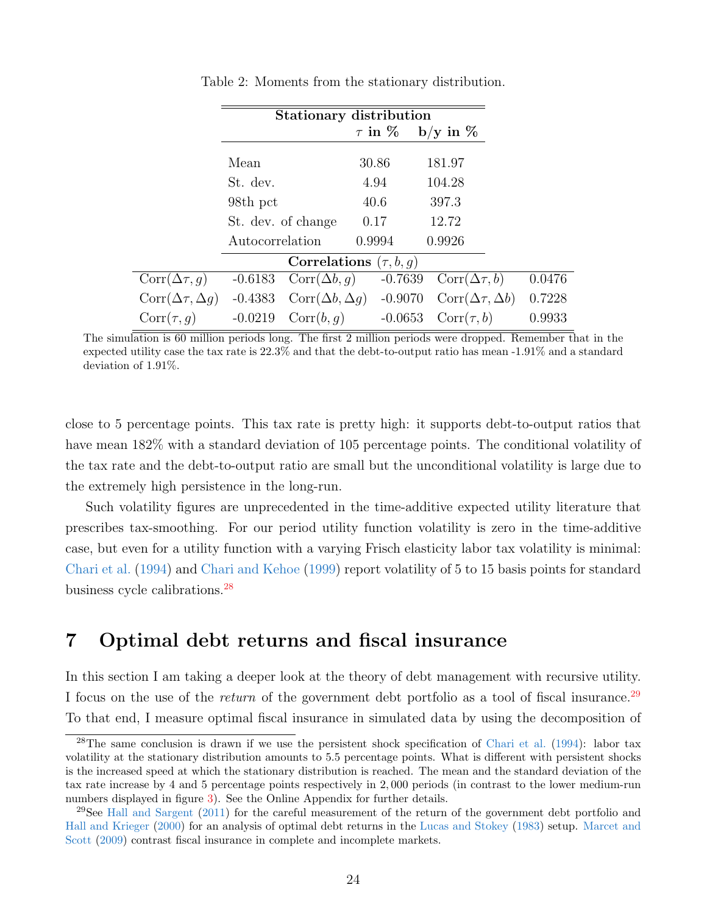|                               | <b>Stationary distribution</b> |                             |  |                |  |                               |  |
|-------------------------------|--------------------------------|-----------------------------|--|----------------|--|-------------------------------|--|
|                               |                                |                             |  | $\tau$ in $\%$ |  | $b/y$ in $\%$                 |  |
|                               | Mean                           |                             |  | 30.86          |  | 181.97                        |  |
|                               | St. dev.                       |                             |  | 4.94           |  | 104.28                        |  |
|                               | 98th pct                       |                             |  | 40.6           |  | 397.3                         |  |
|                               |                                | St. dev. of change          |  | 0.17           |  | 12.72                         |  |
|                               | Autocorrelation                |                             |  | 0.9994         |  | 0.9926                        |  |
|                               |                                | Correlations $(\tau, b, q)$ |  |                |  |                               |  |
| $Corr(\Delta \tau, q)$        | $-0.6183$                      | $Corr(\Delta b, q)$         |  | $-0.7639$      |  | $Corr(\Delta \tau, b)$        |  |
| $Corr(\Delta \tau, \Delta g)$ | $-0.4383$                      | $Corr(\Delta b, \Delta g)$  |  | $-0.9070$      |  | $Corr(\Delta \tau, \Delta b)$ |  |
| $Corr(\tau, g)$               | $-0.0219$                      | Corr(b, g)                  |  | $-0.0653$      |  | $Corr(\tau, b)$               |  |
|                               |                                |                             |  |                |  |                               |  |

<span id="page-24-1"></span>Table 2: Moments from the stationary distribution.

The simulation is 60 million periods long. The first 2 million periods were dropped. Remember that in the expected utility case the tax rate is 22.3% and that the debt-to-output ratio has mean -1.91% and a standard deviation of 1.91%.

close to 5 percentage points. This tax rate is pretty high: it supports debt-to-output ratios that have mean  $182\%$  with a standard deviation of 105 percentage points. The conditional volatility of the tax rate and the debt-to-output ratio are small but the unconditional volatility is large due to the extremely high persistence in the long-run.

Such volatility figures are unprecedented in the time-additive expected utility literature that prescribes tax-smoothing. For our period utility function volatility is zero in the time-additive case, but even for a utility function with a varying Frisch elasticity labor tax volatility is minimal: [Chari et al.](#page-39-0) [\(1994\)](#page-39-0) and [Chari and Kehoe](#page-39-6) [\(1999\)](#page-39-6) report volatility of 5 to 15 basis points for standard business cycle calibrations.[28](#page-24-2)

## <span id="page-24-0"></span>7 Optimal debt returns and fiscal insurance

In this section I am taking a deeper look at the theory of debt management with recursive utility. I focus on the use of the *return* of the government debt portfolio as a tool of fiscal insurance.<sup>[29](#page-24-3)</sup> To that end, I measure optimal fiscal insurance in simulated data by using the decomposition of

<span id="page-24-2"></span> $^{28}$ The same conclusion is drawn if we use the persistent shock specification of [Chari et al.](#page-39-0) [\(1994\)](#page-39-0): labor tax volatility at the stationary distribution amounts to 5.5 percentage points. What is different with persistent shocks is the increased speed at which the stationary distribution is reached. The mean and the standard deviation of the tax rate increase by 4 and 5 percentage points respectively in 2, 000 periods (in contrast to the lower medium-run numbers displayed in figure [3\)](#page-23-0). See the Online Appendix for further details.

<span id="page-24-3"></span> $29$ See [Hall and Sargent](#page-40-12)  $(2011)$  for the careful measurement of the return of the government debt portfolio and [Hall and Krieger](#page-40-13) [\(2000\)](#page-40-13) for an analysis of optimal debt returns in the [Lucas and Stokey](#page-40-0) [\(1983\)](#page-40-0) setup. [Marcet and](#page-41-11) [Scott](#page-41-11) [\(2009\)](#page-41-11) contrast fiscal insurance in complete and incomplete markets.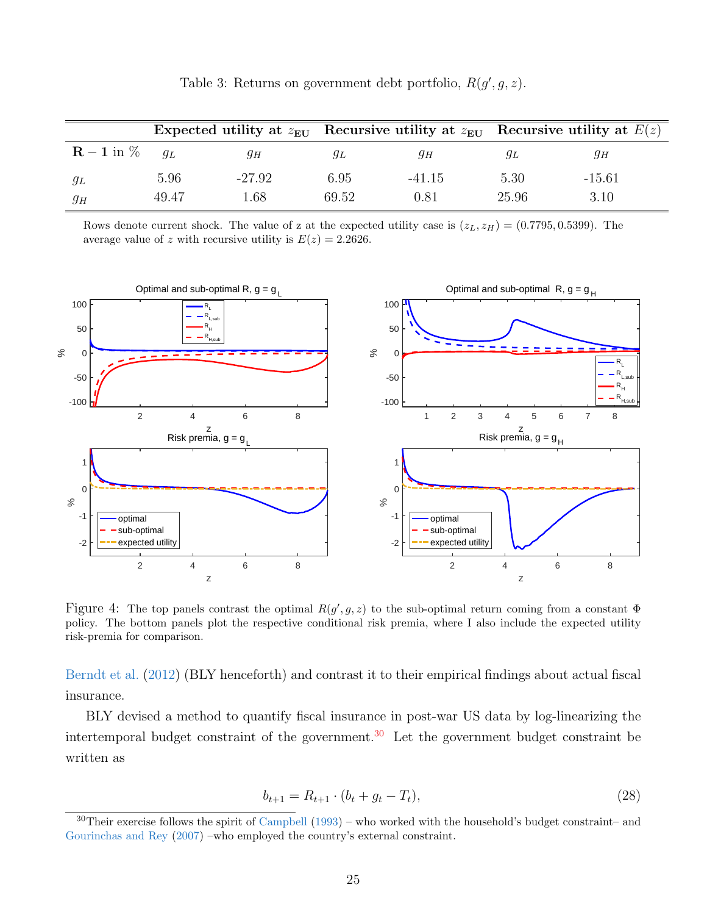|                                 |       |          |       |          |       | Expected utility at $z_{\text{EU}}$ Recursive utility at $z_{\text{EU}}$ Recursive utility at $E(z)$ |
|---------------------------------|-------|----------|-------|----------|-------|------------------------------------------------------------------------------------------------------|
| $\mathbf{R}-\mathbf{1}$ in $\%$ | $q_L$ | дн       | ЯĿ    | 9н       | УL    | θН                                                                                                   |
| $g_L$                           | 5.96  | $-27.92$ | 6.95  | $-41.15$ | 5.30  | $-15.61$                                                                                             |
| $g_H$                           | 49.47 | 1.68     | 69.52 | 0.81     | 25.96 | 3.10                                                                                                 |

<span id="page-25-2"></span>Table 3: Returns on government debt portfolio,  $R(g', g, z)$ .

Rows denote current shock. The value of z at the expected utility case is  $(z_L, z_H) = (0.7795, 0.5399)$ . The average value of z with recursive utility is  $E(z) = 2.2626$ .



<span id="page-25-3"></span>Figure 4: The top panels contrast the optimal  $R(g', g, z)$  to the sub-optimal return coming from a constant  $\Phi$ policy. The bottom panels plot the respective conditional risk premia, where I also include the expected utility risk-premia for comparison.

[Berndt et al.](#page-39-4) [\(2012\)](#page-39-4) (BLY henceforth) and contrast it to their empirical findings about actual fiscal insurance.

BLY devised a method to quantify fiscal insurance in post-war US data by log-linearizing the intertemporal budget constraint of the government.<sup>[30](#page-25-0)</sup> Let the government budget constraint be written as

<span id="page-25-1"></span>
$$
b_{t+1} = R_{t+1} \cdot (b_t + g_t - T_t), \tag{28}
$$

<span id="page-25-0"></span> $30$ Their exercise follows the spirit of [Campbell](#page-39-14) [\(1993\)](#page-39-14) – who worked with the household's budget constraint– and [Gourinchas and Rey](#page-40-14) [\(2007\)](#page-40-14) –who employed the country's external constraint.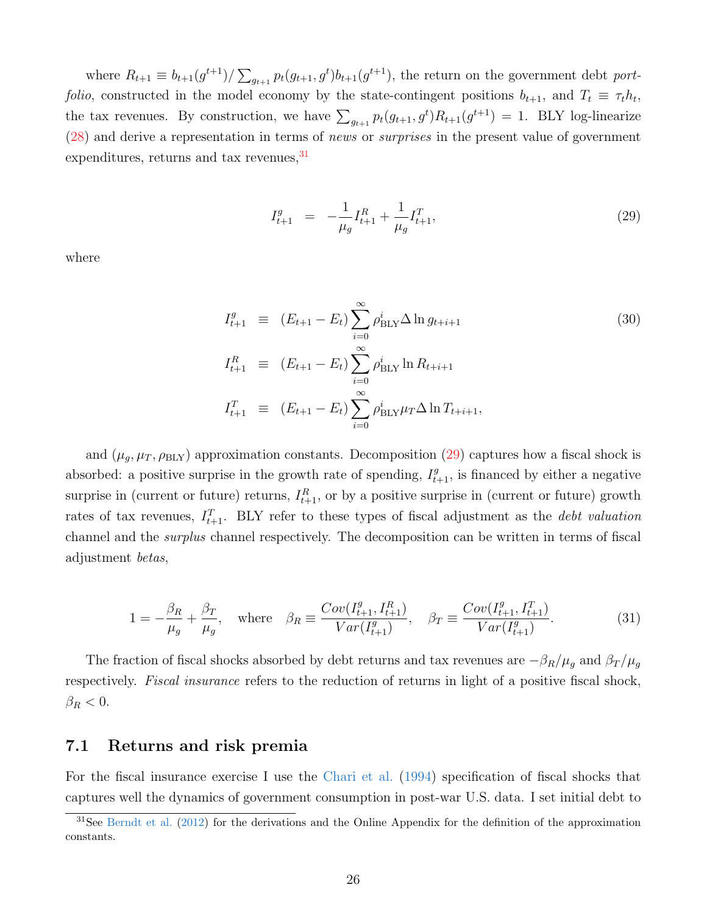where  $R_{t+1} \equiv b_{t+1}(g^{t+1})/\sum_{g_{t+1}} p_t(g_{t+1}, g^t)b_{t+1}(g^{t+1})$ , the return on the government debt portfolio, constructed in the model economy by the state-contingent positions  $b_{t+1}$ , and  $T_t \equiv \tau_t h_t$ , the tax revenues. By construction, we have  $\sum_{g_{t+1}} p_t(g_{t+1}, g^t) R_{t+1}(g^{t+1}) = 1$ . BLY log-linearize  $(28)$  and derive a representation in terms of *news* or *surprises* in the present value of government expenditures, returns and tax revenues,  $31$ 

<span id="page-26-1"></span>
$$
I_{t+1}^g = -\frac{1}{\mu_g} I_{t+1}^R + \frac{1}{\mu_g} I_{t+1}^T,
$$
\n(29)

where

$$
I_{t+1}^{g} \equiv (E_{t+1} - E_t) \sum_{i=0}^{\infty} \rho_{\text{BLY}}^{i} \Delta \ln g_{t+i+1}
$$
\n
$$
I_{t+1}^{R} \equiv (E_{t+1} - E_t) \sum_{i=0}^{\infty} \rho_{\text{BLY}}^{i} \ln R_{t+i+1}
$$
\n
$$
I_{t+1}^{T} \equiv (E_{t+1} - E_t) \sum_{i=0}^{\infty} \rho_{\text{BLY}}^{i} \mu_T \Delta \ln T_{t+i+1},
$$
\n(30)

and  $(\mu_g, \mu_T, \rho_{\text{BLY}})$  approximation constants. Decomposition [\(29\)](#page-26-1) captures how a fiscal shock is absorbed: a positive surprise in the growth rate of spending,  $I_{t+1}^g$ , is financed by either a negative surprise in (current or future) returns,  $I_{t+1}^R$ , or by a positive surprise in (current or future) growth rates of tax revenues,  $I_{t+1}^T$ . BLY refer to these types of fiscal adjustment as the *debt valuation* channel and the surplus channel respectively. The decomposition can be written in terms of fiscal adjustment betas,

$$
1 = -\frac{\beta_R}{\mu_g} + \frac{\beta_T}{\mu_g}, \quad \text{where} \quad \beta_R \equiv \frac{Cov(I_{t+1}^g, I_{t+1}^R)}{Var(I_{t+1}^g)}, \quad \beta_T \equiv \frac{Cov(I_{t+1}^g, I_{t+1}^T)}{Var(I_{t+1}^g)}.
$$
(31)

The fraction of fiscal shocks absorbed by debt returns and tax revenues are  $-\beta_R/\mu_g$  and  $\beta_T/\mu_g$ respectively. *Fiscal insurance* refers to the reduction of returns in light of a positive fiscal shock,  $\beta_R < 0.$ 

## 7.1 Returns and risk premia

For the fiscal insurance exercise I use the [Chari et al.](#page-39-0) [\(1994\)](#page-39-0) specification of fiscal shocks that captures well the dynamics of government consumption in post-war U.S. data. I set initial debt to

<span id="page-26-0"></span><sup>&</sup>lt;sup>31</sup>See [Berndt et al.](#page-39-4) [\(2012\)](#page-39-4) for the derivations and the Online Appendix for the definition of the approximation constants.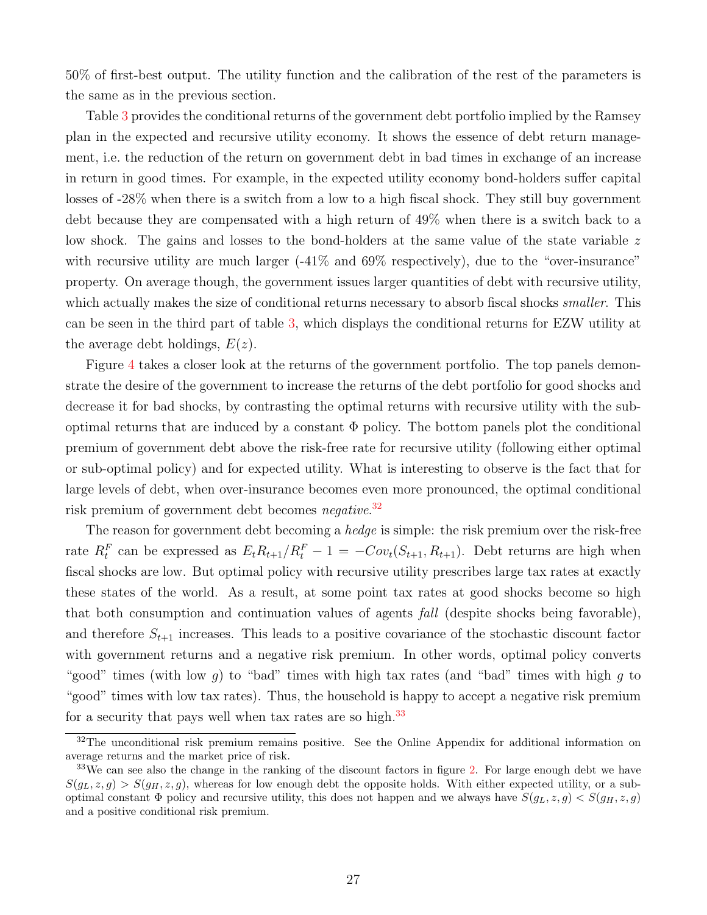50% of first-best output. The utility function and the calibration of the rest of the parameters is the same as in the previous section.

Table [3](#page-25-2) provides the conditional returns of the government debt portfolio implied by the Ramsey plan in the expected and recursive utility economy. It shows the essence of debt return management, i.e. the reduction of the return on government debt in bad times in exchange of an increase in return in good times. For example, in the expected utility economy bond-holders suffer capital losses of -28% when there is a switch from a low to a high fiscal shock. They still buy government debt because they are compensated with a high return of 49% when there is a switch back to a low shock. The gains and losses to the bond-holders at the same value of the state variable z with recursive utility are much larger  $(-41\%$  and  $69\%$  respectively), due to the "over-insurance" property. On average though, the government issues larger quantities of debt with recursive utility, which actually makes the size of conditional returns necessary to absorb fiscal shocks *smaller*. This can be seen in the third part of table [3,](#page-25-2) which displays the conditional returns for EZW utility at the average debt holdings,  $E(z)$ .

Figure [4](#page-25-3) takes a closer look at the returns of the government portfolio. The top panels demonstrate the desire of the government to increase the returns of the debt portfolio for good shocks and decrease it for bad shocks, by contrasting the optimal returns with recursive utility with the suboptimal returns that are induced by a constant  $\Phi$  policy. The bottom panels plot the conditional premium of government debt above the risk-free rate for recursive utility (following either optimal or sub-optimal policy) and for expected utility. What is interesting to observe is the fact that for large levels of debt, when over-insurance becomes even more pronounced, the optimal conditional risk premium of government debt becomes *negative*.<sup>[32](#page-27-0)</sup>

The reason for government debt becoming a *hedge* is simple: the risk premium over the risk-free rate  $R_t^F$  can be expressed as  $E_t R_{t+1}/R_t^F - 1 = -Cov_t(S_{t+1}, R_{t+1})$ . Debt returns are high when fiscal shocks are low. But optimal policy with recursive utility prescribes large tax rates at exactly these states of the world. As a result, at some point tax rates at good shocks become so high that both consumption and continuation values of agents fall (despite shocks being favorable), and therefore  $S_{t+1}$  increases. This leads to a positive covariance of the stochastic discount factor with government returns and a negative risk premium. In other words, optimal policy converts "good" times (with low g) to "bad" times with high tax rates (and "bad" times with high g to "good" times with low tax rates). Thus, the household is happy to accept a negative risk premium for a security that pays well when tax rates are so high.<sup>[33](#page-27-1)</sup>

<span id="page-27-0"></span><sup>&</sup>lt;sup>32</sup>The unconditional risk premium remains positive. See the Online Appendix for additional information on average returns and the market price of risk.

<span id="page-27-1"></span><sup>&</sup>lt;sup>33</sup>We can see also the change in the ranking of the discount factors in figure [2.](#page-22-0) For large enough debt we have  $S(q_L, z, q) > S(q_H, z, q)$ , whereas for low enough debt the opposite holds. With either expected utility, or a suboptimal constant  $\Phi$  policy and recursive utility, this does not happen and we always have  $S(g_L, z, g) < S(g_H, z, g)$ and a positive conditional risk premium.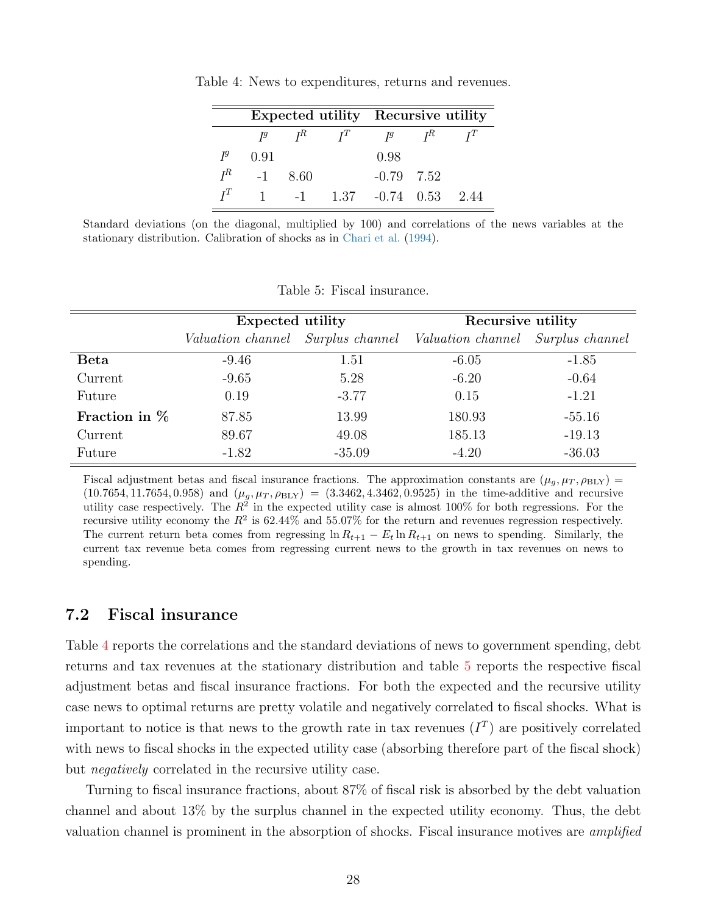<span id="page-28-0"></span>

|       |       |       |       | Expected utility Recursive utility |       |      |
|-------|-------|-------|-------|------------------------------------|-------|------|
|       | $I^g$ | $I^R$ | $I^T$ | $I^g$                              | $I^R$ |      |
| $I^g$ | 0.91  |       |       | 0.98                               |       |      |
| $I^R$ | $-1$  | 8.60  |       | $-0.79$ 7.52                       |       |      |
| $T^T$ |       | $-1$  | 1.37  | $-0.74$ 0.53                       |       | 2.44 |

Table 4: News to expenditures, returns and revenues.

Standard deviations (on the diagonal, multiplied by 100) and correlations of the news variables at the stationary distribution. Calibration of shocks as in [Chari et al.](#page-39-0) [\(1994\)](#page-39-0).

<span id="page-28-1"></span>

|  |  | Table 5: Fiscal insurance. |
|--|--|----------------------------|
|--|--|----------------------------|

|                 | <b>Expected utility</b> |          | Recursive utility                                                   |          |  |
|-----------------|-------------------------|----------|---------------------------------------------------------------------|----------|--|
|                 |                         |          | Valuation channel Surplus channel Valuation channel Surplus channel |          |  |
| <b>Beta</b>     | $-9.46$                 | 1.51     | $-6.05$                                                             | $-1.85$  |  |
| Current         | $-9.65$                 | 5.28     | $-6.20$                                                             | $-0.64$  |  |
| Future          | 0.19                    | $-3.77$  | 0.15                                                                | $-1.21$  |  |
| Fraction in $%$ | 87.85                   | 13.99    | 180.93                                                              | $-55.16$ |  |
| Current         | 89.67                   | 49.08    | 185.13                                                              | $-19.13$ |  |
| Future          | $-1.82$                 | $-35.09$ | $-4.20$                                                             | $-36.03$ |  |

Fiscal adjustment betas and fiscal insurance fractions. The approximation constants are  $(\mu_q, \mu_T, \rho_{BLY})$  =  $(10.7654, 11.7654, 0.958)$  and  $(\mu_g, \mu_T, \rho_{BLY}) = (3.3462, 4.3462, 0.9525)$  in the time-additive and recursive utility case respectively. The  $R^2$  in the expected utility case is almost 100% for both regressions. For the recursive utility economy the  $R^2$  is 62.44% and 55.07% for the return and revenues regression respectively. The current return beta comes from regressing  $\ln R_{t+1} - E_t \ln R_{t+1}$  on news to spending. Similarly, the current tax revenue beta comes from regressing current news to the growth in tax revenues on news to spending.

## 7.2 Fiscal insurance

Table [4](#page-28-0) reports the correlations and the standard deviations of news to government spending, debt returns and tax revenues at the stationary distribution and table [5](#page-28-1) reports the respective fiscal adjustment betas and fiscal insurance fractions. For both the expected and the recursive utility case news to optimal returns are pretty volatile and negatively correlated to fiscal shocks. What is important to notice is that news to the growth rate in tax revenues  $(I<sup>T</sup>)$  are positively correlated with news to fiscal shocks in the expected utility case (absorbing therefore part of the fiscal shock) but negatively correlated in the recursive utility case.

Turning to fiscal insurance fractions, about 87% of fiscal risk is absorbed by the debt valuation channel and about 13% by the surplus channel in the expected utility economy. Thus, the debt valuation channel is prominent in the absorption of shocks. Fiscal insurance motives are amplified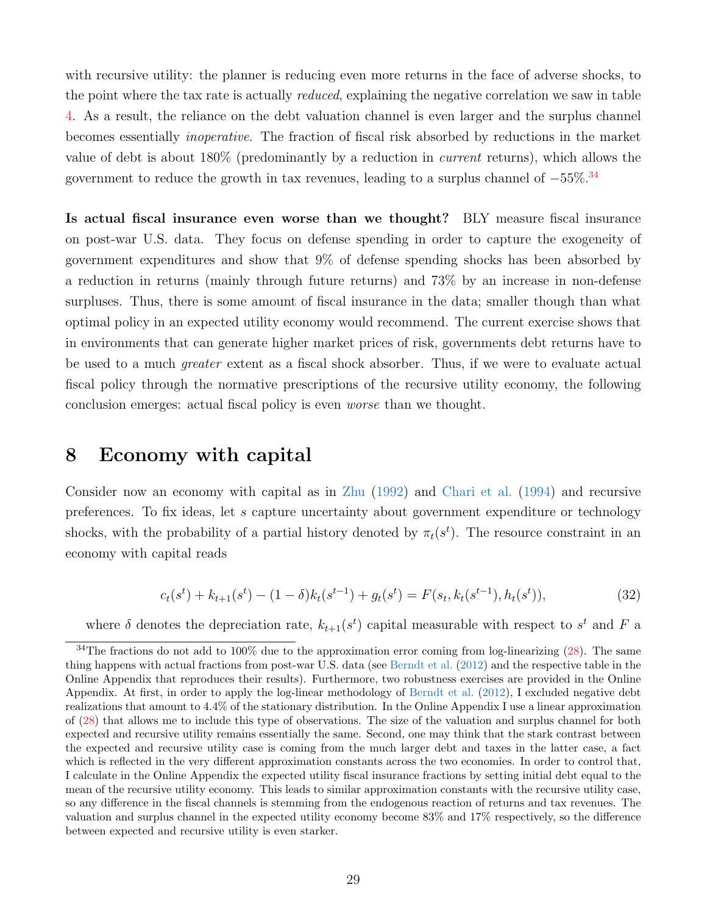with recursive utility: the planner is reducing even more returns in the face of adverse shocks, to the point where the tax rate is actually *reduced*, explaining the negative correlation we saw in table [4.](#page-28-0) As a result, the reliance on the debt valuation channel is even larger and the surplus channel becomes essentially inoperative. The fraction of fiscal risk absorbed by reductions in the market value of debt is about 180% (predominantly by a reduction in current returns), which allows the government to reduce the growth in tax revenues, leading to a surplus channel of  $-55\%.$ <sup>[34](#page-29-1)</sup>

Is actual fiscal insurance even worse than we thought? BLY measure fiscal insurance on post-war U.S. data. They focus on defense spending in order to capture the exogeneity of government expenditures and show that 9% of defense spending shocks has been absorbed by a reduction in returns (mainly through future returns) and 73% by an increase in non-defense surpluses. Thus, there is some amount of fiscal insurance in the data; smaller though than what optimal policy in an expected utility economy would recommend. The current exercise shows that in environments that can generate higher market prices of risk, governments debt returns have to be used to a much greater extent as a fiscal shock absorber. Thus, if we were to evaluate actual fiscal policy through the normative prescriptions of the recursive utility economy, the following conclusion emerges: actual fiscal policy is even worse than we thought.

## <span id="page-29-0"></span>8 Economy with capital

Consider now an economy with capital as in [Zhu](#page-41-5) [\(1992\)](#page-41-5) and [Chari et al.](#page-39-0) [\(1994\)](#page-39-0) and recursive preferences. To fix ideas, let s capture uncertainty about government expenditure or technology shocks, with the probability of a partial history denoted by  $\pi_t(s^t)$ . The resource constraint in an economy with capital reads

<span id="page-29-2"></span>
$$
c_t(s^t) + k_{t+1}(s^t) - (1 - \delta)k_t(s^{t-1}) + g_t(s^t) = F(s_t, k_t(s^{t-1}), h_t(s^t)),
$$
\n(32)

where  $\delta$  denotes the depreciation rate,  $k_{t+1}(s^t)$  capital measurable with respect to  $s^t$  and  $F$  a

<span id="page-29-1"></span> $34$ The fractions do not add to 100% due to the approximation error coming from log-linearizing [\(28\)](#page-25-1). The same thing happens with actual fractions from post-war U.S. data (see [Berndt et al.](#page-39-4) [\(2012\)](#page-39-4) and the respective table in the Online Appendix that reproduces their results). Furthermore, two robustness exercises are provided in the Online Appendix. At first, in order to apply the log-linear methodology of [Berndt et al.](#page-39-4) [\(2012\)](#page-39-4), I excluded negative debt realizations that amount to 4.4% of the stationary distribution. In the Online Appendix I use a linear approximation of [\(28\)](#page-25-1) that allows me to include this type of observations. The size of the valuation and surplus channel for both expected and recursive utility remains essentially the same. Second, one may think that the stark contrast between the expected and recursive utility case is coming from the much larger debt and taxes in the latter case, a fact which is reflected in the very different approximation constants across the two economies. In order to control that, I calculate in the Online Appendix the expected utility fiscal insurance fractions by setting initial debt equal to the mean of the recursive utility economy. This leads to similar approximation constants with the recursive utility case, so any difference in the fiscal channels is stemming from the endogenous reaction of returns and tax revenues. The valuation and surplus channel in the expected utility economy become 83% and 17% respectively, so the difference between expected and recursive utility is even starker.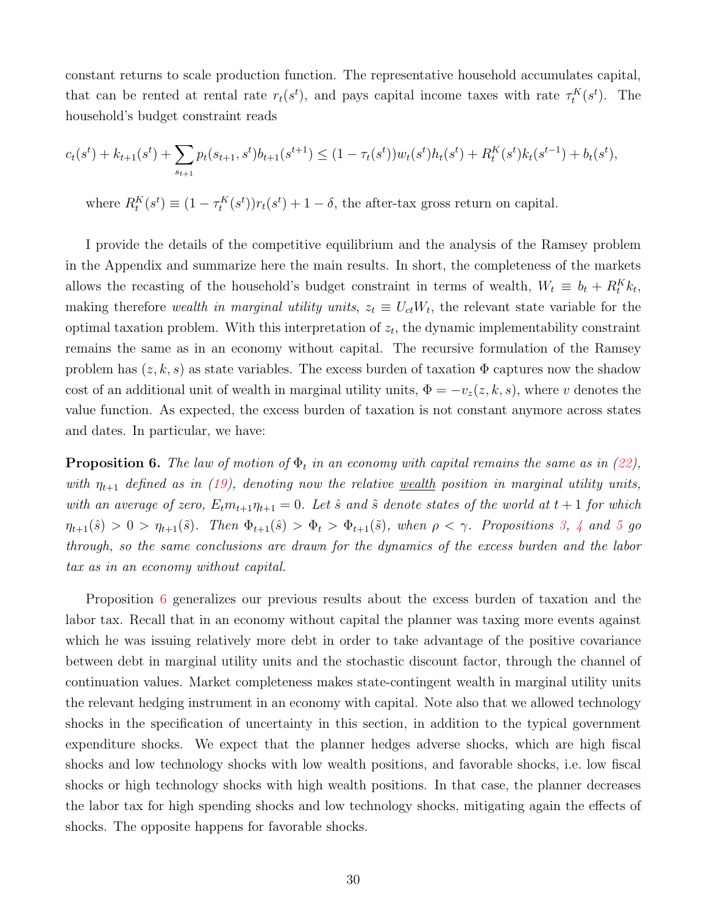constant returns to scale production function. The representative household accumulates capital, that can be rented at rental rate  $r_t(s^t)$ , and pays capital income taxes with rate  $\tau_t^K(s^t)$ . The household's budget constraint reads

$$
c_t(s^t) + k_{t+1}(s^t) + \sum_{s_{t+1}} p_t(s_{t+1}, s^t) b_{t+1}(s^{t+1}) \le (1 - \tau_t(s^t)) w_t(s^t) h_t(s^t) + R_t^K(s^t) k_t(s^{t-1}) + b_t(s^t),
$$
  
where 
$$
R_t^K(s^t) \equiv (1 - \tau_t^K(s^t)) r_t(s^t) + 1 - \delta
$$
, the after-tax gross return on capital.

I provide the details of the competitive equilibrium and the analysis of the Ramsey problem in the Appendix and summarize here the main results. In short, the completeness of the markets allows the recasting of the household's budget constraint in terms of wealth,  $W_t \equiv b_t + R_t^K k_t$ , making therefore wealth in marginal utility units,  $z_t \equiv U_{ct}W_t$ , the relevant state variable for the optimal taxation problem. With this interpretation of  $z_t$ , the dynamic implementability constraint remains the same as in an economy without capital. The recursive formulation of the Ramsey problem has  $(z, k, s)$  as state variables. The excess burden of taxation  $\Phi$  captures now the shadow cost of an additional unit of wealth in marginal utility units,  $\Phi = -v_z(z, k, s)$ , where v denotes the value function. As expected, the excess burden of taxation is not constant anymore across states and dates. In particular, we have:

<span id="page-30-0"></span>**Proposition 6.** The law of motion of  $\Phi_t$  in an economy with capital remains the same as in [\(22\)](#page-14-1), with  $\eta_{t+1}$  defined as in [\(19\)](#page-11-1), denoting now the relative <u>wealth</u> position in marginal utility units, with an average of zero,  $E_t m_{t+1} \eta_{t+1} = 0$ . Let  $\hat{s}$  and  $\tilde{s}$  denote states of the world at  $t+1$  for which  $\eta_{t+1}(\hat{s}) > 0 > \eta_{t+1}(\tilde{s})$ . Then  $\Phi_{t+1}(\hat{s}) > \Phi_t > \Phi_{t+1}(\tilde{s})$ , when  $\rho < \gamma$ . Propositions [3,](#page-15-2) [4](#page-16-3) and [5](#page-17-3) go through, so the same conclusions are drawn for the dynamics of the excess burden and the labor tax as in an economy without capital.

Proposition [6](#page-30-0) generalizes our previous results about the excess burden of taxation and the labor tax. Recall that in an economy without capital the planner was taxing more events against which he was issuing relatively more debt in order to take advantage of the positive covariance between debt in marginal utility units and the stochastic discount factor, through the channel of continuation values. Market completeness makes state-contingent wealth in marginal utility units the relevant hedging instrument in an economy with capital. Note also that we allowed technology shocks in the specification of uncertainty in this section, in addition to the typical government expenditure shocks. We expect that the planner hedges adverse shocks, which are high fiscal shocks and low technology shocks with low wealth positions, and favorable shocks, i.e. low fiscal shocks or high technology shocks with high wealth positions. In that case, the planner decreases the labor tax for high spending shocks and low technology shocks, mitigating again the effects of shocks. The opposite happens for favorable shocks.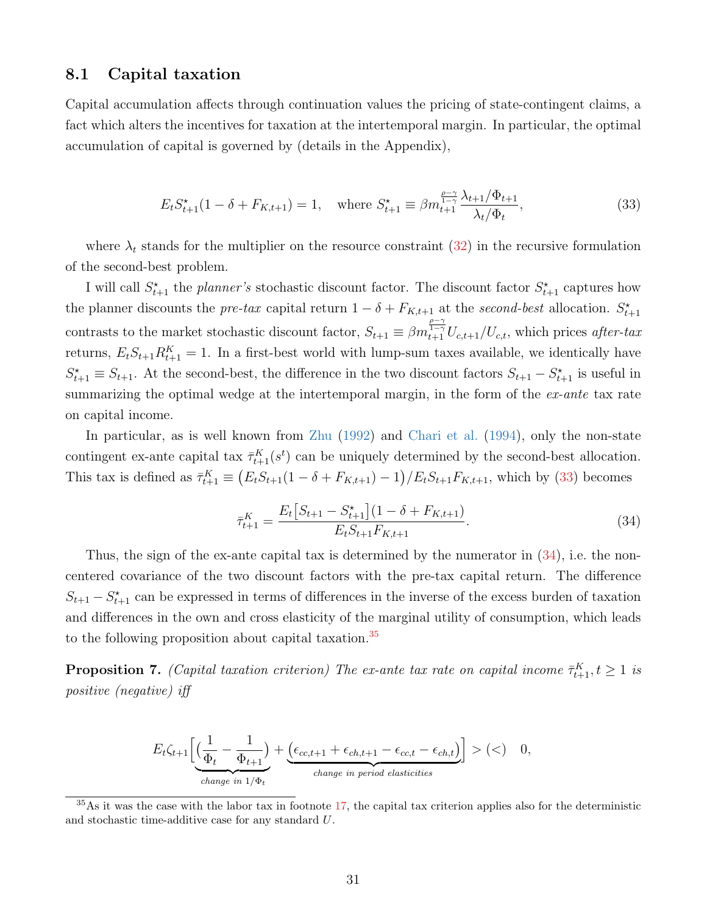### 8.1 Capital taxation

Capital accumulation affects through continuation values the pricing of state-contingent claims, a fact which alters the incentives for taxation at the intertemporal margin. In particular, the optimal accumulation of capital is governed by (details in the Appendix),

<span id="page-31-0"></span>
$$
E_t S_{t+1}^{\star}(1 - \delta + F_{K,t+1}) = 1, \quad \text{where } S_{t+1}^{\star} \equiv \beta m_{t+1}^{\frac{\rho - \gamma}{1 - \gamma}} \frac{\lambda_{t+1} / \Phi_{t+1}}{\lambda_t / \Phi_t}, \tag{33}
$$

where  $\lambda_t$  stands for the multiplier on the resource constraint [\(32\)](#page-29-2) in the recursive formulation of the second-best problem.

I will call  $S_{t+1}^*$  the planner's stochastic discount factor. The discount factor  $S_{t+1}^*$  captures how the planner discounts the *pre-tax* capital return  $1 - \delta + F_{K,t+1}$  at the *second-best* allocation.  $S_{t+1}^*$ contrasts to the market stochastic discount factor,  $S_{t+1} \equiv \beta m_{t+1}^{\frac{\rho-\gamma}{1-\gamma}} U_{c,t+1}/U_{c,t}$ , which prices after-tax returns,  $E_t S_{t+1} R_{t+1}^K = 1$ . In a first-best world with lump-sum taxes available, we identically have  $S_{t+1}^* \equiv S_{t+1}$ . At the second-best, the difference in the two discount factors  $S_{t+1} - S_{t+1}^*$  is useful in summarizing the optimal wedge at the intertemporal margin, in the form of the  $ex$ -ante tax rate on capital income.

In particular, as is well known from [Zhu](#page-41-5) [\(1992\)](#page-41-5) and [Chari et al.](#page-39-0) [\(1994\)](#page-39-0), only the non-state contingent ex-ante capital tax  $\bar{\tau}_{t+1}^K(s^t)$  can be uniquely determined by the second-best allocation. This tax is defined as  $\bar{\tau}_{t+1}^K \equiv (E_t S_{t+1}(1-\delta + F_{K,t+1}) - 1)/E_t S_{t+1} F_{K,t+1}$ , which by [\(33\)](#page-31-0) becomes

<span id="page-31-1"></span>
$$
\bar{\tau}_{t+1}^{K} = \frac{E_t \left[ S_{t+1} - S_{t+1}^* \right] (1 - \delta + F_{K,t+1})}{E_t S_{t+1} F_{K,t+1}}.
$$
\n(34)

Thus, the sign of the ex-ante capital tax is determined by the numerator in  $(34)$ , i.e. the noncentered covariance of the two discount factors with the pre-tax capital return. The difference  $S_{t+1} - S_{t+1}^*$  can be expressed in terms of differences in the inverse of the excess burden of taxation and differences in the own and cross elasticity of the marginal utility of consumption, which leads to the following proposition about capital taxation.<sup>[35](#page-31-2)</sup>

<span id="page-31-3"></span>**Proposition 7.** (Capital taxation criterion) The ex-ante tax rate on capital income  $\bar{\tau}_{t+1}^K$ ,  $t \geq 1$  is positive (negative) iff

$$
E_t \zeta_{t+1} \left[ \underbrace{\left( \frac{1}{\Phi_t} - \frac{1}{\Phi_{t+1}} \right)}_{change \ in \ 1/\Phi_t} + \underbrace{\left( \epsilon_{cc,t+1} + \epsilon_{ch,t+1} - \epsilon_{cc,t} - \epsilon_{ch,t} \right)}_{change \ in \ period \ elasticities} \right] > (<) \quad 0,
$$

<span id="page-31-2"></span> $35\,\mathrm{As}$  it was the case with the labor tax in footnote [17,](#page-16-2) the capital tax criterion applies also for the deterministic and stochastic time-additive case for any standard U.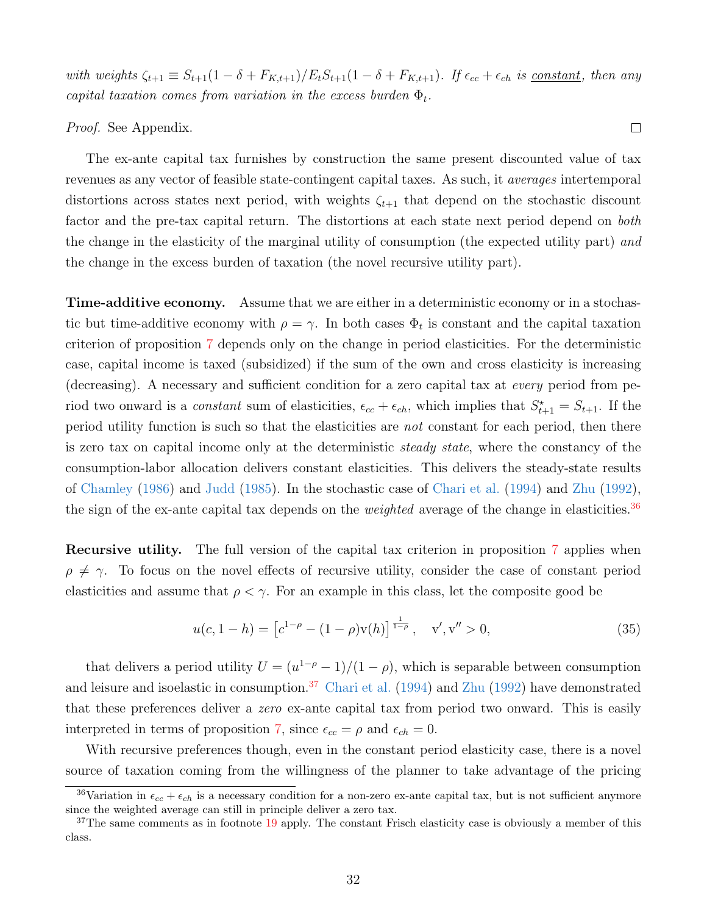with weights  $\zeta_{t+1} \equiv S_{t+1}(1-\delta + F_{K,t+1})/E_tS_{t+1}(1-\delta + F_{K,t+1})$ . If  $\epsilon_{cc} + \epsilon_{ch}$  is <u>constant</u>, then any capital taxation comes from variation in the excess burden  $\Phi_t$ .

Proof. See Appendix.

The ex-ante capital tax furnishes by construction the same present discounted value of tax revenues as any vector of feasible state-contingent capital taxes. As such, it averages intertemporal distortions across states next period, with weights  $\zeta_{t+1}$  that depend on the stochastic discount factor and the pre-tax capital return. The distortions at each state next period depend on both the change in the elasticity of the marginal utility of consumption (the expected utility part) and the change in the excess burden of taxation (the novel recursive utility part).

Time-additive economy. Assume that we are either in a deterministic economy or in a stochastic but time-additive economy with  $\rho = \gamma$ . In both cases  $\Phi_t$  is constant and the capital taxation criterion of proposition [7](#page-31-3) depends only on the change in period elasticities. For the deterministic case, capital income is taxed (subsidized) if the sum of the own and cross elasticity is increasing (decreasing). A necessary and sufficient condition for a zero capital tax at every period from period two onward is a *constant* sum of elasticities,  $\epsilon_{cc} + \epsilon_{ch}$ , which implies that  $S_{t+1}^* = S_{t+1}$ . If the period utility function is such so that the elasticities are not constant for each period, then there is zero tax on capital income only at the deterministic steady state, where the constancy of the consumption-labor allocation delivers constant elasticities. This delivers the steady-state results of [Chamley](#page-39-5) [\(1986\)](#page-39-5) and [Judd](#page-40-15) [\(1985\)](#page-40-15). In the stochastic case of [Chari et al.](#page-39-0) [\(1994\)](#page-39-0) and [Zhu](#page-41-5) [\(1992\)](#page-41-5), the sign of the ex-ante capital tax depends on the *weighted* average of the change in elasticities.<sup>[36](#page-32-0)</sup>

Recursive utility. The full version of the capital tax criterion in proposition [7](#page-31-3) applies when  $\rho \neq \gamma$ . To focus on the novel effects of recursive utility, consider the case of constant period elasticities and assume that  $\rho < \gamma$ . For an example in this class, let the composite good be

<span id="page-32-2"></span>
$$
u(c, 1 - h) = \left[c^{1-\rho} - (1 - \rho)v(h)\right]^{\frac{1}{1-\rho}}, \quad v', v'' > 0,
$$
\n(35)

that delivers a period utility  $U = (u^{1-\rho} - 1)/(1 - \rho)$ , which is separable between consumption and leisure and isoelastic in consumption.<sup>[37](#page-32-1)</sup> [Chari et al.](#page-39-0) [\(1994\)](#page-39-0) and [Zhu](#page-41-5) [\(1992\)](#page-41-5) have demonstrated that these preferences deliver a zero ex-ante capital tax from period two onward. This is easily interpreted in terms of proposition [7,](#page-31-3) since  $\epsilon_{cc} = \rho$  and  $\epsilon_{ch} = 0$ .

With recursive preferences though, even in the constant period elasticity case, there is a novel source of taxation coming from the willingness of the planner to take advantage of the pricing

 $\Box$ 

<span id="page-32-0"></span><sup>&</sup>lt;sup>36</sup>Variation in  $\epsilon_{cc} + \epsilon_{ch}$  is a necessary condition for a non-zero ex-ante capital tax, but is not sufficient anymore since the weighted average can still in principle deliver a zero tax.

<span id="page-32-1"></span> $37$ The same comments as in footnote [19](#page-17-1) apply. The constant Frisch elasticity case is obviously a member of this class.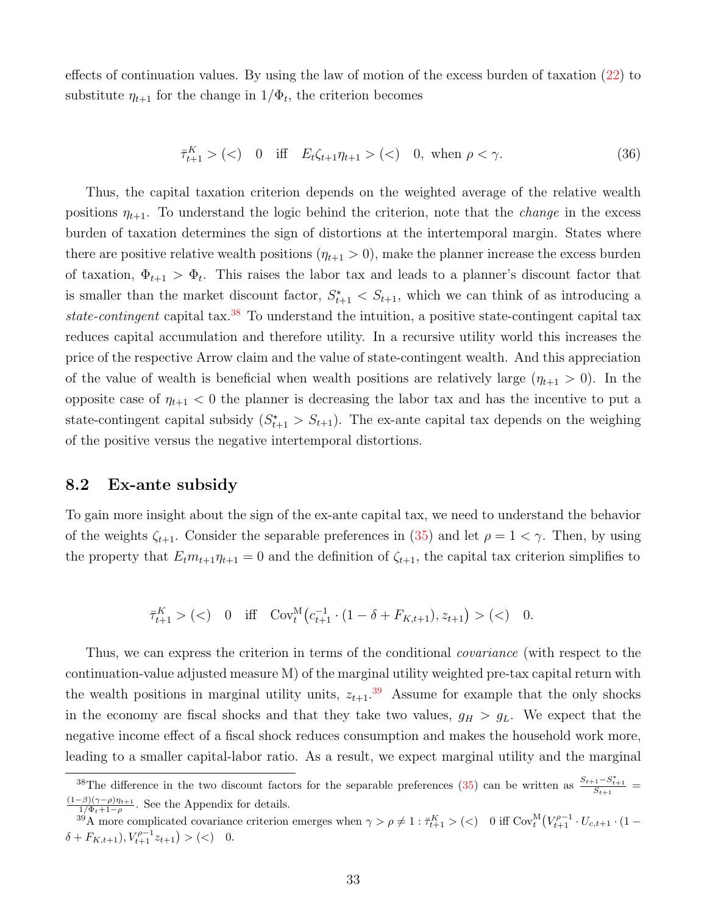effects of continuation values. By using the law of motion of the excess burden of taxation [\(22\)](#page-14-1) to substitute  $\eta_{t+1}$  for the change in  $1/\Phi_t$ , the criterion becomes

<span id="page-33-2"></span>
$$
\bar{\tau}_{t+1}^K > \text{(&)} \quad 0 \quad \text{iff} \quad E_t \zeta_{t+1} \eta_{t+1} > \text{(&)} \quad 0, \text{ when } \rho < \gamma. \tag{36}
$$

Thus, the capital taxation criterion depends on the weighted average of the relative wealth positions  $\eta_{t+1}$ . To understand the logic behind the criterion, note that the *change* in the excess burden of taxation determines the sign of distortions at the intertemporal margin. States where there are positive relative wealth positions  $(\eta_{t+1} > 0)$ , make the planner increase the excess burden of taxation,  $\Phi_{t+1} > \Phi_t$ . This raises the labor tax and leads to a planner's discount factor that is smaller than the market discount factor,  $S_{t+1}^* < S_{t+1}$ , which we can think of as introducing a state-contingent capital tax.<sup>[38](#page-33-0)</sup> To understand the intuition, a positive state-contingent capital tax reduces capital accumulation and therefore utility. In a recursive utility world this increases the price of the respective Arrow claim and the value of state-contingent wealth. And this appreciation of the value of wealth is beneficial when wealth positions are relatively large  $(\eta_{t+1} > 0)$ . In the opposite case of  $\eta_{t+1} < 0$  the planner is decreasing the labor tax and has the incentive to put a state-contingent capital subsidy  $(S_{t+1}^* > S_{t+1})$ . The ex-ante capital tax depends on the weighing of the positive versus the negative intertemporal distortions.

## 8.2 Ex-ante subsidy

To gain more insight about the sign of the ex-ante capital tax, we need to understand the behavior of the weights  $\zeta_{t+1}$ . Consider the separable preferences in [\(35\)](#page-32-2) and let  $\rho = 1 < \gamma$ . Then, by using the property that  $E_t m_{t+1} \eta_{t+1} = 0$  and the definition of  $\zeta_{t+1}$ , the capital tax criterion simplifies to

$$
\bar{\tau}_{t+1}^K > \left( < \right) \quad 0 \quad \text{iff} \quad \text{Cov}_t^M \left( c_{t+1}^{-1} \cdot (1 - \delta + F_{K,t+1}), z_{t+1} \right) > \left( < \right) \quad 0.
$$

Thus, we can express the criterion in terms of the conditional covariance (with respect to the continuation-value adjusted measure M) of the marginal utility weighted pre-tax capital return with the wealth positions in marginal utility units,  $z_{t+1}$ <sup>[39](#page-33-1)</sup> Assume for example that the only shocks in the economy are fiscal shocks and that they take two values,  $g_H > g_L$ . We expect that the negative income effect of a fiscal shock reduces consumption and makes the household work more, leading to a smaller capital-labor ratio. As a result, we expect marginal utility and the marginal

<span id="page-33-0"></span><sup>&</sup>lt;sup>38</sup>The difference in the two discount factors for the separable preferences [\(35\)](#page-32-2) can be written as  $\frac{S_{t+1}-S_{t+1}^*}{S_{t+1}}=$  $(1-\beta)(\gamma-\rho)\eta_{t+1}$  $\frac{1}{\beta} \frac{1}{\beta} \frac{\gamma - \rho}{\eta + 1 - \rho}$ . See the Appendix for details.

<span id="page-33-1"></span><sup>&</sup>lt;sup>39</sup>A more complicated covariance criterion emerges when  $\gamma > \rho \neq 1$ :  $\bar{\tau}_{t+1}^K > ()$  0 iff Cov<sub>t</sub><sup>M</sup> $(V_{t+1}^{\rho-1} \cdot U_{c,t+1} \cdot (1 \delta + F_{K,t+1}), V_{t+1}^{\rho-1} z_{t+1} > (<) \quad 0.$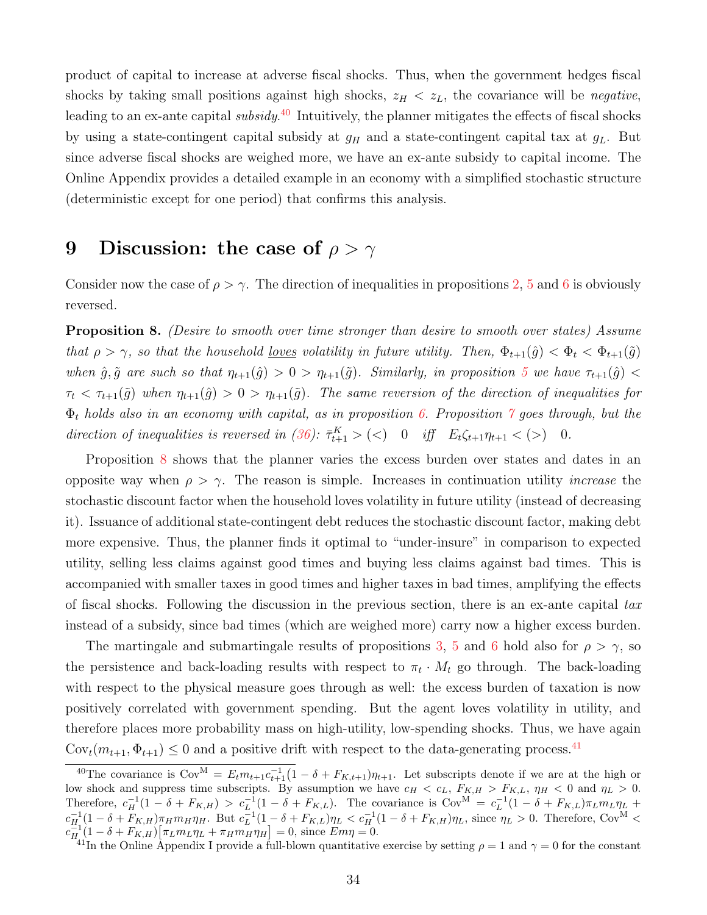product of capital to increase at adverse fiscal shocks. Thus, when the government hedges fiscal shocks by taking small positions against high shocks,  $z_H < z_L$ , the covariance will be *negative*, leading to an ex-ante capital subsidy.<sup>[40](#page-34-1)</sup> Intuitively, the planner mitigates the effects of fiscal shocks by using a state-contingent capital subsidy at  $g_H$  and a state-contingent capital tax at  $g_L$ . But since adverse fiscal shocks are weighed more, we have an ex-ante subsidy to capital income. The Online Appendix provides a detailed example in an economy with a simplified stochastic structure (deterministic except for one period) that confirms this analysis.

## <span id="page-34-0"></span>9 Discussion: the case of  $\rho > \gamma$

Consider now the case of  $\rho > \gamma$ . The direction of inequalities in propositions [2,](#page-0-0) [5](#page-17-3) and [6](#page-30-0) is obviously reversed.

<span id="page-34-2"></span>Proposition 8. (Desire to smooth over time stronger than desire to smooth over states) Assume that  $\rho > \gamma$ , so that the household <u>loves</u> volatility in future utility. Then,  $\Phi_{t+1}(\hat{g}) < \Phi_t < \Phi_{t+1}(\tilde{g})$ when  $\hat{g}, \tilde{g}$  are such so that  $\eta_{t+1}(\hat{g}) > 0 > \eta_{t+1}(\tilde{g})$ . Similarly, in proposition [5](#page-17-3) we have  $\tau_{t+1}(\hat{g}) <$  $\tau_t < \tau_{t+1}(\tilde{g})$  when  $\eta_{t+1}(\tilde{g}) > 0 > \eta_{t+1}(\tilde{g})$ . The same reversion of the direction of inequalities for  $\Phi_t$  holds also in an economy with capital, as in proposition [6.](#page-30-0) Proposition  $\gamma$  goes through, but the direction of inequalities is reversed in [\(36\)](#page-33-2):  $\bar{\tau}_{t+1}^K > \langle \langle \rangle \quad 0 \quad \text{iff} \quad E_t \zeta_{t+1} \eta_{t+1} \langle \langle \rangle \rangle \quad 0.$ 

Proposition [8](#page-34-2) shows that the planner varies the excess burden over states and dates in an opposite way when  $\rho > \gamma$ . The reason is simple. Increases in continuation utility *increase* the stochastic discount factor when the household loves volatility in future utility (instead of decreasing it). Issuance of additional state-contingent debt reduces the stochastic discount factor, making debt more expensive. Thus, the planner finds it optimal to "under-insure" in comparison to expected utility, selling less claims against good times and buying less claims against bad times. This is accompanied with smaller taxes in good times and higher taxes in bad times, amplifying the effects of fiscal shocks. Following the discussion in the previous section, there is an ex-ante capital tax instead of a subsidy, since bad times (which are weighed more) carry now a higher excess burden.

The martingale and submartingale results of propositions [3,](#page-15-2) [5](#page-17-3) and [6](#page-30-0) hold also for  $\rho > \gamma$ , so the persistence and back-loading results with respect to  $\pi_t \cdot M_t$  go through. The back-loading with respect to the physical measure goes through as well: the excess burden of taxation is now positively correlated with government spending. But the agent loves volatility in utility, and therefore places more probability mass on high-utility, low-spending shocks. Thus, we have again  $\text{Cov}_t(m_{t+1}, \Phi_{t+1}) \leq 0$  and a positive drift with respect to the data-generating process.<sup>[41](#page-34-3)</sup>

<span id="page-34-1"></span><sup>&</sup>lt;sup>40</sup>The covariance is  $Cov^M = E_t m_{t+1} c_{t+1}^{-1} (1 - \delta + F_{K,t+1}) \eta_{t+1}$ . Let subscripts denote if we are at the high or low shock and suppress time subscripts. By assumption we have  $c_H < c_L$ ,  $F_{K,H} > F_{K,L}$ ,  $\eta_H < 0$  and  $\eta_L > 0$ . Therefore,  $c_H^{-1}(1-\delta + F_{K,H}) > c_L^{-1}(1-\delta + F_{K,L})$ . The covariance is  $Cov^M = c_L^{-1}(1-\delta + F_{K,L})\pi_L m_L \eta_L$  +  $c_{H}^{-1}(1-\delta+F_{K,H})\pi_H m_H \eta_H$ . But  $c_L^{-1}(1-\delta+F_{K,L})\eta_L < c_H^{-1}(1-\delta+F_{K,H})\eta_L$ , since  $\eta_L > 0$ . Therefore, Cov<sup>M</sup> <  $c_{H}^{-1}(1-\delta + F_{K,H})[\pi_L m_L \eta_L + \pi_H m_H \eta_H] = 0$ , since  $E m \eta = 0$ .

<span id="page-34-3"></span><sup>&</sup>lt;sup>41</sup>In the Online Appendix I provide a full-blown quantitative exercise by setting  $\rho = 1$  and  $\gamma = 0$  for the constant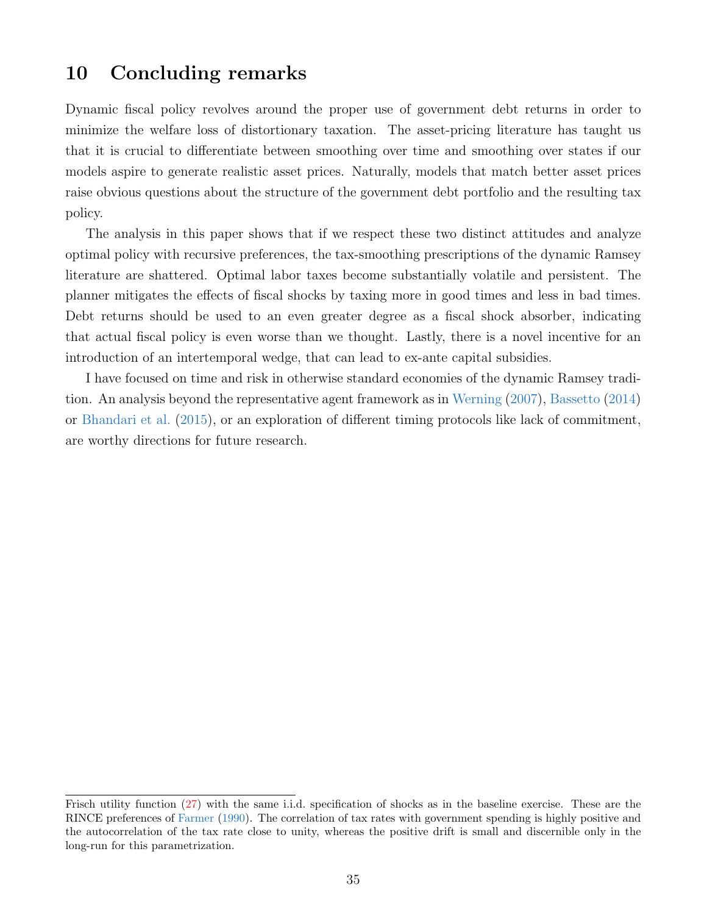## <span id="page-35-0"></span>10 Concluding remarks

Dynamic fiscal policy revolves around the proper use of government debt returns in order to minimize the welfare loss of distortionary taxation. The asset-pricing literature has taught us that it is crucial to differentiate between smoothing over time and smoothing over states if our models aspire to generate realistic asset prices. Naturally, models that match better asset prices raise obvious questions about the structure of the government debt portfolio and the resulting tax policy.

The analysis in this paper shows that if we respect these two distinct attitudes and analyze optimal policy with recursive preferences, the tax-smoothing prescriptions of the dynamic Ramsey literature are shattered. Optimal labor taxes become substantially volatile and persistent. The planner mitigates the effects of fiscal shocks by taxing more in good times and less in bad times. Debt returns should be used to an even greater degree as a fiscal shock absorber, indicating that actual fiscal policy is even worse than we thought. Lastly, there is a novel incentive for an introduction of an intertemporal wedge, that can lead to ex-ante capital subsidies.

I have focused on time and risk in otherwise standard economies of the dynamic Ramsey tradition. An analysis beyond the representative agent framework as in [Werning](#page-41-12) [\(2007\)](#page-41-12), [Bassetto](#page-39-15) [\(2014\)](#page-39-15) or [Bhandari et al.](#page-39-16) [\(2015\)](#page-39-16), or an exploration of different timing protocols like lack of commitment, are worthy directions for future research.

Frisch utility function [\(27\)](#page-19-1) with the same i.i.d. specification of shocks as in the baseline exercise. These are the RINCE preferences of [Farmer](#page-40-16) [\(1990\)](#page-40-16). The correlation of tax rates with government spending is highly positive and the autocorrelation of the tax rate close to unity, whereas the positive drift is small and discernible only in the long-run for this parametrization.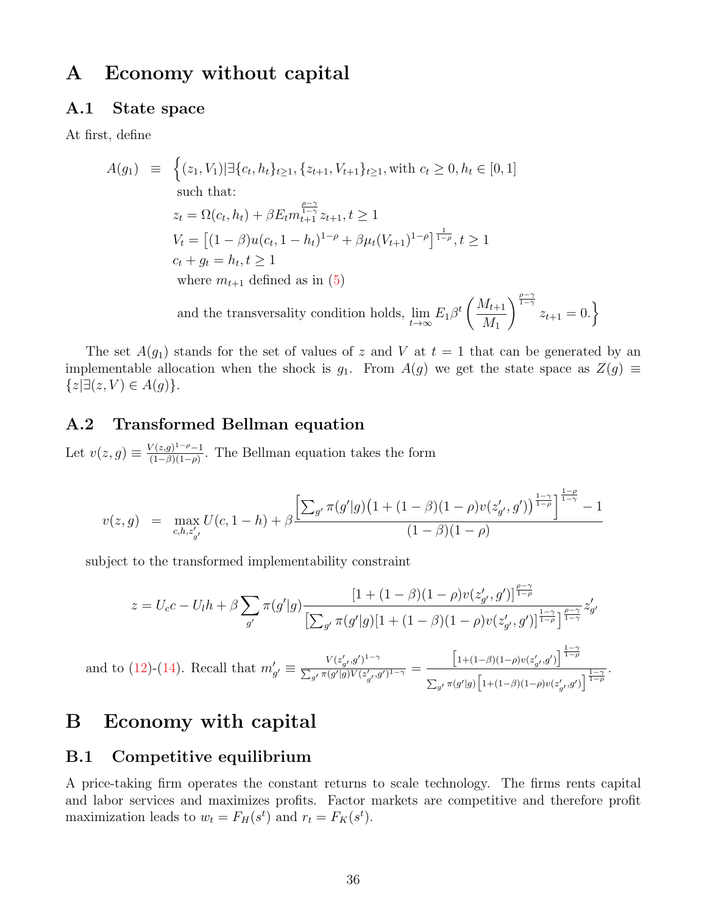## A Economy without capital

## A.1 State space

At first, define

$$
A(g_1) \equiv \left\{ (z_1, V_1) | \exists \{c_t, h_t\}_{t \ge 1}, \{z_{t+1}, V_{t+1}\}_{t \ge 1}, \text{ with } c_t \ge 0, h_t \in [0, 1] \right\}
$$
  
such that:  

$$
z_t = \Omega(c_t, h_t) + \beta E_t m_{t+1}^{\frac{\rho - \gamma}{1 - \gamma}} z_{t+1}, t \ge 1
$$

$$
V_t = \left[ (1 - \beta)u(c_t, 1 - h_t)^{1 - \rho} + \beta \mu_t (V_{t+1})^{1 - \rho} \right]^{\frac{1}{1 - \rho}}, t \ge 1
$$

$$
c_t + g_t = h_t, t \ge 1
$$
  
where  $m_{t+1}$  defined as in (5)  
and the transversality condition holds,  $\lim_{t \to \infty} E_1 \beta^t \left( \frac{M_{t+1}}{M_1} \right)^{\frac{\rho - \gamma}{1 - \gamma}} z_{t+1} = 0.$ 

The set  $A(g_1)$  stands for the set of values of z and V at  $t = 1$  that can be generated by an implementable allocation when the shock is  $g_1$ . From  $A(g)$  we get the state space as  $Z(g) \equiv$  ${z \exists (z, V) \in A(g)}.$ 

### A.2 Transformed Bellman equation

Let  $v(z, g) \equiv \frac{V(z, g)^{1-\rho}-1}{(1-\beta)(1-\rho)}$  $\frac{\sqrt{(z,g)^2 - \rho - 1}}{(1-\beta)(1-\rho)}$ . The Bellman equation takes the form

$$
v(z,g) = \max_{c,h,z'_{g'}} U(c,1-h) + \beta \frac{\left[\sum_{g'} \pi(g'|g)\left(1+(1-\beta)(1-\rho)v(z'_{g'},g')\right)^{\frac{1-\gamma}{1-\rho}}\right]^{\frac{1-\rho}{1-\gamma}} - 1}{(1-\beta)(1-\rho)}
$$

subject to the transformed implementability constraint

$$
z = U_c c - U_l h + \beta \sum_{g'} \pi(g' | g) \frac{[1 + (1 - \beta)(1 - \rho)v(z'_{g'}, g')]^{\frac{\rho - \gamma}{1 - \rho}}}{\left[\sum_{g'} \pi(g' | g)\right] [1 + (1 - \beta)(1 - \rho)v(z'_{g'}, g')]^{\frac{1 - \gamma}{1 - \rho}}\right]^{\frac{\rho - \gamma}{1 - \gamma}}} z'_{g'}
$$

and to [\(12\)](#page-10-0)-[\(14\)](#page-10-0). Recall that  $m'_{g'} \equiv \frac{V(z'_{g'}, g')^{1-\gamma}}{\sum_{g'} \pi(g'|g)V(z',g')}$  $\frac{C_{g'}(s)}{\sum_{g'} \pi(g'|g)V(z'_{g'},g')^{1-\gamma}} =$  $\left[1+(1-\beta)(1-\rho)v(z'_{g'},g')\right]^{\frac{1-\gamma}{1-\rho}}$  $\frac{1}{\sum_{g'} \pi(g'|g) \left[1+(1-\beta)(1-\rho)v(z'_{g'},g')\right]^{\frac{1-\gamma}{1-\rho}}}.$ 

## B Economy with capital

### B.1 Competitive equilibrium

A price-taking firm operates the constant returns to scale technology. The firms rents capital and labor services and maximizes profits. Factor markets are competitive and therefore profit maximization leads to  $w_t = F_H(s^t)$  and  $r_t = F_K(s^t)$ .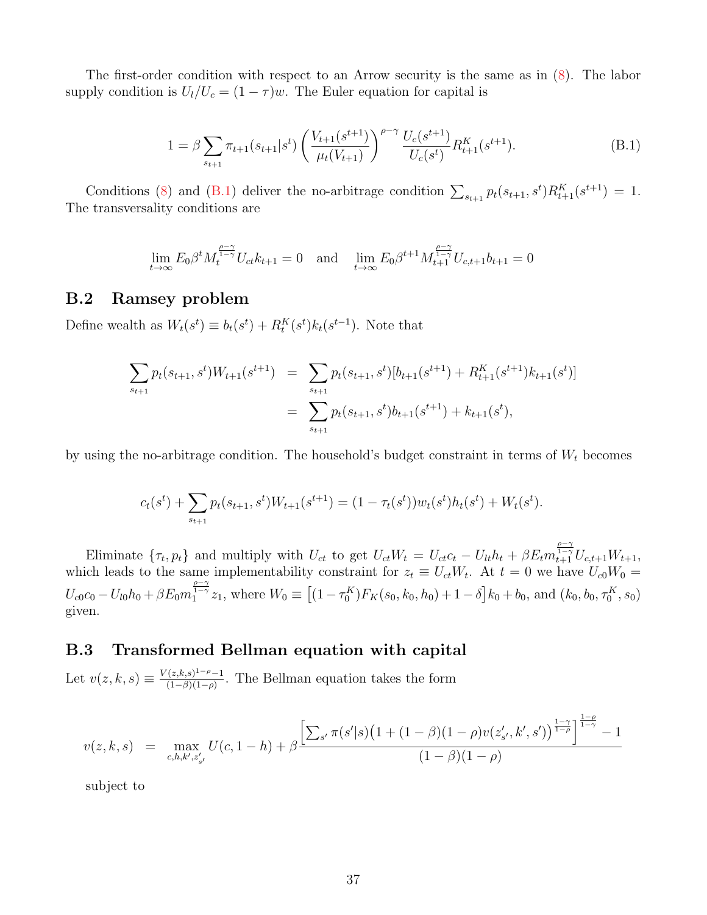The first-order condition with respect to an Arrow security is the same as in [\(8\)](#page-8-2). The labor supply condition is  $U_l/U_c = (1 - \tau)w$ . The Euler equation for capital is

<span id="page-37-0"></span>
$$
1 = \beta \sum_{s_{t+1}} \pi_{t+1}(s_{t+1}|s^t) \left(\frac{V_{t+1}(s^{t+1})}{\mu_t(V_{t+1})}\right)^{\rho-\gamma} \frac{U_c(s^{t+1})}{U_c(s^t)} R_{t+1}^K(s^{t+1}).
$$
\n(B.1)

Conditions [\(8\)](#page-8-2) and [\(B.1\)](#page-37-0) deliver the no-arbitrage condition  $\sum_{s_{t+1}} p_t(s_{t+1}, s^t) R_{t+1}^K(s^{t+1}) = 1$ . The transversality conditions are

$$
\lim_{t \to \infty} E_0 \beta^t M_t^{\frac{\rho - \gamma}{1 - \gamma}} U_{ct} k_{t+1} = 0 \quad \text{and} \quad \lim_{t \to \infty} E_0 \beta^{t+1} M_{t+1}^{\frac{\rho - \gamma}{1 - \gamma}} U_{c, t+1} b_{t+1} = 0
$$

#### B.2 Ramsey problem

Define wealth as  $W_t(s^t) \equiv b_t(s^t) + R_t^K(s^t) k_t(s^{t-1})$ . Note that

$$
\sum_{s_{t+1}} p_t(s_{t+1}, s^t) W_{t+1}(s^{t+1}) = \sum_{s_{t+1}} p_t(s_{t+1}, s^t) [b_{t+1}(s^{t+1}) + R_{t+1}^K(s^{t+1}) k_{t+1}(s^t)]
$$
  
= 
$$
\sum_{s_{t+1}} p_t(s_{t+1}, s^t) b_{t+1}(s^{t+1}) + k_{t+1}(s^t),
$$

by using the no-arbitrage condition. The household's budget constraint in terms of  $W_t$  becomes

$$
c_t(s^t) + \sum_{s_{t+1}} p_t(s_{t+1}, s^t) W_{t+1}(s^{t+1}) = (1 - \tau_t(s^t)) w_t(s^t) h_t(s^t) + W_t(s^t).
$$

Eliminate  $\{\tau_t, p_t\}$  and multiply with  $U_{ct}$  to get  $U_{ct}W_t = U_{ct}c_t - U_{lt}h_t + \beta E_t m_{t+1}^{\frac{\rho-\gamma}{1-\gamma}} U_{c,t+1}W_{t+1}$ , which leads to the same implementability constraint for  $z_t \equiv U_{ct}W_t$ . At  $t = 0$  we have  $U_{c0}W_0 =$  $U_{c0}c_0 - U_{l0}h_0 + \beta E_0 m_1^{\frac{\rho-\gamma}{1-\gamma}}z_1$ , where  $W_0 \equiv [(1-\tau_0^K)F_K(s_0, k_0, h_0) + 1-\delta]k_0 + b_0$ , and  $(k_0, b_0, \tau_0^K, s_0)$ given.

## B.3 Transformed Bellman equation with capital

Let  $v(z, k, s) \equiv \frac{V(z, k, s)^{1-\rho}-1}{(1-\beta)(1-\rho)}$  $\frac{(z,\kappa,s)^2-\kappa-1}{(1-\beta)(1-\rho)}$ . The Bellman equation takes the form

$$
v(z,k,s) = \max_{c,h,k',z'_{s'}} U(c,1-h) + \beta \frac{\left[\sum_{s'} \pi(s'|s)\left(1+(1-\beta)(1-\rho)v(z'_{s'},k',s')\right)^{\frac{1-\gamma}{1-\rho}}\right]^{\frac{1-\rho}{1-\gamma}} - 1}{(1-\beta)(1-\rho)}
$$

subject to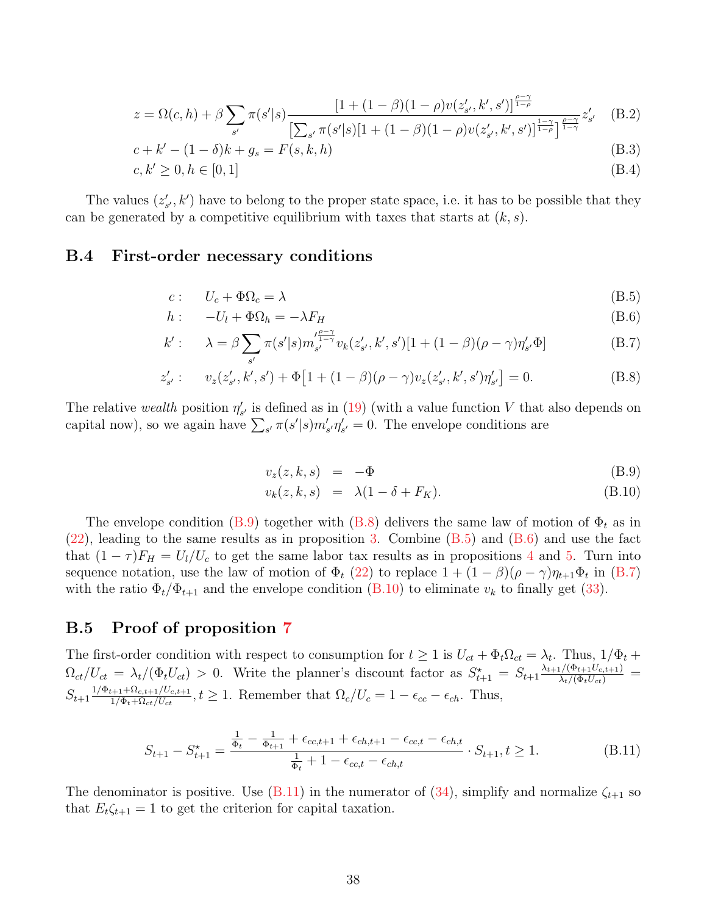$$
z = \Omega(c, h) + \beta \sum_{s'} \pi(s'|s) \frac{[1 + (1 - \beta)(1 - \rho)v(z'_{s'}, k', s')]^{\frac{\rho - \gamma}{1 - \rho}}}{\left[\sum_{s'} \pi(s'|s)[1 + (1 - \beta)(1 - \rho)v(z'_{s'}, k', s')]^{\frac{1 - \gamma}{1 - \rho}}\right]^{\frac{\rho - \gamma}{1 - \gamma}}z'_{s'}} \quad (B.2)
$$

$$
c + k' - (1 - \delta)k + g_s = F(s, k, h)
$$
\n(B.3)

$$
c, k' \ge 0, h \in [0, 1] \tag{B.4}
$$

The values  $(z'_{s'}, k')$  have to belong to the proper state space, i.e. it has to be possible that they can be generated by a competitive equilibrium with taxes that starts at  $(k, s)$ .

### B.4 First-order necessary conditions

<span id="page-38-1"></span>
$$
c: U_c + \Phi \Omega_c = \lambda \tag{B.5}
$$

$$
h: \t -U_l + \Phi \Omega_h = -\lambda F_H \t\t (B.6)
$$

$$
k': \qquad \lambda = \beta \sum_{s'} \pi(s'|s) m_{s'}^{\frac{\rho - \gamma}{1 - \gamma}} v_k(z'_{s'}, k', s')[1 + (1 - \beta)(\rho - \gamma)\eta'_{s'}\Phi]
$$
(B.7)

$$
z'_{s'}: \t v_z(z'_{s'}, k', s') + \Phi[1 + (1 - \beta)(\rho - \gamma)v_z(z'_{s'}, k', s')\eta'_{s'}] = 0.
$$
 (B.8)

The relative wealth position  $\eta'_{s'}$  is defined as in [\(19\)](#page-11-1) (with a value function V that also depends on capital now), so we again have  $\sum_{s'} \pi(s'|s) m'_{s'} n'_{s'} = 0$ . The envelope conditions are

<span id="page-38-0"></span>
$$
v_z(z, k, s) = -\Phi \tag{B.9}
$$

$$
v_k(z, k, s) = \lambda(1 - \delta + F_K). \tag{B.10}
$$

The envelope condition [\(B.9\)](#page-38-0) together with [\(B.8\)](#page-38-1) delivers the same law of motion of  $\Phi_t$  as in  $(22)$ , leading to the same results as in proposition [3.](#page-15-2) Combine  $(B.5)$  and  $(B.6)$  and use the fact that  $(1 - \tau)F_H = U_l/U_c$  to get the same labor tax results as in propositions [4](#page-16-3) and [5.](#page-17-3) Turn into sequence notation, use the law of motion of  $\Phi_t$  [\(22\)](#page-14-1) to replace  $1 + (1 - \beta)(\rho - \gamma)\eta_{t+1}\Phi_t$  in [\(B.7\)](#page-38-1) with the ratio  $\Phi_t/\Phi_{t+1}$  and the envelope condition [\(B.10\)](#page-38-0) to eliminate  $v_k$  to finally get [\(33\)](#page-31-0).

### B.5 Proof of proposition [7](#page-31-3)

The first-order condition with respect to consumption for  $t \geq 1$  is  $U_{ct} + \Phi_t \Omega_{ct} = \lambda_t$ . Thus,  $1/\Phi_t +$  $\Omega_{ct}/U_{ct} = \lambda_t/(\Phi_t U_{ct}) > 0$ . Write the planner's discount factor as  $S_{t+1}^* = S_{t+1} \frac{\lambda_{t+1}/(\Phi_{t+1} U_{c,t+1})}{\lambda_t/(\Phi_t U_{ct})} =$  $S_{t+1} \frac{1/\Phi_{t+1} + \Omega_{c,t+1}/U_{c,t+1}}{1/\Phi_t + \Omega_{ct}/U_{ct}}$  $\frac{1}{1/\Phi_t + \Omega_{ct}/U_{ct} + 1/U_{c,t+1}}$ ,  $t \ge 1$ . Remember that  $\Omega_c/U_c = 1 - \epsilon_{cc} - \epsilon_{ch}$ . Thus,

<span id="page-38-2"></span>
$$
S_{t+1} - S_{t+1}^* = \frac{\frac{1}{\Phi_t} - \frac{1}{\Phi_{t+1}} + \epsilon_{cc,t+1} + \epsilon_{ch,t+1} - \epsilon_{cc,t} - \epsilon_{ch,t}}{\frac{1}{\Phi_t} + 1 - \epsilon_{cc,t} - \epsilon_{ch,t}} \cdot S_{t+1}, t \ge 1.
$$
 (B.11)

The denominator is positive. Use [\(B.11\)](#page-38-2) in the numerator of [\(34\)](#page-31-1), simplify and normalize  $\zeta_{t+1}$  so that  $E_t \zeta_{t+1} = 1$  to get the criterion for capital taxation.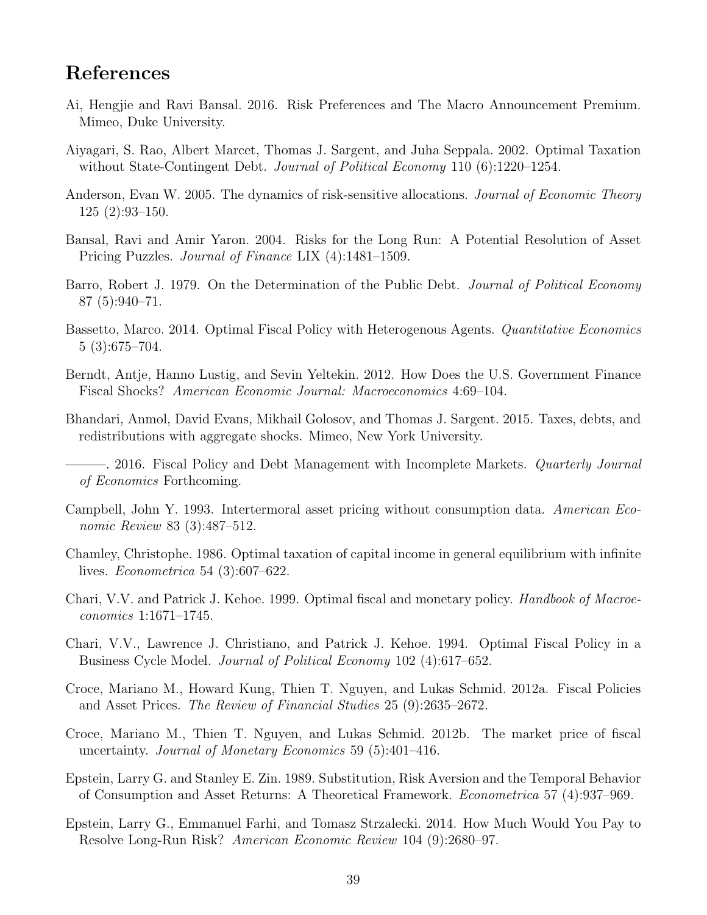## References

- <span id="page-39-3"></span>Ai, Hengjie and Ravi Bansal. 2016. Risk Preferences and The Macro Announcement Premium. Mimeo, Duke University.
- <span id="page-39-9"></span>Aiyagari, S. Rao, Albert Marcet, Thomas J. Sargent, and Juha Seppala. 2002. Optimal Taxation without State-Contingent Debt. *Journal of Political Economy* 110 (6):1220–1254.
- <span id="page-39-12"></span>Anderson, Evan W. 2005. The dynamics of risk-sensitive allocations. *Journal of Economic Theory* 125 (2):93–150.
- <span id="page-39-2"></span>Bansal, Ravi and Amir Yaron. 2004. Risks for the Long Run: A Potential Resolution of Asset Pricing Puzzles. Journal of Finance LIX (4):1481–1509.
- <span id="page-39-11"></span>Barro, Robert J. 1979. On the Determination of the Public Debt. Journal of Political Economy 87 (5):940–71.
- <span id="page-39-15"></span>Bassetto, Marco. 2014. Optimal Fiscal Policy with Heterogenous Agents. Quantitative Economics 5 (3):675–704.
- <span id="page-39-4"></span>Berndt, Antje, Hanno Lustig, and Sevin Yeltekin. 2012. How Does the U.S. Government Finance Fiscal Shocks? American Economic Journal: Macroeconomics 4:69–104.
- <span id="page-39-16"></span>Bhandari, Anmol, David Evans, Mikhail Golosov, and Thomas J. Sargent. 2015. Taxes, debts, and redistributions with aggregate shocks. Mimeo, New York University.

- <span id="page-39-14"></span>Campbell, John Y. 1993. Intertermoral asset pricing without consumption data. American Economic Review 83 (3):487–512.
- <span id="page-39-5"></span>Chamley, Christophe. 1986. Optimal taxation of capital income in general equilibrium with infinite lives. Econometrica 54 (3):607–622.
- <span id="page-39-6"></span>Chari, V.V. and Patrick J. Kehoe. 1999. Optimal fiscal and monetary policy. Handbook of Macroeconomics 1:1671–1745.
- <span id="page-39-0"></span>Chari, V.V., Lawrence J. Christiano, and Patrick J. Kehoe. 1994. Optimal Fiscal Policy in a Business Cycle Model. Journal of Political Economy 102 (4):617–652.
- <span id="page-39-7"></span>Croce, Mariano M., Howard Kung, Thien T. Nguyen, and Lukas Schmid. 2012a. Fiscal Policies and Asset Prices. The Review of Financial Studies 25 (9):2635–2672.
- <span id="page-39-8"></span>Croce, Mariano M., Thien T. Nguyen, and Lukas Schmid. 2012b. The market price of fiscal uncertainty. Journal of Monetary Economics 59 (5):401–416.
- <span id="page-39-1"></span>Epstein, Larry G. and Stanley E. Zin. 1989. Substitution, Risk Aversion and the Temporal Behavior of Consumption and Asset Returns: A Theoretical Framework. Econometrica 57 (4):937–969.
- <span id="page-39-13"></span>Epstein, Larry G., Emmanuel Farhi, and Tomasz Strzalecki. 2014. How Much Would You Pay to Resolve Long-Run Risk? American Economic Review 104 (9):2680–97.

<span id="page-39-10"></span><sup>– 2016.</sup> Fiscal Policy and Debt Management with Incomplete Markets. *Quarterly Journal* of Economics Forthcoming.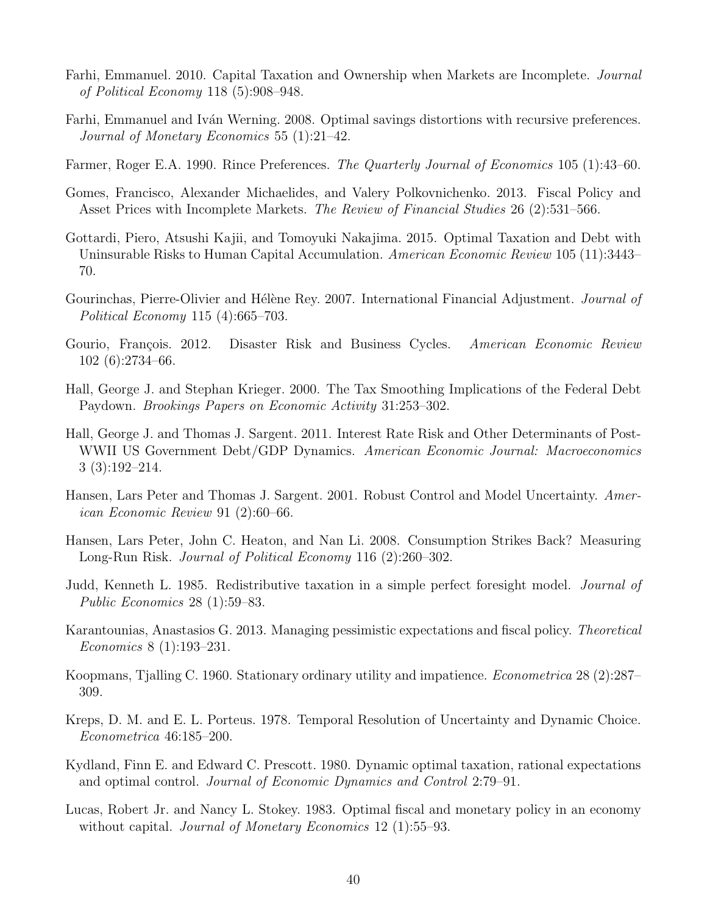- <span id="page-40-8"></span>Farhi, Emmanuel. 2010. Capital Taxation and Ownership when Markets are Incomplete. Journal of Political Economy 118 (5):908–948.
- <span id="page-40-3"></span>Farhi, Emmanuel and Iván Werning. 2008. Optimal savings distortions with recursive preferences. Journal of Monetary Economics 55 (1):21–42.
- <span id="page-40-16"></span>Farmer, Roger E.A. 1990. Rince Preferences. The Quarterly Journal of Economics 105 (1):43–60.
- <span id="page-40-7"></span>Gomes, Francisco, Alexander Michaelides, and Valery Polkovnichenko. 2013. Fiscal Policy and Asset Prices with Incomplete Markets. The Review of Financial Studies 26 (2):531–566.
- <span id="page-40-6"></span>Gottardi, Piero, Atsushi Kajii, and Tomoyuki Nakajima. 2015. Optimal Taxation and Debt with Uninsurable Risks to Human Capital Accumulation. American Economic Review 105 (11):3443– 70.
- <span id="page-40-14"></span>Gourinchas, Pierre-Olivier and Hélène Rey. 2007. International Financial Adjustment. *Journal of* Political Economy 115 (4):665–703.
- <span id="page-40-2"></span>Gourio, François. 2012. Disaster Risk and Business Cycles. American Economic Review 102 (6):2734–66.
- <span id="page-40-13"></span>Hall, George J. and Stephan Krieger. 2000. The Tax Smoothing Implications of the Federal Debt Paydown. Brookings Papers on Economic Activity 31:253–302.
- <span id="page-40-12"></span>Hall, George J. and Thomas J. Sargent. 2011. Interest Rate Risk and Other Determinants of Post-WWII US Government Debt/GDP Dynamics. American Economic Journal: Macroeconomics 3 (3):192–214.
- <span id="page-40-10"></span>Hansen, Lars Peter and Thomas J. Sargent. 2001. Robust Control and Model Uncertainty. American Economic Review 91 (2):60–66.
- <span id="page-40-1"></span>Hansen, Lars Peter, John C. Heaton, and Nan Li. 2008. Consumption Strikes Back? Measuring Long-Run Risk. Journal of Political Economy 116 (2):260–302.
- <span id="page-40-15"></span>Judd, Kenneth L. 1985. Redistributive taxation in a simple perfect foresight model. Journal of Public Economics 28 (1):59–83.
- <span id="page-40-5"></span>Karantounias, Anastasios G. 2013. Managing pessimistic expectations and fiscal policy. Theoretical Economics 8 (1):193–231.
- <span id="page-40-4"></span>Koopmans, Tjalling C. 1960. Stationary ordinary utility and impatience. Econometrica 28 (2):287– 309.
- <span id="page-40-9"></span>Kreps, D. M. and E. L. Porteus. 1978. Temporal Resolution of Uncertainty and Dynamic Choice. Econometrica 46:185–200.
- <span id="page-40-11"></span>Kydland, Finn E. and Edward C. Prescott. 1980. Dynamic optimal taxation, rational expectations and optimal control. Journal of Economic Dynamics and Control 2:79–91.
- <span id="page-40-0"></span>Lucas, Robert Jr. and Nancy L. Stokey. 1983. Optimal fiscal and monetary policy in an economy without capital. *Journal of Monetary Economics* 12 (1):55–93.